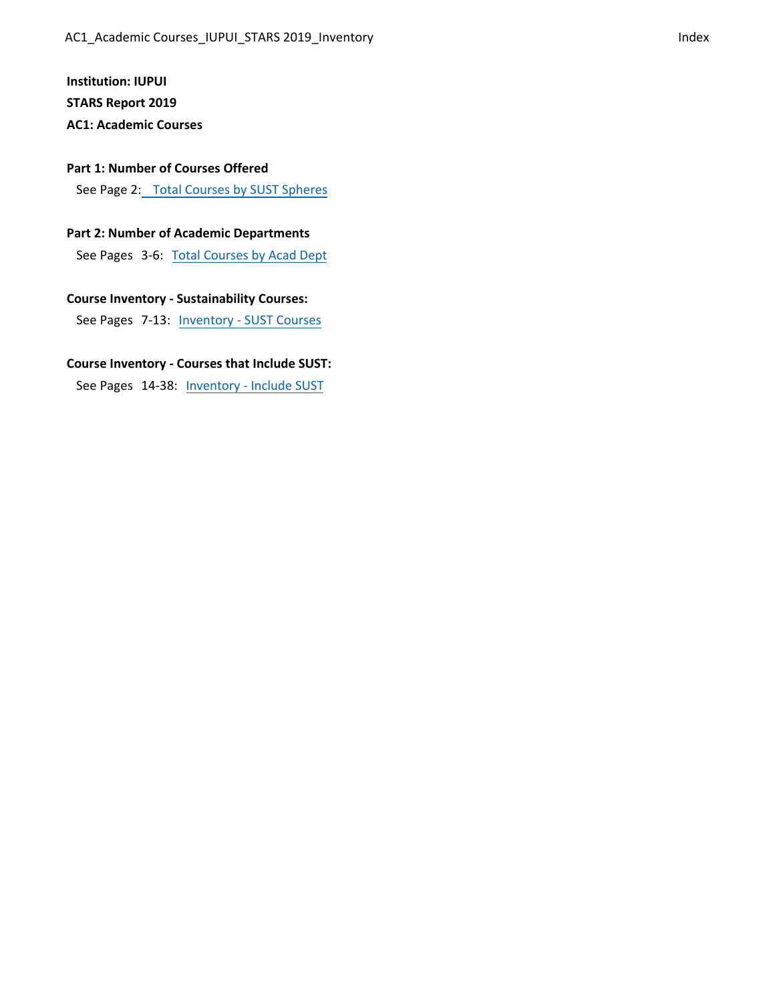# **Institution: IUPUI**

**STARS Report 2019**

# **AC1: Academic Courses**

#### **P[art 1: Number of Courses Offered](#page-1-0)**

See [Page 2](#page-1-0): [Total Courses by SUST Spheres](#page-1-0)

## **[Part 2: Number of Academic Departments](#page-2-0)**

See [Pages](#page-2-0) 3-6: [Total Courses by Acad Dept](#page-2-0)

# **[Course Inventory - Sustainability Courses](#page-6-0):**

See Pages 7-13: [Inventory - SUST Courses](#page-6-0)

## **[Course Inventory - Courses that Include SUST:](#page-13-0)**

See Pages 14-38: [Inventory - Include SUST](#page-13-0)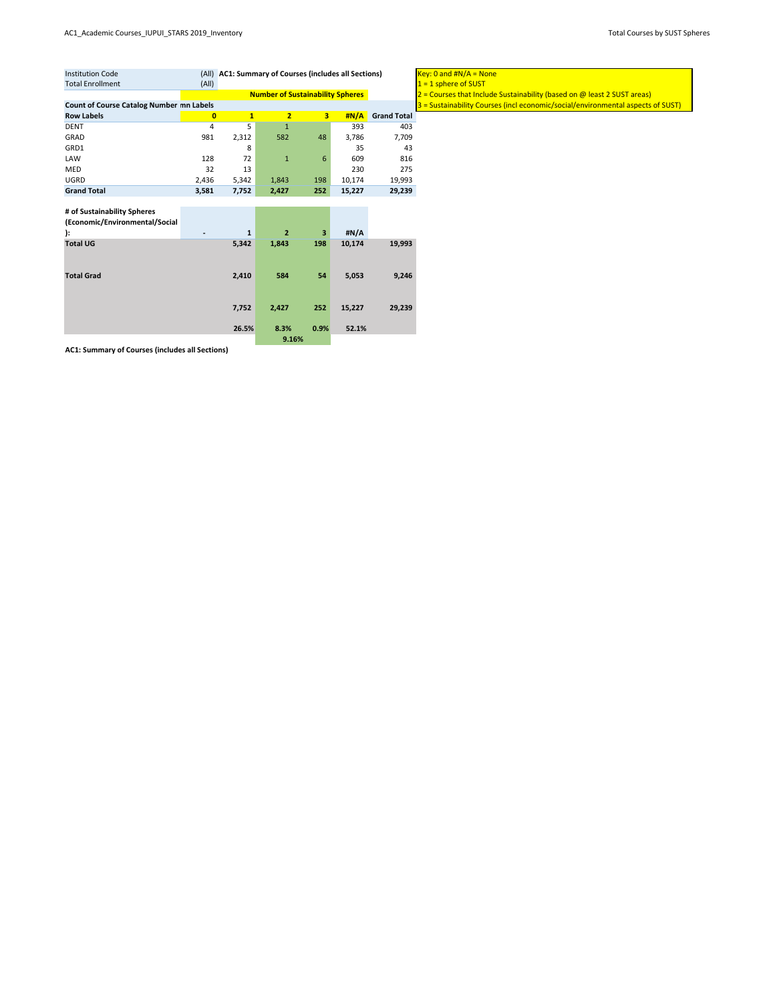<span id="page-1-0"></span>

| <b>Institution Code</b>                         |              | (All) AC1: Summary of Courses (includes all Sections) | $Key: 0$ and $\#N/A = N$                |                         |        |                    |                         |
|-------------------------------------------------|--------------|-------------------------------------------------------|-----------------------------------------|-------------------------|--------|--------------------|-------------------------|
| <b>Total Enrollment</b>                         | (A  )        |                                                       |                                         |                         |        |                    | $1 = 1$ sphere of SUST  |
|                                                 |              |                                                       | <b>Number of Sustainability Spheres</b> |                         |        |                    | $2 =$ Courses that Incl |
| <b>Count of Course Catalog Number mn Labels</b> |              |                                                       |                                         |                         |        |                    | $3 =$ Sustainability Co |
| <b>Row Labels</b>                               | $\mathbf{0}$ | $\mathbf{1}$                                          | $\overline{2}$                          | $\overline{\mathbf{3}}$ | #N/A   | <b>Grand Total</b> |                         |
| <b>DENT</b>                                     | 4            | 5                                                     | $\mathbf{1}$                            |                         | 393    | 403                |                         |
| GRAD                                            | 981          | 2,312                                                 | 582                                     | 48                      | 3,786  | 7,709              |                         |
| GRD1                                            |              | 8                                                     |                                         |                         | 35     | 43                 |                         |
| LAW                                             | 128          | 72                                                    | 1                                       | 6                       | 609    | 816                |                         |
| <b>MED</b>                                      | 32           | 13                                                    |                                         |                         | 230    | 275                |                         |
| <b>UGRD</b>                                     | 2,436        | 5,342                                                 | 1,843                                   | 198                     | 10,174 | 19,993             |                         |
| <b>Grand Total</b>                              | 3,581        | 7,752                                                 | 2,427                                   | 252                     | 15,227 | 29,239             |                         |
|                                                 |              |                                                       |                                         |                         |        |                    |                         |
| # of Sustainability Spheres                     |              |                                                       |                                         |                         |        |                    |                         |
| (Economic/Environmental/Social                  |              |                                                       |                                         |                         |        |                    |                         |
| ):                                              |              | 1                                                     | $\overline{2}$                          | 3                       | #N/A   |                    |                         |
| <b>Total UG</b>                                 |              | 5,342                                                 | 1,843                                   | 198                     | 10,174 | 19,993             |                         |
|                                                 |              |                                                       |                                         |                         |        |                    |                         |
|                                                 |              |                                                       |                                         |                         |        |                    |                         |
| <b>Total Grad</b>                               |              | 2,410                                                 | 584                                     | 54                      | 5,053  | 9,246              |                         |
|                                                 |              |                                                       |                                         |                         |        |                    |                         |
|                                                 |              |                                                       |                                         |                         |        |                    |                         |
|                                                 |              | 7,752                                                 | 2,427                                   | 252                     | 15,227 | 29,239             |                         |

**26.5% 8.3% 0.9% 52.1%**

**AC1: Summary of Courses (includes all Sections)**

**9.16%**

<mark>nd #N/A = None</mark> ses that Include Sustainability (based on @ least 2 SUST areas) ainability Courses (incl economic/social/environmental aspects of SUST)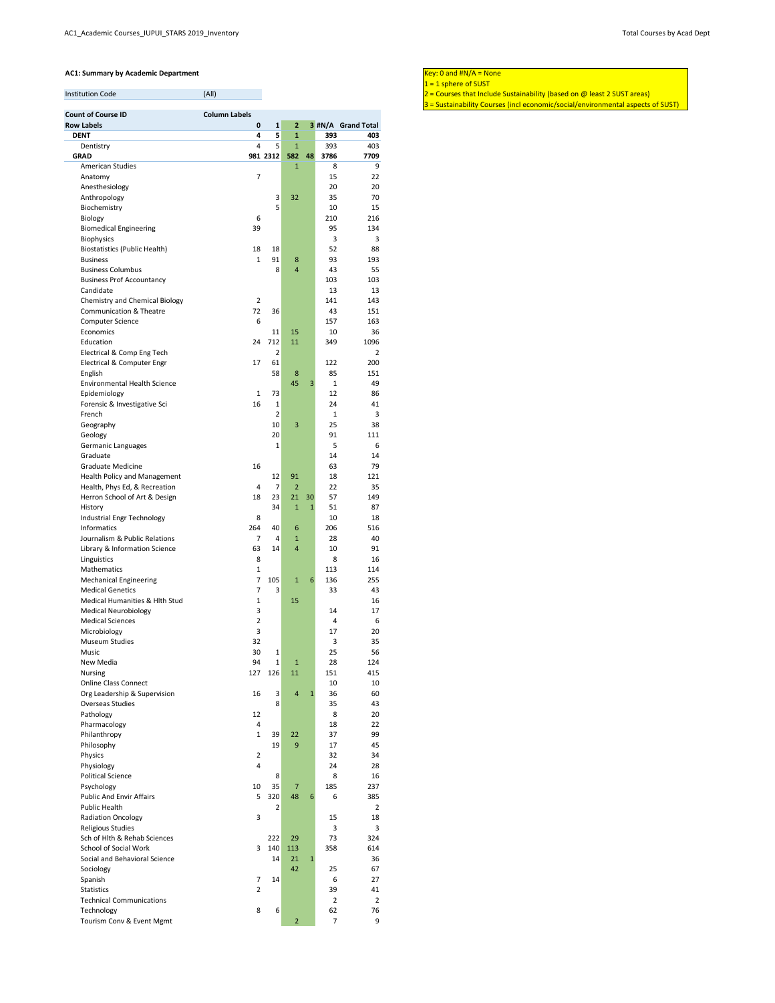<span id="page-2-0"></span>

| <b>Institution Code</b> |  |
|-------------------------|--|
|-------------------------|--|

- Institution Code (All) (All) (All) 2 = Courses that Include Sustainability (based on @ least 2 SUST areas)
	- 3 = Sustainability Courses (incl economic/social/environmental aspects of SUST)

| <b>Count of Course ID</b>                                    | <b>Column Labels</b>    |                |                     |              |                |                    |
|--------------------------------------------------------------|-------------------------|----------------|---------------------|--------------|----------------|--------------------|
| <b>Row Labels</b>                                            | $\pmb{0}$               | $\mathbf 1$    | $\overline{2}$      |              |                | 3 #N/A Grand Total |
| <b>DENT</b>                                                  | $\overline{\mathbf{4}}$ | 5              | $\mathbf{1}$        |              | 393            | 403                |
| Dentistry<br><b>GRAD</b>                                     | $\overline{4}$          | 5<br>981 2312  | $\mathbf{1}$<br>582 | 48           | 393<br>3786    | 403<br>7709        |
| <b>American Studies</b>                                      |                         |                | $\mathbf{1}$        |              | 8              | 9                  |
| Anatomy                                                      | $\overline{7}$          |                |                     |              | 15             | 22                 |
| Anesthesiology                                               |                         |                |                     |              | 20             | 20                 |
| Anthropology                                                 |                         | 3              | 32                  |              | 35             | 70                 |
| Biochemistry                                                 |                         | 5              |                     |              | 10             | 15                 |
| Biology                                                      | 6                       |                |                     |              | 210            | 216                |
| <b>Biomedical Engineering</b>                                | 39                      |                |                     |              | 95             | 134                |
| <b>Biophysics</b>                                            |                         |                |                     |              | 3              | 3                  |
| <b>Biostatistics (Public Health)</b>                         | 18                      | 18             |                     |              | 52             | 88                 |
| <b>Business</b>                                              | $\mathbf{1}$            | 91             | 8                   |              | 93             | 193                |
| <b>Business Columbus</b><br><b>Business Prof Accountancy</b> |                         | 8              | $\overline{4}$      |              | 43<br>103      | 55<br>103          |
| Candidate                                                    |                         |                |                     |              | 13             | 13                 |
| <b>Chemistry and Chemical Biology</b>                        | $\overline{2}$          |                |                     |              | 141            | 143                |
| <b>Communication &amp; Theatre</b>                           | 72                      | 36             |                     |              | 43             | 151                |
| <b>Computer Science</b>                                      | 6                       |                |                     |              | 157            | 163                |
| Economics                                                    |                         | 11             | 15                  |              | 10             | 36                 |
| Education                                                    | 24                      | 712            | 11                  |              | 349            | 1096               |
| Electrical & Comp Eng Tech                                   |                         | $\overline{2}$ |                     |              |                | $\overline{2}$     |
| Electrical & Computer Engr                                   | 17                      | 61             |                     |              | 122            | 200                |
| English                                                      |                         | 58             | 8                   |              | 85             | 151                |
| <b>Environmental Health Science</b>                          |                         |                | 45                  | 3            | $\mathbf{1}$   | 49                 |
| Epidemiology                                                 | $\mathbf{1}$            | 73             |                     |              | 12             | 86                 |
| Forensic & Investigative Sci                                 | 16                      | $\mathbf{1}$   |                     |              | 24             | 41                 |
| French                                                       |                         | 2              |                     |              | $\mathbf{1}$   | 3                  |
| Geography<br>Geology                                         |                         | 10             | 3                   |              | 25<br>91       | 38<br>111          |
| Germanic Languages                                           |                         | 20<br>1        |                     |              | 5              | 6                  |
| Graduate                                                     |                         |                |                     |              | 14             | 14                 |
| <b>Graduate Medicine</b>                                     | 16                      |                |                     |              | 63             | 79                 |
| <b>Health Policy and Management</b>                          |                         | 12             | 91                  |              | 18             | 121                |
| Health, Phys Ed, & Recreation                                | $\overline{4}$          | $\overline{7}$ | $\overline{2}$      |              | 22             | 35                 |
| Herron School of Art & Design                                | 18                      | 23             | 21                  | 30           | 57             | 149                |
| History                                                      |                         | 34             | $\mathbf{1}$        | $\mathbf{1}$ | 51             | 87                 |
| Industrial Engr Technology                                   | 8                       |                |                     |              | 10             | 18                 |
| Informatics                                                  | 264                     | 40             | 6                   |              | 206            | 516                |
| Journalism & Public Relations                                | $\overline{7}$          | 4              | $\mathbf{1}$        |              | 28             | 40                 |
| Library & Information Science                                | 63                      | 14             | $\overline{4}$      |              | 10             | 91                 |
| Linguistics                                                  | 8                       |                |                     |              | 8              | 16                 |
| Mathematics                                                  | $\mathbf{1}$            |                |                     |              | 113            | 114                |
| <b>Mechanical Engineering</b>                                | $\overline{7}$          | 105            | $\mathbf{1}$        | 6            | 136            | 255                |
| <b>Medical Genetics</b>                                      | $\overline{7}$          | 3              |                     |              | 33             | 43                 |
| Medical Humanities & Hlth Stud                               | $\mathbf{1}$            |                | 15                  |              |                | 16                 |
| <b>Medical Neurobiology</b><br><b>Medical Sciences</b>       | 3<br>$\overline{2}$     |                |                     |              | 14<br>4        | 17<br>6            |
| Microbiology                                                 | 3                       |                |                     |              | 17             | 20                 |
| <b>Museum Studies</b>                                        | 32                      |                |                     |              | 3              | 35                 |
| Music                                                        | 30                      | $\mathbf{1}$   |                     |              | 25             | 56                 |
| New Media                                                    | 94                      | $\mathbf{1}$   | $\mathbf{1}$        |              | 28             | 124                |
| <b>Nursing</b>                                               | 127                     | 126            | 11                  |              | 151            | 415                |
| <b>Online Class Connect</b>                                  |                         |                |                     |              | 10             | 10                 |
| Org Leadership & Supervision                                 | 16                      | 3              | $\overline{4}$      | $\mathbf{1}$ | 36             | 60                 |
| <b>Overseas Studies</b>                                      |                         | 8              |                     |              | 35             | 43                 |
| Pathology                                                    | 12                      |                |                     |              | 8              | 20                 |
| Pharmacology                                                 | 4                       |                |                     |              | 18             | 22                 |
| Philanthropy                                                 | $\mathbf{1}$            | 39             | 22                  |              | 37             | 99                 |
| Philosophy                                                   |                         | 19             | 9                   |              | 17             | 45                 |
| Physics                                                      | $\overline{2}$          |                |                     |              | 32             | 34                 |
| Physiology                                                   | 4                       |                |                     |              | 24             | 28                 |
| <b>Political Science</b><br>Psychology                       | 10                      | 8<br>35        | $\overline{7}$      |              | 8<br>185       | 16<br>237          |
| <b>Public And Envir Affairs</b>                              | 5                       | 320            | 48                  | 6            | 6              | 385                |
| <b>Public Health</b>                                         |                         | $\overline{2}$ |                     |              |                | $\overline{2}$     |
| <b>Radiation Oncology</b>                                    | 3                       |                |                     |              | 15             | 18                 |
| <b>Religious Studies</b>                                     |                         |                |                     |              | 3              | 3                  |
| Sch of Hlth & Rehab Sciences                                 |                         | 222            | 29                  |              | 73             | 324                |
| School of Social Work                                        | 3                       | 140            | 113                 |              | 358            | 614                |
| Social and Behavioral Science                                |                         | 14             | 21                  | $\mathbf{1}$ |                | 36                 |
| Sociology                                                    |                         |                | 42                  |              | 25             | 67                 |
| Spanish                                                      | 7                       | 14             |                     |              | 6              | 27                 |
| <b>Statistics</b>                                            | $\overline{2}$          |                |                     |              | 39             | 41                 |
| <b>Technical Communications</b>                              |                         |                |                     |              | 2              | 2                  |
| Technology                                                   | 8                       | 6              |                     |              | 62             | 76                 |
| Tourism Conv & Event Mgmt                                    |                         |                | $\overline{2}$      |              | $\overline{7}$ | 9                  |

 $1 = 1$  sphere of SUST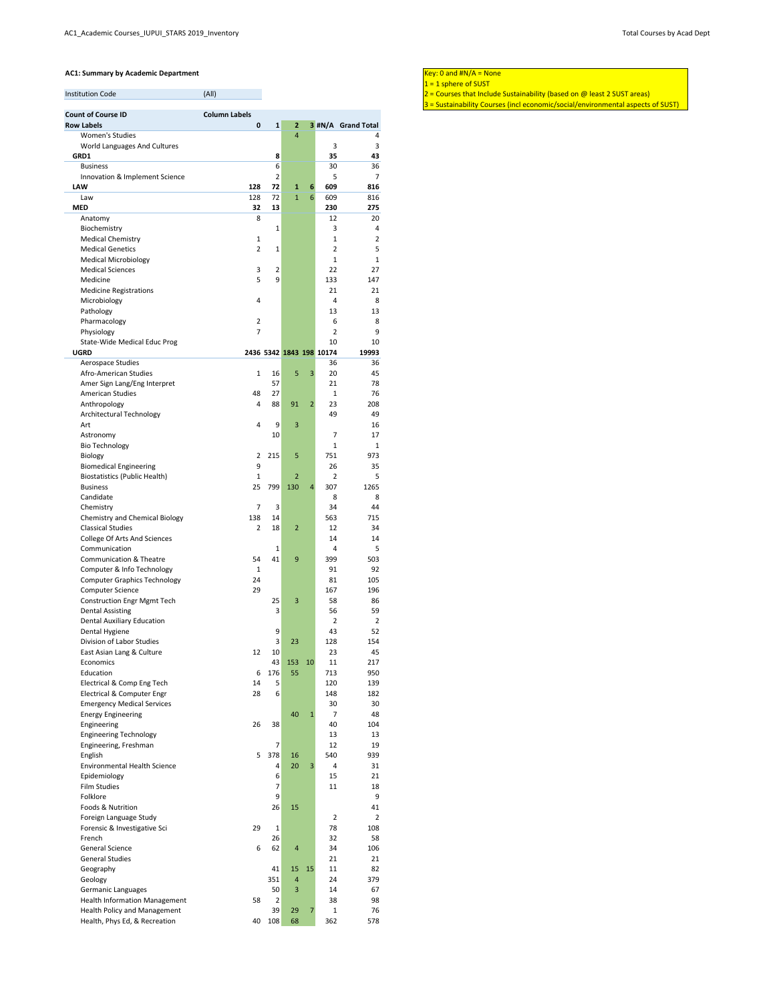| <b>Institution Code</b> |  |
|-------------------------|--|
|-------------------------|--|

- Institution Code (All) (All) (All) 2 = Courses that Include Sustainability (based on @ least 2 SUST areas)
	- 3 = Sustainability Courses (incl economic/social/environmental aspects of SUST)

| <b>Count of Course ID</b>                            | <b>Column Labels</b> |             |                |                |                          |                    |
|------------------------------------------------------|----------------------|-------------|----------------|----------------|--------------------------|--------------------|
| <b>Row Labels</b>                                    | $\pmb{0}$            | ${\bf 1}$   | $\overline{2}$ |                |                          | 3 #N/A Grand Total |
| <b>Women's Studies</b>                               |                      |             | $\overline{4}$ |                |                          | 4                  |
| World Languages And Cultures                         |                      |             |                |                | 3                        | 3                  |
| GRD1                                                 |                      | 8           |                |                | 35                       | 43                 |
| <b>Business</b>                                      |                      | 6           |                |                | 30                       | 36                 |
| Innovation & Implement Science                       |                      | 2           |                |                | 5                        | $\overline{7}$     |
| <b>LAW</b>                                           | 128                  | 72          | $\mathbf{1}$   | 6              | 609                      | 816                |
| Law                                                  | 128                  | 72          | $\mathbf{1}$   | 6              | 609                      | 816                |
| <b>MED</b>                                           | 32                   | 13          |                |                | 230                      | 275                |
| Anatomy                                              | 8                    |             |                |                | 12                       | 20                 |
| Biochemistry                                         |                      | 1           |                |                | 3                        | 4                  |
| <b>Medical Chemistry</b>                             | 1                    |             |                |                | 1                        | $\overline{2}$     |
| <b>Medical Genetics</b>                              | $\overline{2}$       | 1           |                |                | $\overline{2}$           | 5                  |
| <b>Medical Microbiology</b>                          |                      |             |                |                | 1                        | $\mathbf{1}$       |
| <b>Medical Sciences</b>                              | 3                    | 2           |                |                | 22                       | 27                 |
| Medicine                                             | 5                    | 9           |                |                | 133                      | 147                |
| <b>Medicine Registrations</b>                        |                      |             |                |                | 21                       | 21                 |
| Microbiology                                         | 4                    |             |                |                | 4                        | 8                  |
| Pathology                                            |                      |             |                |                | 13                       | 13                 |
|                                                      |                      |             |                |                |                          |                    |
| Pharmacology                                         | $\overline{2}$       |             |                |                | 6                        | 8                  |
| Physiology                                           | $\overline{7}$       |             |                |                | $\overline{2}$           | 9                  |
| State-Wide Medical Educ Prog                         |                      |             |                |                | 10                       | 10                 |
| <b>UGRD</b>                                          |                      |             |                |                | 2436 5342 1843 198 10174 | 19993              |
| Aerospace Studies                                    |                      |             |                |                | 36                       | 36                 |
| Afro-American Studies                                | 1                    | 16          | 5              | $\overline{3}$ | 20                       | 45                 |
| Amer Sign Lang/Eng Interpret                         |                      | 57          |                |                | 21                       | 78                 |
| <b>American Studies</b>                              | 48                   | 27          |                |                | $\mathbf{1}$             | 76                 |
| Anthropology                                         | 4                    | 88          | 91             | $\overline{2}$ | 23                       | 208                |
| Architectural Technology                             |                      |             |                |                | 49                       | 49                 |
| Art                                                  | 4                    | 9           | 3              |                |                          | 16                 |
| Astronomy                                            |                      | 10          |                |                | 7                        | 17                 |
| <b>Bio Technology</b>                                |                      |             |                |                | $\mathbf{1}$             | $\mathbf{1}$       |
| Biology                                              | $\overline{2}$       | 215         | 5              |                | 751                      | 973                |
| <b>Biomedical Engineering</b>                        | 9                    |             |                |                | 26                       | 35                 |
| <b>Biostatistics (Public Health)</b>                 | 1                    |             | $\overline{2}$ |                | $\overline{2}$           | 5                  |
| <b>Business</b>                                      | 25                   | 799         | 130            | 4              | 307                      | 1265               |
| Candidate                                            |                      |             |                |                | 8                        | 8                  |
| Chemistry                                            | $\overline{7}$       | 3           |                |                | 34                       | 44                 |
| <b>Chemistry and Chemical Biology</b>                | 138                  | 14          |                |                | 563                      | 715                |
| <b>Classical Studies</b>                             | $\overline{2}$       | 18          | $\overline{2}$ |                | 12                       | 34                 |
|                                                      |                      |             |                |                | 14                       | 14                 |
| <b>College Of Arts And Sciences</b><br>Communication |                      |             |                |                |                          |                    |
|                                                      |                      | 1           |                |                | 4                        | 5                  |
| <b>Communication &amp; Theatre</b>                   | 54                   | 41          | $9\,$          |                | 399                      | 503                |
| Computer & Info Technology                           | $\mathbf{1}$         |             |                |                | 91                       | 92                 |
| <b>Computer Graphics Technology</b>                  | 24                   |             |                |                | 81                       | 105                |
| <b>Computer Science</b>                              | 29                   |             |                |                | 167                      | 196                |
| <b>Construction Engr Mgmt Tech</b>                   |                      | 25          | 3              |                | 58                       | 86                 |
| <b>Dental Assisting</b>                              |                      | 3           |                |                | 56                       | 59                 |
| <b>Dental Auxiliary Education</b>                    |                      |             |                |                | $\overline{2}$           | $\overline{2}$     |
| Dental Hygiene                                       |                      | $\mathsf 9$ |                |                | 43                       | 52                 |
| Division of Labor Studies                            |                      | 3           | 23             |                | 128                      | 154                |
| East Asian Lang & Culture                            | 12                   | 10          |                |                | 23                       | 45                 |
| Economics                                            |                      | 43          | 153            | 10             | 11                       | 217                |
| Education                                            | 6                    | 176         | 55             |                | 713                      | 950                |
| Electrical & Comp Eng Tech                           | 14                   | 5           |                |                | 120                      | 139                |
| Electrical & Computer Engr                           | 28                   | 6           |                |                | 148                      | 182                |
| <b>Emergency Medical Services</b>                    |                      |             |                |                | 30                       | 30                 |
| <b>Energy Engineering</b>                            |                      |             | 40             | $\mathbf{1}$   | $\overline{7}$           | 48                 |
| Engineering                                          | 26                   | 38          |                |                | 40                       | 104                |
| <b>Engineering Technology</b>                        |                      |             |                |                | 13                       | 13                 |
| Engineering, Freshman                                |                      | 7           |                |                | 12                       | 19                 |
| English                                              | 5                    | 378         | 16             |                | 540                      | 939                |
| <b>Environmental Health Science</b>                  |                      | 4           | 20             | 3              | 4                        | 31                 |
| Epidemiology                                         |                      | 6           |                |                | 15                       | 21                 |
| <b>Film Studies</b>                                  |                      | 7           |                |                | 11                       | 18                 |
| Folklore                                             |                      | 9           |                |                |                          | 9                  |
| Foods & Nutrition                                    |                      | 26          | 15             |                |                          | 41                 |
|                                                      |                      |             |                |                |                          | $\overline{2}$     |
| Foreign Language Study                               |                      |             |                |                | $\overline{2}$           |                    |
| Forensic & Investigative Sci                         | 29                   | 1           |                |                | 78                       | 108                |
| French                                               |                      | 26          |                |                | 32                       | 58                 |
| <b>General Science</b>                               | 6                    | 62          | $\overline{4}$ |                | 34                       | 106                |
| <b>General Studies</b>                               |                      |             |                |                | 21                       | 21                 |
| Geography                                            |                      | 41          | 15             | 15             | 11                       | 82                 |
| Geology                                              |                      | 351         | $\overline{a}$ |                | 24                       | 379                |
| Germanic Languages                                   |                      | 50          | 3              |                | 14                       | 67                 |
| <b>Health Information Management</b>                 | 58                   | 2           |                |                | 38                       | 98                 |
| <b>Health Policy and Management</b>                  |                      | 39          | 29             | $\overline{7}$ | 1                        | 76                 |
| Health, Phys Ed, & Recreation                        | 40                   | 108         | 68             |                | 362                      | 578                |

 $1 = 1$  sphere of SUST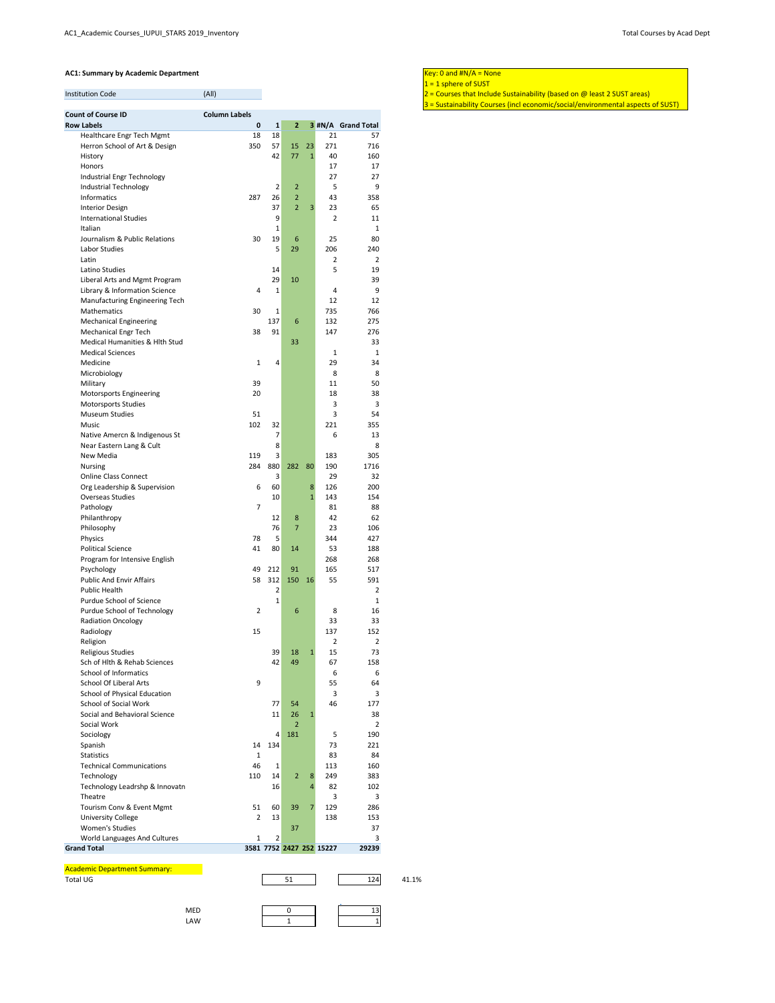3 = Sustainability Courses (incl economic/social/environmental aspects of SUST)

| <b>Count of Course ID</b>                             | <b>Column Labels</b> |                |                                  |              |                          |                    |
|-------------------------------------------------------|----------------------|----------------|----------------------------------|--------------|--------------------------|--------------------|
| <b>Row Labels</b>                                     | $\pmb{0}$            | $\mathbf 1$    | $\overline{2}$                   |              |                          | 3 #N/A Grand Total |
| Healthcare Engr Tech Mgmt                             | 18                   | 18             |                                  |              | 21                       | 57                 |
| Herron School of Art & Design                         | 350                  | 57             | 15                               | 23           | 271                      | 716                |
| History                                               |                      | 42             | 77                               | $\mathbf{1}$ | 40                       | 160                |
| Honors                                                |                      |                |                                  |              | 17                       | 17                 |
| Industrial Engr Technology                            |                      | $\overline{2}$ |                                  |              | 27<br>5                  | 27                 |
| Industrial Technology<br><b>Informatics</b>           | 287                  | 26             | $\overline{2}$<br>$\overline{2}$ |              | 43                       | 9<br>358           |
| <b>Interior Design</b>                                |                      | 37             | $\overline{2}$                   | 3            | 23                       | 65                 |
| <b>International Studies</b>                          |                      | 9              |                                  |              | $\overline{2}$           | 11                 |
| Italian                                               |                      | 1              |                                  |              |                          | 1                  |
| Journalism & Public Relations                         | 30                   | 19             | 6                                |              | 25                       | 80                 |
| Labor Studies                                         |                      | 5              | 29                               |              | 206                      | 240                |
| Latin                                                 |                      |                |                                  |              | $\overline{2}$           | $\overline{2}$     |
| Latino Studies                                        |                      | 14             |                                  |              | 5                        | 19                 |
| Liberal Arts and Mgmt Program                         |                      | 29             | 10                               |              |                          | 39                 |
| Library & Information Science                         | 4                    | $\mathbf{1}$   |                                  |              | 4                        | 9                  |
| Manufacturing Engineering Tech                        |                      |                |                                  |              | 12                       | 12                 |
| Mathematics                                           | 30                   | $\mathbf{1}$   |                                  |              | 735                      | 766                |
| <b>Mechanical Engineering</b>                         |                      | 137            | 6                                |              | 132                      | 275                |
| <b>Mechanical Engr Tech</b>                           | 38                   | 91             |                                  |              | 147                      | 276                |
| Medical Humanities & Hlth Stud                        |                      |                | 33                               |              |                          | 33                 |
| <b>Medical Sciences</b>                               |                      |                |                                  |              | 1                        | 1                  |
| Medicine                                              | $\mathbf{1}$         | 4              |                                  |              | 29                       | 34                 |
| Microbiology                                          |                      |                |                                  |              | 8                        | 8                  |
| Military                                              | 39<br>20             |                |                                  |              | 11<br>18                 | 50<br>38           |
| Motorsports Engineering<br><b>Motorsports Studies</b> |                      |                |                                  |              | 3                        | 3                  |
| <b>Museum Studies</b>                                 | 51                   |                |                                  |              | 3                        | 54                 |
| Music                                                 | 102                  | 32             |                                  |              | 221                      | 355                |
| Native Amercn & Indigenous St                         |                      | 7              |                                  |              | 6                        | 13                 |
| Near Eastern Lang & Cult                              |                      | 8              |                                  |              |                          | 8                  |
| New Media                                             | 119                  | 3              |                                  |              | 183                      | 305                |
| <b>Nursing</b>                                        | 284                  | 880            | 282                              | 80           | 190                      | 1716               |
| <b>Online Class Connect</b>                           |                      | 3              |                                  |              | 29                       | 32                 |
| Org Leadership & Supervision                          | 6                    | 60             |                                  | 8            | 126                      | 200                |
| <b>Overseas Studies</b>                               |                      | 10             |                                  | $\mathbf{1}$ | 143                      | 154                |
| Pathology                                             | $\overline{7}$       |                |                                  |              | 81                       | 88                 |
| Philanthropy                                          |                      | 12             | 8                                |              | 42                       | 62                 |
| Philosophy                                            |                      | 76             | $\overline{7}$                   |              | 23                       | 106                |
| Physics                                               | 78                   | 5              |                                  |              | 344                      | 427                |
| <b>Political Science</b>                              | 41                   | 80             | 14                               |              | 53                       | 188                |
| Program for Intensive English                         | 49                   | 212            | 91                               |              | 268<br>165               | 268<br>517         |
| Psychology<br><b>Public And Envir Affairs</b>         | 58                   | 312            | 150                              | 16           | 55                       | 591                |
| <b>Public Health</b>                                  |                      | $\overline{2}$ |                                  |              |                          | 2                  |
| Purdue School of Science                              |                      | 1              |                                  |              |                          | 1                  |
| Purdue School of Technology                           | $\overline{2}$       |                | 6                                |              | 8                        | 16                 |
| <b>Radiation Oncology</b>                             |                      |                |                                  |              | 33                       | 33                 |
| Radiology                                             | 15                   |                |                                  |              | 137                      | 152                |
| Religion                                              |                      |                |                                  |              | 2                        | $\overline{2}$     |
| Religious Studies                                     |                      | 39             | 18                               | $\mathbf{1}$ | 15                       | 73                 |
| Sch of Hlth & Rehab Sciences                          |                      | 42             | 49                               |              | 67                       | 158                |
| <b>School of Informatics</b>                          |                      |                |                                  |              | 6                        | 6                  |
| <b>School Of Liberal Arts</b>                         | 9                    |                |                                  |              | 55                       | 64                 |
| School of Physical Education                          |                      |                |                                  |              | 3                        | 3                  |
| <b>School of Social Work</b>                          |                      | 77             | 54                               |              | 46                       | 177                |
| Social and Behavioral Science                         |                      | 11             | 26                               | $\mathbf{1}$ |                          | 38                 |
| Social Work                                           |                      |                | 2                                |              |                          | 2                  |
| Sociology                                             |                      | 4              | 181                              |              | 5                        | 190                |
| Spanish                                               | 14                   | 134            |                                  |              | 73                       | 221                |
| <b>Statistics</b>                                     | 1                    |                |                                  |              | 83                       | 84                 |
| <b>Technical Communications</b>                       | 46                   | 1              |                                  |              | 113                      | 160                |
| Technology<br>Technology Leadrshp & Innovatn          | 110                  | 14             | $\overline{2}$                   | 8<br>4       | 249<br>82                | 383                |
| Theatre                                               |                      | 16             |                                  |              | 3                        | 102<br>3           |
| Tourism Conv & Event Mgmt                             | 51                   | 60             | 39                               | 7            | 129                      | 286                |
| <b>University College</b>                             | $\overline{2}$       | 13             |                                  |              | 138                      | 153                |
| <b>Women's Studies</b>                                |                      |                | 37                               |              |                          | 37                 |
| World Languages And Cultures                          | 1                    | $\overline{2}$ |                                  |              |                          | 3                  |
| <b>Grand Total</b>                                    |                      |                |                                  |              | 3581 7752 2427 252 15227 | 29239              |

 $1 = 1$  sphere of SUST

Institution Code (All) (All) (All) 2 = Courses that Include Sustainability (based on @ least 2 SUST areas)

Total UG 124 41.1%

| <b>MED</b> |  | $\overline{\phantom{0}}$ |
|------------|--|--------------------------|
| LAW        |  |                          |

51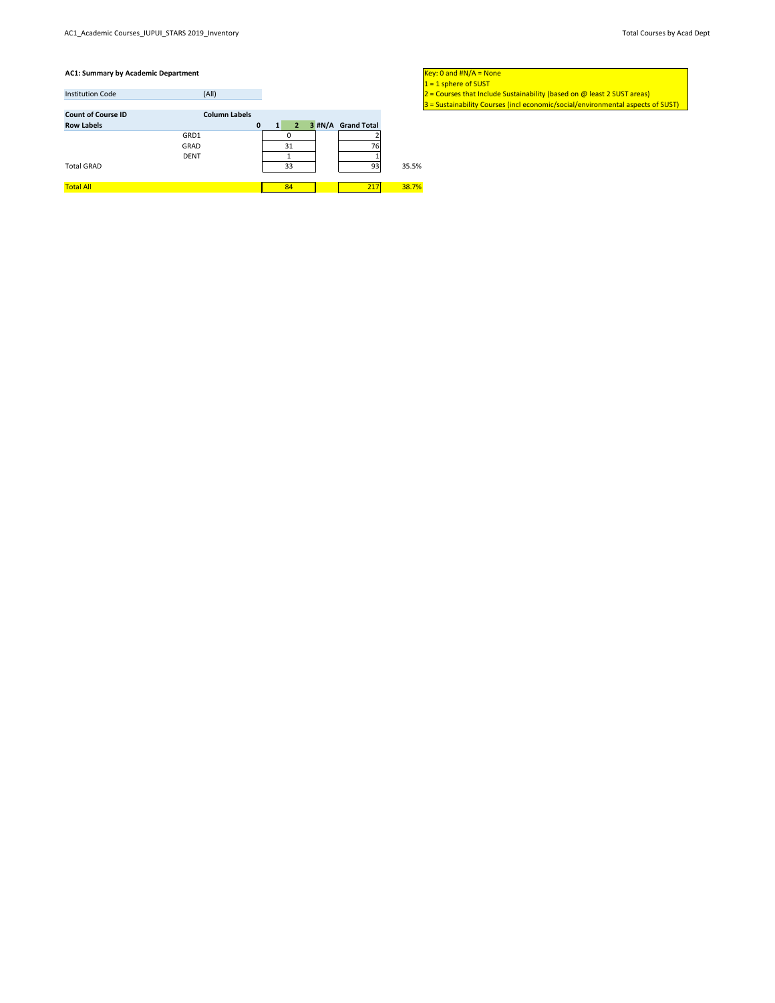3 = Sustainability Courses (incl economic/social/environmental aspects of SUST)

|                                  |                      |                    | <u>IT – T Philair ni SND i </u>                                           |
|----------------------------------|----------------------|--------------------|---------------------------------------------------------------------------|
| (A  )<br><b>Institution Code</b> |                      |                    | $2$ = Courses that Include Sustainability (based on @ least 2 SUST areas) |
|                                  |                      |                    | $3$ = Sustainability Courses (incl economic/social/environmental aspects  |
| <b>Count of Course ID</b>        | <b>Column Labels</b> |                    |                                                                           |
| <b>Row Labels</b>                | $\mathbf{0}$         | 3 #N/A Grand Total |                                                                           |
| GRD1                             |                      |                    |                                                                           |
| GRAD                             | 31                   | 76                 |                                                                           |
| <b>DENT</b>                      |                      |                    |                                                                           |
| <b>Total GRAD</b>                | 33                   | 93                 | 35.5%                                                                     |
|                                  |                      |                    |                                                                           |
| <b>Total All</b>                 | 84                   | 217                | 38.7%                                                                     |

 $1 = 1$  sphere of SUST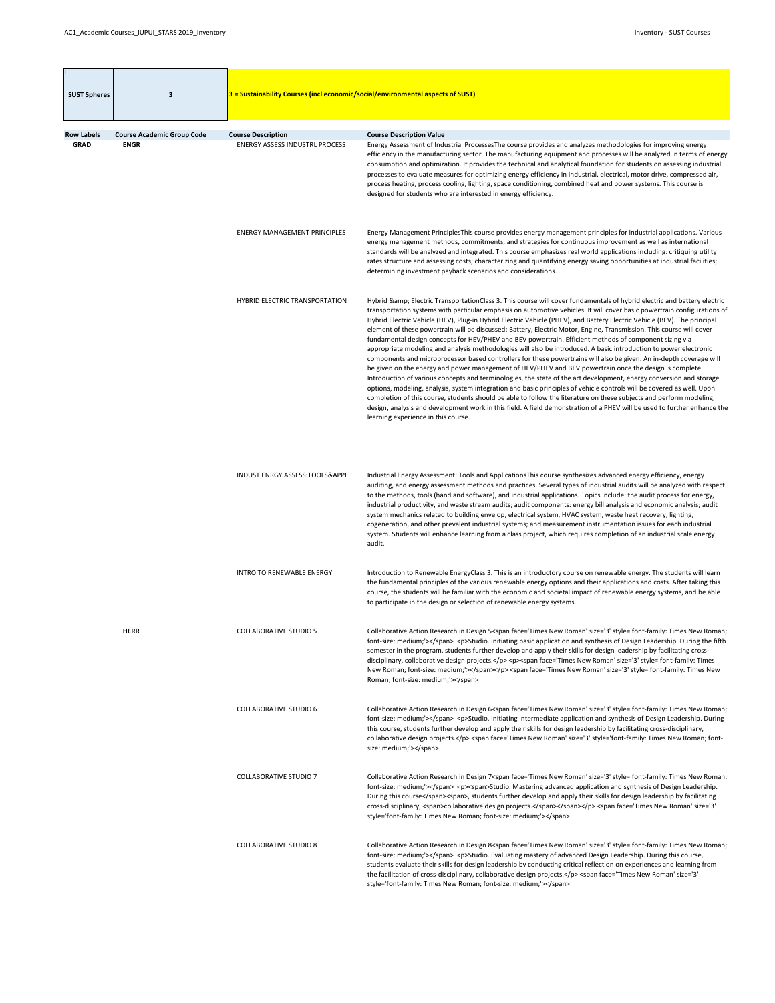$\sim$ 

<span id="page-6-0"></span>

| <b>SUST Spheres</b> | 3                                 | $3$ = Sustainability Courses (incl economic/social/environmental aspects of SUST) |                                                                                                                                                                                                                                                                                                                                                                                                                                                                                                                                                                                                                                                                                                                                                                                                                                                                                                                                                                                                                                                                                                                                                                                                                                                                                                                                                                                                                                                                                                                  |
|---------------------|-----------------------------------|-----------------------------------------------------------------------------------|------------------------------------------------------------------------------------------------------------------------------------------------------------------------------------------------------------------------------------------------------------------------------------------------------------------------------------------------------------------------------------------------------------------------------------------------------------------------------------------------------------------------------------------------------------------------------------------------------------------------------------------------------------------------------------------------------------------------------------------------------------------------------------------------------------------------------------------------------------------------------------------------------------------------------------------------------------------------------------------------------------------------------------------------------------------------------------------------------------------------------------------------------------------------------------------------------------------------------------------------------------------------------------------------------------------------------------------------------------------------------------------------------------------------------------------------------------------------------------------------------------------|
| <b>Row Labels</b>   | <b>Course Academic Group Code</b> | <b>Course Description</b>                                                         | <b>Course Description Value</b>                                                                                                                                                                                                                                                                                                                                                                                                                                                                                                                                                                                                                                                                                                                                                                                                                                                                                                                                                                                                                                                                                                                                                                                                                                                                                                                                                                                                                                                                                  |
| <b>GRAD</b>         | <b>ENGR</b>                       | <b>ENERGY ASSESS INDUSTRL PROCESS</b>                                             | Energy Assessment of Industrial ProcessesThe course provides and analyzes methodologies for improving energy<br>efficiency in the manufacturing sector. The manufacturing equipment and processes will be analyzed in terms of energy<br>consumption and optimization. It provides the technical and analytical foundation for students on assessing industrial<br>processes to evaluate measures for optimizing energy efficiency in industrial, electrical, motor drive, compressed air,<br>process heating, process cooling, lighting, space conditioning, combined heat and power systems. This course is<br>designed for students who are interested in energy efficiency.                                                                                                                                                                                                                                                                                                                                                                                                                                                                                                                                                                                                                                                                                                                                                                                                                                  |
|                     |                                   | <b>ENERGY MANAGEMENT PRINCIPLES</b>                                               | Energy Management PrinciplesThis course provides energy management principles for industrial applications. Various<br>energy management methods, commitments, and strategies for continuous improvement as well as international<br>standards will be analyzed and integrated. This course emphasizes real world applications including: critiquing utility<br>rates structure and assessing costs; characterizing and quantifying energy saving opportunities at industrial facilities;<br>determining investment payback scenarios and considerations.                                                                                                                                                                                                                                                                                                                                                                                                                                                                                                                                                                                                                                                                                                                                                                                                                                                                                                                                                         |
|                     |                                   | HYBRID ELECTRIC TRANSPORTATION                                                    | Hybrid & Electric TransportationClass 3. This course will cover fundamentals of hybrid electric and battery electric<br>transportation systems with particular emphasis on automotive vehicles. It will cover basic powertrain configurations of<br>Hybrid Electric Vehicle (HEV), Plug-in Hybrid Electric Vehicle (PHEV), and Battery Electric Vehicle (BEV). The principal<br>element of these powertrain will be discussed: Battery, Electric Motor, Engine, Transmission. This course will cover<br>fundamental design concepts for HEV/PHEV and BEV powertrain. Efficient methods of component sizing via<br>appropriate modeling and analysis methodologies will also be introduced. A basic introduction to power electronic<br>components and microprocessor based controllers for these powertrains will also be given. An in-depth coverage will<br>be given on the energy and power management of HEV/PHEV and BEV powertrain once the design is complete.<br>Introduction of various concepts and terminologies, the state of the art development, energy conversion and storage<br>options, modeling, analysis, system integration and basic principles of vehicle controls will be covered as well. Upon<br>completion of this course, students should be able to follow the literature on these subjects and perform modeling,<br>design, analysis and development work in this field. A field demonstration of a PHEV will be used to further enhance the<br>learning experience in this course. |
|                     |                                   | INDUST ENRGY ASSESS:TOOLS&APPL                                                    | Industrial Energy Assessment: Tools and Applications This course synthesizes advanced energy efficiency, energy<br>auditing, and energy assessment methods and practices. Several types of industrial audits will be analyzed with respect<br>to the methods, tools (hand and software), and industrial applications. Topics include: the audit process for energy,<br>industrial productivity, and waste stream audits; audit components: energy bill analysis and economic analysis; audit<br>system mechanics related to building envelop, electrical system, HVAC system, waste heat recovery, lighting,<br>cogeneration, and other prevalent industrial systems; and measurement instrumentation issues for each industrial<br>system. Students will enhance learning from a class project, which requires completion of an industrial scale energy<br>audit.                                                                                                                                                                                                                                                                                                                                                                                                                                                                                                                                                                                                                                               |
|                     |                                   | <b>INTRO TO RENEWABLE ENERGY</b>                                                  | Introduction to Renewable EnergyClass 3. This is an introductory course on renewable energy. The students will learn<br>the fundamental principles of the various renewable energy options and their applications and costs. After taking this<br>course, the students will be familiar with the economic and societal impact of renewable energy systems, and be able                                                                                                                                                                                                                                                                                                                                                                                                                                                                                                                                                                                                                                                                                                                                                                                                                                                                                                                                                                                                                                                                                                                                           |

to participate in the design or selection of renewable energy systems.

| <b>HERR</b> | <b>COLLABORATIVE STUDIO 5</b> | Collaborative Action Research in Design 5 <span face="Times New Roman" size="3" style="font-family: Times New Roman;&lt;br&gt;font-size: medium;"></span> <p>Studio. Initiating basic application and synthesis of Design Leadership. During the fifth<br/>semester in the program, students further develop and apply their skills for design leadership by facilitating cross-<br/>disciplinary, collaborative design projects.</p> <p><span face="Times New Roman" size="3" style="font-family: Times&lt;br&gt;New Roman; font-size: medium;"></span></p> <span face="Times New Roman" size="3" style="font-family: Times New&lt;br&gt;Roman; font-size: medium;"></span> |
|-------------|-------------------------------|------------------------------------------------------------------------------------------------------------------------------------------------------------------------------------------------------------------------------------------------------------------------------------------------------------------------------------------------------------------------------------------------------------------------------------------------------------------------------------------------------------------------------------------------------------------------------------------------------------------------------------------------------------------------------|
|             | <b>COLLABORATIVE STUDIO 6</b> | Collaborative Action Research in Design 6 <span face="Times New Roman" size="3" style="font-family: Times New Roman;&lt;br&gt;font-size: medium;"></span> <p>Studio. Initiating intermediate application and synthesis of Design Leadership. During<br/>this course, students further develop and apply their skills for design leadership by facilitating cross-disciplinary,<br/>collaborative design projects.</p> <span face="Times New Roman" size="3" style="font-family: Times New Roman; font-&lt;br&gt;size: medium;"></span>                                                                                                                                       |
|             | <b>COLLABORATIVE STUDIO 7</b> | Collaborative Action Research in Design 7 <span face="Times New Roman" size="3" style="font-family: Times New Roman;&lt;br&gt;font-size: medium;"></span> <p><span>Studio. Mastering advanced application and synthesis of Design Leadership.<br/>During this course</span><span>, students further develop and apply their skills for design leadership by facilitating<br/>cross-disciplinary, <span>collaborative design projects.</span></span></p> <span <br="" face="Times New Roman" size="3">style='font-family: Times New Roman; font-size: medium;'&gt;</span>                                                                                                     |
|             | <b>COLLABORATIVE STUDIO 8</b> | Collaborative Action Research in Design 8 <span face="Times New Roman" size="3" style="font-family: Times New Roman;&lt;br&gt;font-size: medium;"></span> <p>Studio. Evaluating mastery of advanced Design Leadership. During this course,<br/>students evaluate their skills for design leadership by conducting critical reflection on experiences and learning from<br/>the facilitation of cross-disciplinary, collaborative design projects.</p> <span <br="" face="Times New Roman" size="3">style='font-family: Times New Roman; font-size: medium;'&gt;</span>                                                                                                       |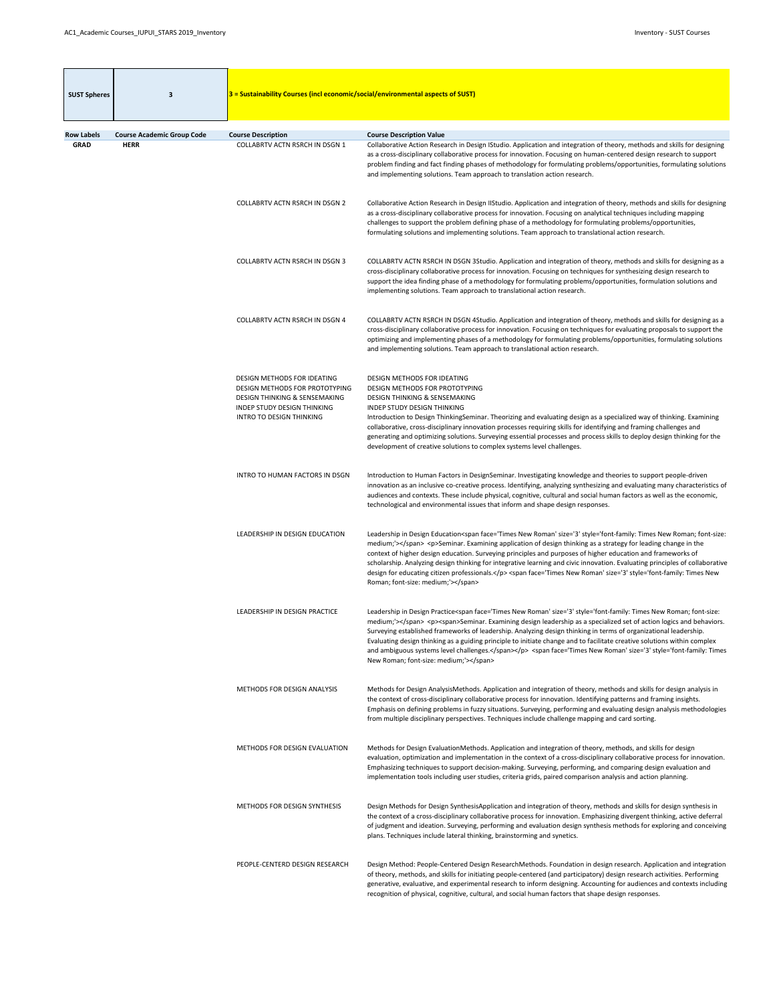| <b>SUST Spheres</b>              | -3                                                                                                                                                                                                                                                                                                                                                                                                                                                     | $3$ = Sustainability Courses (incl economic/social/environmental aspects of SUST)                                                                                                  |                                                                                                                                                                                                                                                                                                                                                                                                                                                                                                                                                                                                                                                                  |
|----------------------------------|--------------------------------------------------------------------------------------------------------------------------------------------------------------------------------------------------------------------------------------------------------------------------------------------------------------------------------------------------------------------------------------------------------------------------------------------------------|------------------------------------------------------------------------------------------------------------------------------------------------------------------------------------|------------------------------------------------------------------------------------------------------------------------------------------------------------------------------------------------------------------------------------------------------------------------------------------------------------------------------------------------------------------------------------------------------------------------------------------------------------------------------------------------------------------------------------------------------------------------------------------------------------------------------------------------------------------|
|                                  |                                                                                                                                                                                                                                                                                                                                                                                                                                                        |                                                                                                                                                                                    |                                                                                                                                                                                                                                                                                                                                                                                                                                                                                                                                                                                                                                                                  |
| <b>Row Labels</b><br><b>GRAD</b> | <b>Course Academic Group Code</b><br><b>HERR</b>                                                                                                                                                                                                                                                                                                                                                                                                       | <b>Course Description</b><br><b>COLLABRTV ACTN RSRCH IN DSGN 1</b>                                                                                                                 | <b>Course Description Value</b><br>Collaborative Action Research in Design IStudio. Application and integration of theory, methods and skills for designing<br>as a cross-disciplinary collaborative process for innovation. Focusing on human-centered design research to support<br>problem finding and fact finding phases of methodology for formulating problems/opportunities, formulating solutions<br>and implementing solutions. Team approach to translation action research.                                                                                                                                                                          |
|                                  |                                                                                                                                                                                                                                                                                                                                                                                                                                                        | <b>COLLABRTV ACTN RSRCH IN DSGN 2</b>                                                                                                                                              | Collaborative Action Research in Design IIStudio. Application and integration of theory, methods and skills for designing<br>as a cross-disciplinary collaborative process for innovation. Focusing on analytical techniques including mapping<br>challenges to support the problem defining phase of a methodology for formulating problems/opportunities,<br>formulating solutions and implementing solutions. Team approach to translational action research.                                                                                                                                                                                                 |
|                                  |                                                                                                                                                                                                                                                                                                                                                                                                                                                        | <b>COLLABRTV ACTN RSRCH IN DSGN 3</b>                                                                                                                                              | COLLABRTV ACTN RSRCH IN DSGN 3Studio. Application and integration of theory, methods and skills for designing as a<br>cross-disciplinary collaborative process for innovation. Focusing on techniques for synthesizing design research to<br>support the idea finding phase of a methodology for formulating problems/opportunities, formulation solutions and<br>implementing solutions. Team approach to translational action research.                                                                                                                                                                                                                        |
|                                  |                                                                                                                                                                                                                                                                                                                                                                                                                                                        | <b>COLLABRTV ACTN RSRCH IN DSGN 4</b>                                                                                                                                              | COLLABRTV ACTN RSRCH IN DSGN 4Studio. Application and integration of theory, methods and skills for designing as a<br>cross-disciplinary collaborative process for innovation. Focusing on techniques for evaluating proposals to support the<br>optimizing and implementing phases of a methodology for formulating problems/opportunities, formulating solutions<br>and implementing solutions. Team approach to translational action research.                                                                                                                                                                                                                |
|                                  |                                                                                                                                                                                                                                                                                                                                                                                                                                                        | DESIGN METHODS FOR IDEATING<br>DESIGN METHODS FOR PROTOTYPING<br><b>DESIGN THINKING &amp; SENSEMAKING</b><br><b>INDEP STUDY DESIGN THINKING</b><br><b>INTRO TO DESIGN THINKING</b> | <b>DESIGN METHODS FOR IDEATING</b><br>DESIGN METHODS FOR PROTOTYPING<br><b>DESIGN THINKING &amp; SENSEMAKING</b><br><b>INDEP STUDY DESIGN THINKING</b><br>Introduction to Design ThinkingSeminar. Theorizing and evaluating design as a specialized way of thinking. Examining<br>collaborative, cross-disciplinary innovation processes requiring skills for identifying and framing challenges and<br>generating and optimizing solutions. Surveying essential processes and process skills to deploy design thinking for the<br>development of creative solutions to complex systems level challenges.                                                        |
| INTRO TO HUMAN FACTORS IN DSGN   | Introduction to Human Factors in DesignSeminar. Investigating knowledge and theories to support people-driven<br>innovation as an inclusive co-creative process. Identifying, analyzing synthesizing and evaluating many characteristics of<br>audiences and contexts. These include physical, cognitive, cultural and social human factors as well as the economic,<br>technological and environmental issues that inform and shape design responses. |                                                                                                                                                                                    |                                                                                                                                                                                                                                                                                                                                                                                                                                                                                                                                                                                                                                                                  |
|                                  |                                                                                                                                                                                                                                                                                                                                                                                                                                                        | LEADERSHIP IN DESIGN EDUCATION                                                                                                                                                     | Leadership in Design Education <span face="Times New Roman" size="3" style="font-family: Times New Roman; font-size:&lt;br&gt;medium;"></span> <p>Seminar. Examining application of design thinking as a strategy for leading change in the<br/>context of higher design education. Surveying principles and purposes of higher education and frameworks of<br/>scholarship. Analyzing design thinking for integrative learning and civic innovation. Evaluating principles of collaborative<br/>design for educating citizen professionals.</p> <span face="Times New Roman" size="3" style="font-family: Times New&lt;br&gt;Roman; font-size: medium;"></span> |

| LEADERSHIP IN DESIGN PRACTICE        | Leadership in Design Practice <span face="Times New Roman" size="3" style="font-family: Times New Roman; font-size:&lt;br&gt;medium;"></span> <p><span>Seminar. Examining design leadership as a specialized set of action logics and behaviors.<br/>Surveying established frameworks of leadership. Analyzing design thinking in terms of organizational leadership.<br/>Evaluating design thinking as a guiding principle to initiate change and to facilitate creative solutions within complex<br/>and ambiguous systems level challenges.</span></p> <span face="Times New Roman" size="3" style="font-family: Times&lt;br&gt;New Roman; font-size: medium;"></span> |
|--------------------------------------|---------------------------------------------------------------------------------------------------------------------------------------------------------------------------------------------------------------------------------------------------------------------------------------------------------------------------------------------------------------------------------------------------------------------------------------------------------------------------------------------------------------------------------------------------------------------------------------------------------------------------------------------------------------------------|
| METHODS FOR DESIGN ANALYSIS          | Methods for Design AnalysisMethods. Application and integration of theory, methods and skills for design analysis in<br>the context of cross-disciplinary collaborative process for innovation. Identifying patterns and framing insights.<br>Emphasis on defining problems in fuzzy situations. Surveying, performing and evaluating design analysis methodologies<br>from multiple disciplinary perspectives. Techniques include challenge mapping and card sorting.                                                                                                                                                                                                    |
| <b>METHODS FOR DESIGN EVALUATION</b> | Methods for Design EvaluationMethods. Application and integration of theory, methods, and skills for design<br>evaluation, optimization and implementation in the context of a cross-disciplinary collaborative process for innovation.<br>Emphasizing techniques to support decision-making. Surveying, performing, and comparing design evaluation and<br>implementation tools including user studies, criteria grids, paired comparison analysis and action planning.                                                                                                                                                                                                  |
| METHODS FOR DESIGN SYNTHESIS         | Design Methods for Design SynthesisApplication and integration of theory, methods and skills for design synthesis in<br>the context of a cross-disciplinary collaborative process for innovation. Emphasizing divergent thinking, active deferral<br>of judgment and ideation. Surveying, performing and evaluation design synthesis methods for exploring and conceiving<br>plans. Techniques include lateral thinking, brainstorming and synetics.                                                                                                                                                                                                                      |
| PEOPLE-CENTERD DESIGN RESEARCH       | Design Method: People-Centered Design ResearchMethods. Foundation in design research. Application and integration<br>of theory, methods, and skills for initiating people-centered (and participatory) design research activities. Performing<br>generative, evaluative, and experimental research to inform designing. Accounting for audiences and contexts including<br>recognition of physical, cognitive, cultural, and social human factors that shape design responses.                                                                                                                                                                                            |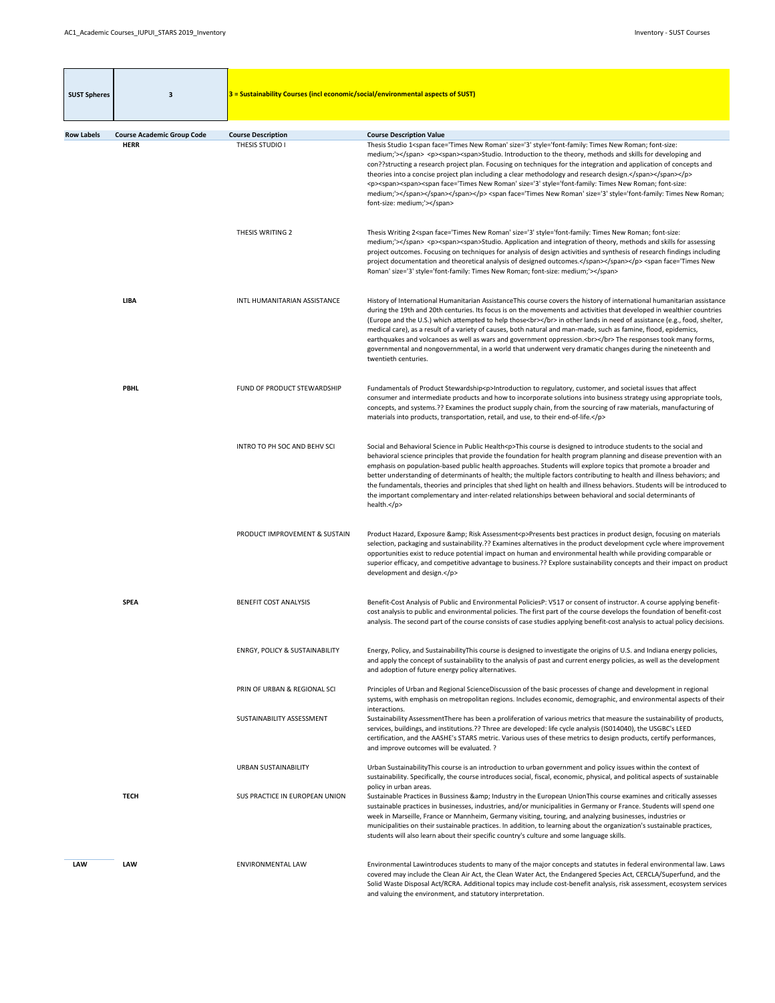| <b>SUST Spheres</b> | 3                                 | 3 = Sustainability Courses (incl economic/social/environmental aspects of SUST) |                                                                                                                                                                                                                                                                                                                                                                                                                                                                                                                                                                                                                                                                                                                                                      |
|---------------------|-----------------------------------|---------------------------------------------------------------------------------|------------------------------------------------------------------------------------------------------------------------------------------------------------------------------------------------------------------------------------------------------------------------------------------------------------------------------------------------------------------------------------------------------------------------------------------------------------------------------------------------------------------------------------------------------------------------------------------------------------------------------------------------------------------------------------------------------------------------------------------------------|
| <b>Row Labels</b>   | <b>Course Academic Group Code</b> | <b>Course Description</b>                                                       | <b>Course Description Value</b>                                                                                                                                                                                                                                                                                                                                                                                                                                                                                                                                                                                                                                                                                                                      |
|                     | <b>HERR</b>                       | THESIS STUDIO I                                                                 | Thesis Studio 1 <span face="Times New Roman" size="3" style="font-family: Times New Roman; font-size:&lt;br&gt;medium;"></span> <p><span><span>Studio. Introduction to the theory, methods and skills for developing and<br/>con??structing a research project plan. Focusing on techniques for the integration and application of concepts and<br/>theories into a concise project plan including a clear methodology and research design.</span></span></p><br><p><span><span><span><span face="Times New Roman" size="3" style="font-family: Times New Roman; font-size:&lt;br&gt;medium;"></span></span></span></span></p> <span face="Times New Roman" size="3" style="font-family: Times New Roman;&lt;br&gt;font-size: medium;"></span>       |
|                     |                                   | THESIS WRITING 2                                                                | Thesis Writing 2 <span face="Times New Roman" size="3" style="font-family: Times New Roman; font-size:&lt;br&gt;medium;"></span> <p><span><span>Studio. Application and integration of theory, methods and skills for assessing<br/>project outcomes. Focusing on techniques for analysis of design activities and synthesis of research findings including<br/>project documentation and theoretical analysis of designed outcomes.</span></span></p> <span face="Times New&lt;br&gt;Roman" size="3" style="font-family: Times New Roman; font-size: medium;"></span>                                                                                                                                                                               |
|                     | <b>LIBA</b>                       | INTL HUMANITARIAN ASSISTANCE                                                    | History of International Humanitarian AssistanceThis course covers the history of international humanitarian assistance<br>during the 19th and 20th centuries. Its focus is on the movements and activities that developed in wealthier countries<br>(Europe and the U.S.) which attempted to help those<br>in other lands in need of assistance (e.g., food, shelter,<br>medical care), as a result of a variety of causes, both natural and man-made, such as famine, flood, epidemics,<br>earthquakes and volcanoes as well as wars and government oppression.<br>The responses took many forms,<br>governmental and nongovernmental, in a world that underwent very dramatic changes during the nineteenth and<br>twentieth centuries.           |
|                     | <b>PBHL</b>                       | FUND OF PRODUCT STEWARDSHIP                                                     | Fundamentals of Product Stewardship <p>Introduction to regulatory, customer, and societal issues that affect<br/>consumer and intermediate products and how to incorporate solutions into business strategy using appropriate tools,<br/>concepts, and systems.?? Examines the product supply chain, from the sourcing of raw materials, manufacturing of<br/>materials into products, transportation, retail, and use, to their end-of-life.</p>                                                                                                                                                                                                                                                                                                    |
|                     |                                   | INTRO TO PH SOC AND BEHV SCI                                                    | Social and Behavioral Science in Public Health <p>This course is designed to introduce students to the social and<br/>behavioral science principles that provide the foundation for health program planning and disease prevention with an<br/>emphasis on population-based public health approaches. Students will explore topics that promote a broader and<br/>better understanding of determinants of health; the multiple factors contributing to health and illness behaviors; and<br/>the fundamentals, theories and principles that shed light on health and illness behaviors. Students will be introduced to<br/>the important complementary and inter-related relationships between behavioral and social determinants of<br/>health.</p> |
|                     |                                   | PRODUCT IMPROVEMENT & SUSTAIN                                                   | Product Hazard, Exposure & Risk Assessment <p>Presents best practices in product design, focusing on materials<br/>selection, packaging and sustainability.?? Examines alternatives in the product development cycle where improvement<br/>opportunities exist to reduce potential impact on human and environmental health while providing comparable or<br/>superior efficacy, and competitive advantage to business.?? Explore sustainability concepts and their impact on product<br/>development and design.</p>                                                                                                                                                                                                                                |
|                     | <b>SPEA</b>                       | <b>BENEFIT COST ANALYSIS</b>                                                    | Benefit-Cost Analysis of Public and Environmental PoliciesP: V517 or consent of instructor. A course applying benefit-<br>cost analysis to public and environmental policies. The first part of the course develops the foundation of benefit-cost<br>analysis. The second part of the course consists of case studies applying benefit-cost analysis to actual policy decisions.                                                                                                                                                                                                                                                                                                                                                                    |
|                     |                                   | <b>ENRGY, POLICY &amp; SUSTAINABILITY</b>                                       | Energy, Policy, and Sustainability This course is designed to investigate the origins of U.S. and Indiana energy policies,<br>and apply the concept of sustainability to the analysis of past and current energy policies, as well as the development<br>and adoption of future energy policy alternatives.                                                                                                                                                                                                                                                                                                                                                                                                                                          |
|                     |                                   | PRIN OF URBAN & REGIONAL SCI                                                    | Principles of Urban and Regional ScienceDiscussion of the basic processes of change and development in regional<br>systems, with emphasis on metropolitan regions. Includes economic, demographic, and environmental aspects of their<br>interactions.                                                                                                                                                                                                                                                                                                                                                                                                                                                                                               |
|                     |                                   | SUSTAINABILITY ASSESSMENT                                                       | Sustainability AssessmentThere has been a proliferation of various metrics that measure the sustainability of products,<br>services, buildings, and institutions.?? Three are developed: life cycle analysis (IS014040), the USGBC's LEED<br>certification, and the AASHE's STARS metric. Various uses of these metrics to design products, certify performances,<br>and improve outcomes will be evaluated. ?                                                                                                                                                                                                                                                                                                                                       |
|                     |                                   | <b>URBAN SUSTAINABILITY</b>                                                     | Urban Sustainability This course is an introduction to urban government and policy issues within the context of<br>sustainability. Specifically, the course introduces social, fiscal, economic, physical, and political aspects of sustainable<br>policy in urban areas.                                                                                                                                                                                                                                                                                                                                                                                                                                                                            |
|                     | <b>TECH</b>                       | SUS PRACTICE IN EUROPEAN UNION                                                  | Sustainable Practices in Bussiness & Industry in the European UnionThis course examines and critically assesses<br>sustainable practices in businesses, industries, and/or municipalities in Germany or France. Students will spend one<br>week in Marseille, France or Mannheim, Germany visiting, touring, and analyzing businesses, industries or<br>municipalities on their sustainable practices. In addition, to learning about the organization's sustainable practices,<br>students will also learn about their specific country's culture and some language skills.                                                                                                                                                                         |
| <b>LAW</b>          | <b>LAW</b>                        | <b>ENVIRONMENTAL LAW</b>                                                        | Environmental Lawintroduces students to many of the major concepts and statutes in federal environmental law. Laws<br>covered may include the Clean Air Act, the Clean Water Act, the Endangered Species Act, CERCLA/Superfund, and the<br>Solid Waste Disposal Act/RCRA. Additional topics may include cost-benefit analysis, risk assessment, ecosystem services<br>and valuing the environment, and statutory interpretation.                                                                                                                                                                                                                                                                                                                     |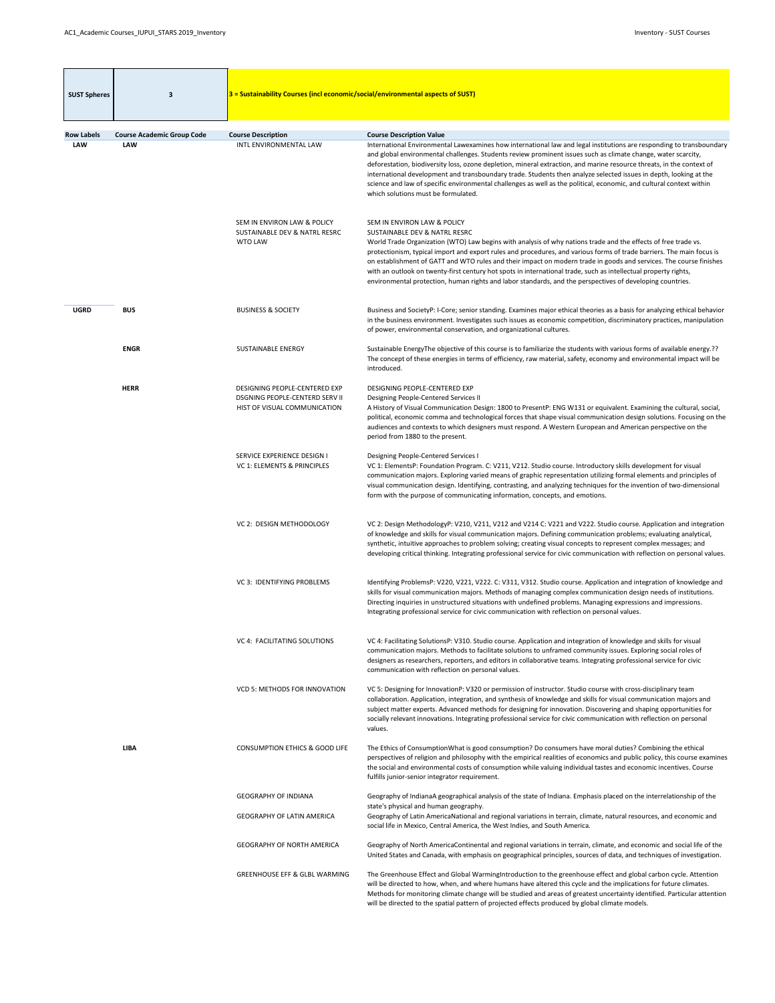| <b>SUST Spheres</b>             | 3                                               | 3 = Sustainability Courses (incl economic/social/environmental aspects of SUST)                        |                                                                                                                                                                                                                                                                                                                                                                                                                                                                                                                                                                                                                                                                                       |
|---------------------------------|-------------------------------------------------|--------------------------------------------------------------------------------------------------------|---------------------------------------------------------------------------------------------------------------------------------------------------------------------------------------------------------------------------------------------------------------------------------------------------------------------------------------------------------------------------------------------------------------------------------------------------------------------------------------------------------------------------------------------------------------------------------------------------------------------------------------------------------------------------------------|
| <b>Row Labels</b><br><b>LAW</b> | <b>Course Academic Group Code</b><br><b>LAW</b> | <b>Course Description</b><br>INTL ENVIRONMENTAL LAW                                                    | <b>Course Description Value</b><br>International Environmental Lawexamines how international law and legal institutions are responding to transboundary<br>and global environmental challenges. Students review prominent issues such as climate change, water scarcity,<br>deforestation, biodiversity loss, ozone depletion, mineral extraction, and marine resource threats, in the context of<br>international development and transboundary trade. Students then analyze selected issues in depth, looking at the<br>science and law of specific environmental challenges as well as the political, economic, and cultural context within<br>which solutions must be formulated. |
|                                 |                                                 | SEM IN ENVIRON LAW & POLICY<br><b>SUSTAINABLE DEV &amp; NATRL RESRC</b><br><b>WTO LAW</b>              | SEM IN ENVIRON LAW & POLICY<br><b>SUSTAINABLE DEV &amp; NATRL RESRC</b><br>World Trade Organization (WTO) Law begins with analysis of why nations trade and the effects of free trade vs.<br>protectionism, typical import and export rules and procedures, and various forms of trade barriers. The main focus is<br>on establishment of GATT and WTO rules and their impact on modern trade in goods and services. The course finishes<br>with an outlook on twenty-first century hot spots in international trade, such as intellectual property rights,<br>environmental protection, human rights and labor standards, and the perspectives of developing countries.              |
| <b>UGRD</b>                     | <b>BUS</b>                                      | <b>BUSINESS &amp; SOCIETY</b>                                                                          | Business and SocietyP: I-Core; senior standing. Examines major ethical theories as a basis for analyzing ethical behavior<br>in the business environment. Investigates such issues as economic competition, discriminatory practices, manipulation<br>of power, environmental conservation, and organizational cultures.                                                                                                                                                                                                                                                                                                                                                              |
|                                 | <b>ENGR</b>                                     | <b>SUSTAINABLE ENERGY</b>                                                                              | Sustainable EnergyThe objective of this course is to familiarize the students with various forms of available energy.??<br>The concept of these energies in terms of efficiency, raw material, safety, economy and environmental impact will be<br>introduced.                                                                                                                                                                                                                                                                                                                                                                                                                        |
|                                 | <b>HERR</b>                                     | DESIGNING PEOPLE-CENTERED EXP<br><b>DSGNING PEOPLE-CENTERD SERV II</b><br>HIST OF VISUAL COMMUNICATION | DESIGNING PEOPLE-CENTERED EXP<br>Designing People-Centered Services II<br>A History of Visual Communication Design: 1800 to PresentP: ENG W131 or equivalent. Examining the cultural, social,<br>political, economic comma and technological forces that shape visual communication design solutions. Focusing on the<br>audiences and contexts to which designers must respond. A Western European and American perspective on the<br>period from 1880 to the present.                                                                                                                                                                                                               |
|                                 |                                                 | SERVICE EXPERIENCE DESIGN I<br>VC 1: ELEMENTS & PRINCIPLES                                             | <b>Designing People-Centered Services I</b><br>VC 1: ElementsP: Foundation Program. C: V211, V212. Studio course. Introductory skills development for visual<br>communication majors. Exploring varied means of graphic representation utilizing formal elements and principles of<br>visual communication design. Identifying, contrasting, and analyzing techniques for the invention of two-dimensional<br>form with the purpose of communicating information, concepts, and emotions.                                                                                                                                                                                             |
|                                 |                                                 | VC 2: DESIGN METHODOLOGY                                                                               | VC 2: Design MethodologyP: V210, V211, V212 and V214 C: V221 and V222. Studio course. Application and integration<br>of knowledge and skills for visual communication majors. Defining communication problems; evaluating analytical,<br>synthetic, intuitive approaches to problem solving; creating visual concepts to represent complex messages; and<br>developing critical thinking. Integrating professional service for civic communication with reflection on personal values.                                                                                                                                                                                                |
|                                 |                                                 | VC 3: IDENTIFYING PROBLEMS                                                                             | Identifying ProblemsP: V220, V221, V222. C: V311, V312. Studio course. Application and integration of knowledge and<br>skills for visual communication majors. Methods of managing complex communication design needs of institutions.<br>Directing inquiries in unstructured situations with undefined problems. Managing expressions and impressions.<br>Integrating professional service for civic communication with reflection on personal values.                                                                                                                                                                                                                               |
|                                 |                                                 | VC 4: FACILITATING SOLUTIONS                                                                           | VC 4: Facilitating SolutionsP: V310. Studio course. Application and integration of knowledge and skills for visual<br>communication majors. Methods to facilitate solutions to unframed community issues. Exploring social roles of<br>designers as researchers, reporters, and editors in collaborative teams. Integrating professional service for civic<br>communication with reflection on personal values.                                                                                                                                                                                                                                                                       |
|                                 |                                                 | <b>VCD 5: METHODS FOR INNOVATION</b>                                                                   | VC 5: Designing for InnovationP: V320 or permission of instructor. Studio course with cross-disciplinary team<br>collaboration. Application, integration, and synthesis of knowledge and skills for visual communication majors and<br>subject matter experts. Advanced methods for designing for innovation. Discovering and shaping opportunities for<br>socially relevant innovations. Integrating professional service for civic communication with reflection on personal<br>values.                                                                                                                                                                                             |
|                                 | <b>LIBA</b>                                     | <b>CONSUMPTION ETHICS &amp; GOOD LIFE</b>                                                              | The Ethics of ConsumptionWhat is good consumption? Do consumers have moral duties? Combining the ethical<br>perspectives of religion and philosophy with the empirical realities of economics and public policy, this course examines<br>the social and environmental costs of consumption while valuing individual tastes and economic incentives. Course<br>fulfills junior-senior integrator requirement.                                                                                                                                                                                                                                                                          |
|                                 |                                                 | <b>GEOGRAPHY OF INDIANA</b>                                                                            | Geography of IndianaA geographical analysis of the state of Indiana. Emphasis placed on the interrelationship of the                                                                                                                                                                                                                                                                                                                                                                                                                                                                                                                                                                  |
|                                 |                                                 | <b>GEOGRAPHY OF LATIN AMERICA</b>                                                                      | state's physical and human geography.<br>Geography of Latin AmericaNational and regional variations in terrain, climate, natural resources, and economic and<br>social life in Mexico, Central America, the West Indies, and South America.                                                                                                                                                                                                                                                                                                                                                                                                                                           |
|                                 |                                                 | <b>GEOGRAPHY OF NORTH AMERICA</b>                                                                      | Geography of North AmericaContinental and regional variations in terrain, climate, and economic and social life of the<br>United States and Canada, with emphasis on geographical principles, sources of data, and techniques of investigation.                                                                                                                                                                                                                                                                                                                                                                                                                                       |
|                                 |                                                 | <b>GREENHOUSE EFF &amp; GLBL WARMING</b>                                                               | The Greenhouse Effect and Global WarmingIntroduction to the greenhouse effect and global carbon cycle. Attention<br>will be directed to how, when, and where humans have altered this cycle and the implications for future climates.<br>Methods for monitoring climate change will be studied and areas of greatest uncertainty identified. Particular attention<br>will be directed to the spatial pattern of projected effects produced by global climate models.                                                                                                                                                                                                                  |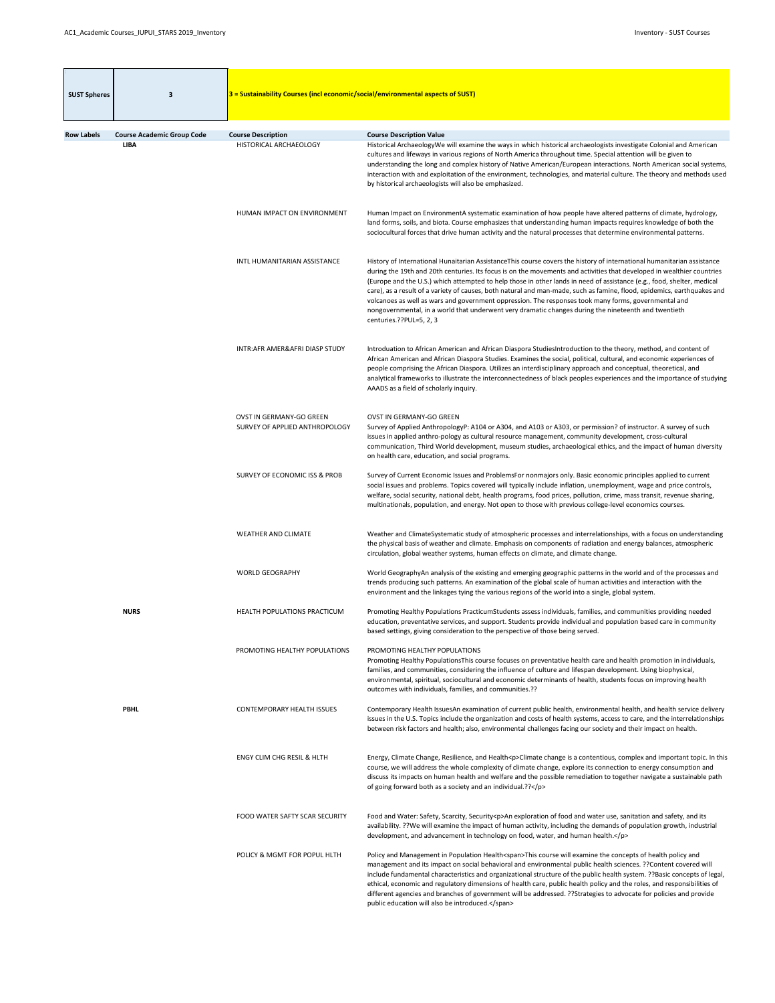| <b>SUST Spheres</b> | 3                                                | $3$ = Sustainability Courses (incl economic/social/environmental aspects of SUST) |                                                                                                                                                                                                                                                                                                                                                                                                                                                                                                                                                                                                                                                                                                                                                   |
|---------------------|--------------------------------------------------|-----------------------------------------------------------------------------------|---------------------------------------------------------------------------------------------------------------------------------------------------------------------------------------------------------------------------------------------------------------------------------------------------------------------------------------------------------------------------------------------------------------------------------------------------------------------------------------------------------------------------------------------------------------------------------------------------------------------------------------------------------------------------------------------------------------------------------------------------|
|                     |                                                  |                                                                                   |                                                                                                                                                                                                                                                                                                                                                                                                                                                                                                                                                                                                                                                                                                                                                   |
| <b>Row Labels</b>   | <b>Course Academic Group Code</b><br><b>LIBA</b> | <b>Course Description</b><br>HISTORICAL ARCHAEOLOGY                               | <b>Course Description Value</b><br>Historical ArchaeologyWe will examine the ways in which historical archaeologists investigate Colonial and American<br>cultures and lifeways in various regions of North America throughout time. Special attention will be given to<br>understanding the long and complex history of Native American/European interactions. North American social systems,<br>interaction with and exploitation of the environment, technologies, and material culture. The theory and methods used<br>by historical archaeologists will also be emphasized.                                                                                                                                                                  |
|                     |                                                  | HUMAN IMPACT ON ENVIRONMENT                                                       | Human Impact on EnvironmentA systematic examination of how people have altered patterns of climate, hydrology,<br>land forms, soils, and biota. Course emphasizes that understanding human impacts requires knowledge of both the<br>sociocultural forces that drive human activity and the natural processes that determine environmental patterns.                                                                                                                                                                                                                                                                                                                                                                                              |
|                     |                                                  | INTL HUMANITARIAN ASSISTANCE                                                      | History of International Hunaitarian Assistance This course covers the history of international humanitarian assistance<br>during the 19th and 20th centuries. Its focus is on the movements and activities that developed in wealthier countries<br>(Europe and the U.S.) which attempted to help those in other lands in need of assistance (e.g., food, shelter, medical<br>care), as a result of a variety of causes, both natural and man-made, such as famine, flood, epidemics, earthquakes and<br>volcanoes as well as wars and government oppression. The responses took many forms, governmental and<br>nongovernmental, in a world that underwent very dramatic changes during the nineteenth and twentieth<br>centuries.??PUL=5, 2, 3 |
|                     |                                                  | INTR: AFR AMER& AFRI DIASP STUDY                                                  | Introduation to African American and African Diaspora StudiesIntroduction to the theory, method, and content of<br>African American and African Diaspora Studies. Examines the social, political, cultural, and economic experiences of<br>people comprising the African Diaspora. Utilizes an interdisciplinary approach and conceptual, theoretical, and<br>analytical frameworks to illustrate the interconnectedness of black peoples experiences and the importance of studying<br>AAADS as a field of scholarly inquiry.                                                                                                                                                                                                                    |
|                     |                                                  | OVST IN GERMANY-GO GREEN<br>SURVEY OF APPLIED ANTHROPOLOGY                        | <b>OVST IN GERMANY-GO GREEN</b><br>Survey of Applied AnthropologyP: A104 or A304, and A103 or A303, or permission? of instructor. A survey of such<br>issues in applied anthro-pology as cultural resource management, community development, cross-cultural<br>communication, Third World development, museum studies, archaeological ethics, and the impact of human diversity<br>on health care, education, and social programs.                                                                                                                                                                                                                                                                                                               |
|                     |                                                  | <b>SURVEY OF ECONOMIC ISS &amp; PROB</b>                                          | Survey of Current Economic Issues and ProblemsFor nonmajors only. Basic economic principles applied to current<br>social issues and problems. Topics covered will typically include inflation, unemployment, wage and price controls,<br>welfare, social security, national debt, health programs, food prices, pollution, crime, mass transit, revenue sharing,<br>multinationals, population, and energy. Not open to those with previous college-level economics courses.                                                                                                                                                                                                                                                                      |
|                     |                                                  | <b>WEATHER AND CLIMATE</b>                                                        | Weather and ClimateSystematic study of atmospheric processes and interrelationships, with a focus on understanding<br>the physical basis of weather and climate. Emphasis on components of radiation and energy balances, atmospheric<br>circulation, global weather systems, human effects on climate, and climate change.                                                                                                                                                                                                                                                                                                                                                                                                                       |
|                     |                                                  | <b>WORLD GEOGRAPHY</b>                                                            | World GeographyAn analysis of the existing and emerging geographic patterns in the world and of the processes and<br>trends producing such patterns. An examination of the global scale of human activities and interaction with the<br>environment and the linkages tying the various regions of the world into a single, global system.                                                                                                                                                                                                                                                                                                                                                                                                         |
|                     | <b>NURS</b>                                      | HEALTH POPULATIONS PRACTICUM                                                      | Promoting Healthy Populations PracticumStudents assess individuals, families, and communities providing needed<br>education, preventative services, and support. Students provide individual and population based care in community<br>based settings, giving consideration to the perspective of those being served.                                                                                                                                                                                                                                                                                                                                                                                                                             |
|                     |                                                  | PROMOTING HEALTHY POPULATIONS                                                     | PROMOTING HEALTHY POPULATIONS<br>Promoting Healthy PopulationsThis course focuses on preventative health care and health promotion in individuals,<br>families, and communities, considering the influence of culture and lifespan development. Using biophysical,<br>environmental, spiritual, sociocultural and economic determinants of health, students focus on improving health<br>outcomes with individuals, families, and communities.??                                                                                                                                                                                                                                                                                                  |
|                     | <b>PBHL</b>                                      | <b>CONTEMPORARY HEALTH ISSUES</b>                                                 | Contemporary Health IssuesAn examination of current public health, environmental health, and health service delivery<br>issues in the U.S. Topics include the organization and costs of health systems, access to care, and the interrelationships<br>between risk factors and health; also, environmental challenges facing our society and their impact on health.                                                                                                                                                                                                                                                                                                                                                                              |
|                     |                                                  | <b>ENGY CLIM CHG RESIL &amp; HLTH</b>                                             | Energy, Climate Change, Resilience, and Health <p>Climate change is a contentious, complex and important topic. In this<br/>course, we will address the whole complexity of climate change, explore its connection to energy consumption and<br/>discuss its impacts on human health and welfare and the possible remediation to together navigate a sustainable path<br/>of going forward both as a society and an individual.??</p>                                                                                                                                                                                                                                                                                                             |
|                     |                                                  | FOOD WATER SAFTY SCAR SECURITY                                                    | Food and Water: Safety, Scarcity, Security <p>An exploration of food and water use, sanitation and safety, and its<br/>availability. ?? We will examine the impact of human activity, including the demands of population growth, industrial<br/>development, and advancement in technology on food, water, and human health.</p>                                                                                                                                                                                                                                                                                                                                                                                                                 |
|                     |                                                  | POLICY & MGMT FOR POPUL HLTH                                                      | Policy and Management in Population Health <span>This course will examine the concepts of health policy and<br/>management and its impact on social behavioral and environmental public health sciences. ?? Content covered will<br/>include fundamental characteristics and organizational structure of the public health system. ??Basic concepts of legal,<br/>ethical, economic and regulatory dimensions of health care, public health policy and the roles, and responsibilities of<br/>different agencies and branches of government will be addressed. ?? Strategies to advocate for policies and provide<br/>public education will also be introduced.</span>                                                                            |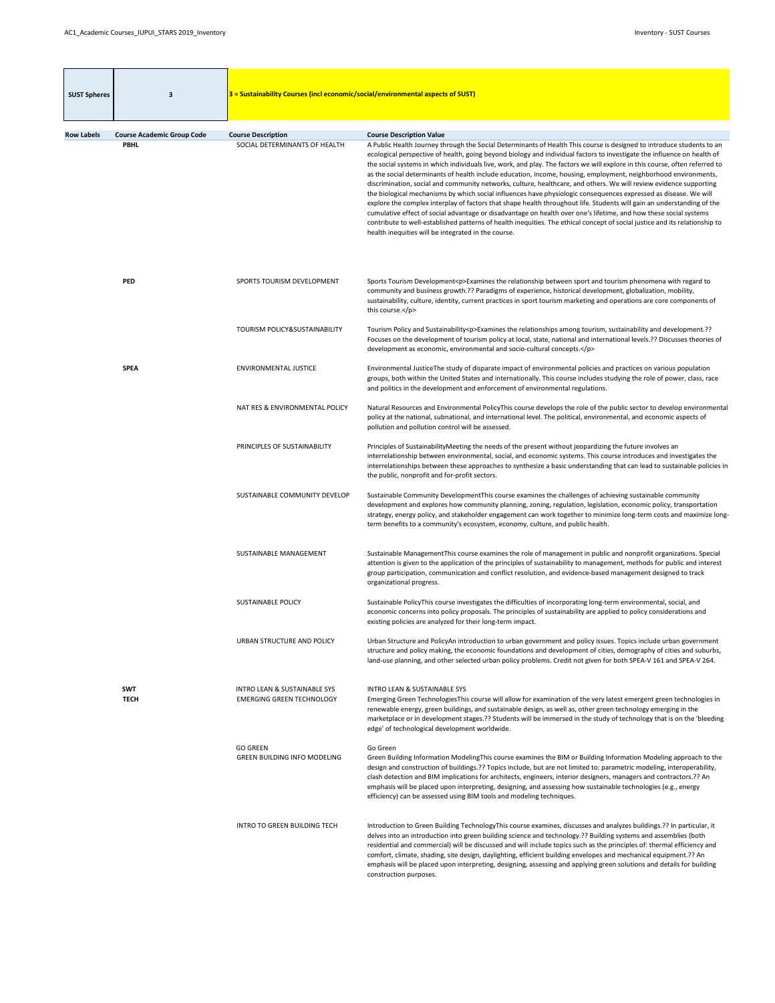| <b>SUST Spheres</b> | 3                                 | $3$ = Sustainability Courses (incl economic/social/environmental aspects of SUST) |                                                                                                                                                                                                                                                                                                                                                                                                                                                                                                                                                                                                                                                                                                                                                                                                                                                                                                                                                                                                                                                                                                                                                                                   |
|---------------------|-----------------------------------|-----------------------------------------------------------------------------------|-----------------------------------------------------------------------------------------------------------------------------------------------------------------------------------------------------------------------------------------------------------------------------------------------------------------------------------------------------------------------------------------------------------------------------------------------------------------------------------------------------------------------------------------------------------------------------------------------------------------------------------------------------------------------------------------------------------------------------------------------------------------------------------------------------------------------------------------------------------------------------------------------------------------------------------------------------------------------------------------------------------------------------------------------------------------------------------------------------------------------------------------------------------------------------------|
| <b>Row Labels</b>   | <b>Course Academic Group Code</b> | <b>Course Description</b>                                                         | <b>Course Description Value</b>                                                                                                                                                                                                                                                                                                                                                                                                                                                                                                                                                                                                                                                                                                                                                                                                                                                                                                                                                                                                                                                                                                                                                   |
|                     | <b>PBHL</b>                       | SOCIAL DETERMINANTS OF HEALTH                                                     | A Public Health Journey through the Social Determinants of Health This course is designed to introduce students to an<br>ecological perspective of health, going beyond biology and individual factors to investigate the influence on health of<br>the social systems in which individuals live, work, and play. The factors we will explore in this course, often referred to<br>as the social determinants of health include education, income, housing, employment, neighborhood environments,<br>discrimination, social and community networks, culture, healthcare, and others. We will review evidence supporting<br>the biological mechanisms by which social influences have physiologic consequences expressed as disease. We will<br>explore the complex interplay of factors that shape health throughout life. Students will gain an understanding of the<br>cumulative effect of social advantage or disadvantage on health over one's lifetime, and how these social systems<br>contribute to well-established patterns of health inequities. The ethical concept of social justice and its relationship to<br>health inequities will be integrated in the course. |
|                     | <b>PED</b>                        | SPORTS TOURISM DEVELOPMENT                                                        | Sports Tourism Development <p>Examines the relationship between sport and tourism phenomena with regard to<br/>community and business growth.?? Paradigms of experience, historical development, globalization, mobility,<br/>sustainability, culture, identity, current practices in sport tourism marketing and operations are core components of<br/>this course.</p>                                                                                                                                                                                                                                                                                                                                                                                                                                                                                                                                                                                                                                                                                                                                                                                                          |
|                     |                                   | TOURISM POLICY&SUSTAINABILITY                                                     | Tourism Policy and Sustainability <p>Examines the relationships among tourism, sustainability and development.??<br/>Focuses on the development of tourism policy at local, state, national and international levels.?? Discusses theories of<br/>development as economic, environmental and socio-cultural concepts.</p>                                                                                                                                                                                                                                                                                                                                                                                                                                                                                                                                                                                                                                                                                                                                                                                                                                                         |
|                     | <b>SPEA</b>                       | <b>ENVIRONMENTAL JUSTICE</b>                                                      | Environmental JusticeThe study of disparate impact of environmental policies and practices on various population<br>groups, both within the United States and internationally. This course includes studying the role of power, class, race<br>and politics in the development and enforcement of environmental regulations.                                                                                                                                                                                                                                                                                                                                                                                                                                                                                                                                                                                                                                                                                                                                                                                                                                                      |
|                     |                                   | NAT RES & ENVIRONMENTAL POLICY                                                    | Natural Resources and Environmental PolicyThis course develops the role of the public sector to develop environmental<br>policy at the national, subnational, and international level. The political, environmental, and economic aspects of<br>pollution and pollution control will be assessed.                                                                                                                                                                                                                                                                                                                                                                                                                                                                                                                                                                                                                                                                                                                                                                                                                                                                                 |
|                     |                                   | PRINCIPLES OF SUSTAINABILITY                                                      | Principles of SustainabilityMeeting the needs of the present without jeopardizing the future involves an<br>interrelationship between environmental, social, and economic systems. This course introduces and investigates the<br>interrelationships between these approaches to synthesize a basic understanding that can lead to sustainable policies in<br>the public, nonprofit and for-profit sectors.                                                                                                                                                                                                                                                                                                                                                                                                                                                                                                                                                                                                                                                                                                                                                                       |
|                     |                                   | SUSTAINABLE COMMUNITY DEVELOP                                                     | Sustainable Community DevelopmentThis course examines the challenges of achieving sustainable community<br>development and explores how community planning, zoning, regulation, legislation, economic policy, transportation<br>strategy, energy policy, and stakeholder engagement can work together to minimize long-term costs and maximize long-<br>term benefits to a community's ecosystem, economy, culture, and public health.                                                                                                                                                                                                                                                                                                                                                                                                                                                                                                                                                                                                                                                                                                                                            |
|                     |                                   | SUSTAINABLE MANAGEMENT                                                            | Sustainable Management This course examines the role of management in public and nonprofit organizations. Special<br>attention is given to the application of the principles of sustainability to management, methods for public and interest<br>group participation, communication and conflict resolution, and evidence-based management designed to track<br>organizational progress.                                                                                                                                                                                                                                                                                                                                                                                                                                                                                                                                                                                                                                                                                                                                                                                          |
|                     |                                   | <b>SUSTAINABLE POLICY</b>                                                         | Sustainable PolicyThis course investigates the difficulties of incorporating long-term environmental, social, and<br>economic concerns into policy proposals. The principles of sustainability are applied to policy considerations and<br>existing policies are analyzed for their long-term impact.                                                                                                                                                                                                                                                                                                                                                                                                                                                                                                                                                                                                                                                                                                                                                                                                                                                                             |
|                     |                                   | URBAN STRUCTURE AND POLICY                                                        | Urban Structure and PolicyAn introduction to urban government and policy issues. Topics include urban government<br>structure and policy making, the economic foundations and development of cities, demography of cities and suburbs,<br>land-use planning, and other selected urban policy problems. Credit not given for both SPEA-V 161 and SPEA-V 264.                                                                                                                                                                                                                                                                                                                                                                                                                                                                                                                                                                                                                                                                                                                                                                                                                       |
|                     | <b>SWT</b><br><b>TECH</b>         | <b>INTRO LEAN &amp; SUSTAINABLE SYS</b><br><b>EMERGING GREEN TECHNOLOGY</b>       | <b>INTRO LEAN &amp; SUSTAINABLE SYS</b><br>Emerging Green TechnologiesThis course will allow for examination of the very latest emergent green technologies in<br>renewable energy, green buildings, and sustainable design, as well as, other green technology emerging in the<br>marketplace or in development stages.?? Students will be immersed in the study of technology that is on the 'bleeding<br>edge' of technological development worldwide.                                                                                                                                                                                                                                                                                                                                                                                                                                                                                                                                                                                                                                                                                                                         |
|                     |                                   | <b>GO GREEN</b><br><b>GREEN BUILDING INFO MODELING</b>                            | Go Green<br>Green Building Information ModelingThis course examines the BIM or Building Information Modeling approach to the<br>design and construction of buildings.?? Topics include, but are not limited to: parametric modeling, interoperability,<br>clash detection and BIM implications for architects, engineers, interior designers, managers and contractors.?? An<br>emphasis will be placed upon interpreting, designing, and assessing how sustainable technologies (e.g., energy<br>efficiency) can be assessed using BIM tools and modeling techniques.                                                                                                                                                                                                                                                                                                                                                                                                                                                                                                                                                                                                            |
|                     |                                   | <b>INTRO TO GREEN BUILDING TECH</b>                                               | Introduction to Green Building TechnologyThis course examines, discusses and analyzes buildings.?? In particular, it<br>delves into an introduction into green building science and technology.?? Building systems and assemblies (both<br>residential and commercial) will be discussed and will include topics such as the principles of: thermal efficiency and<br>comfort, climate, shading, site design, daylighting, efficient building envelopes and mechanical equipment.?? An<br>emphasis will be placed upon interpreting, designing, assessing and applying green solutions and details for building<br>construction purposes.                                                                                                                                                                                                                                                                                                                                                                                                                                                                                                                                         |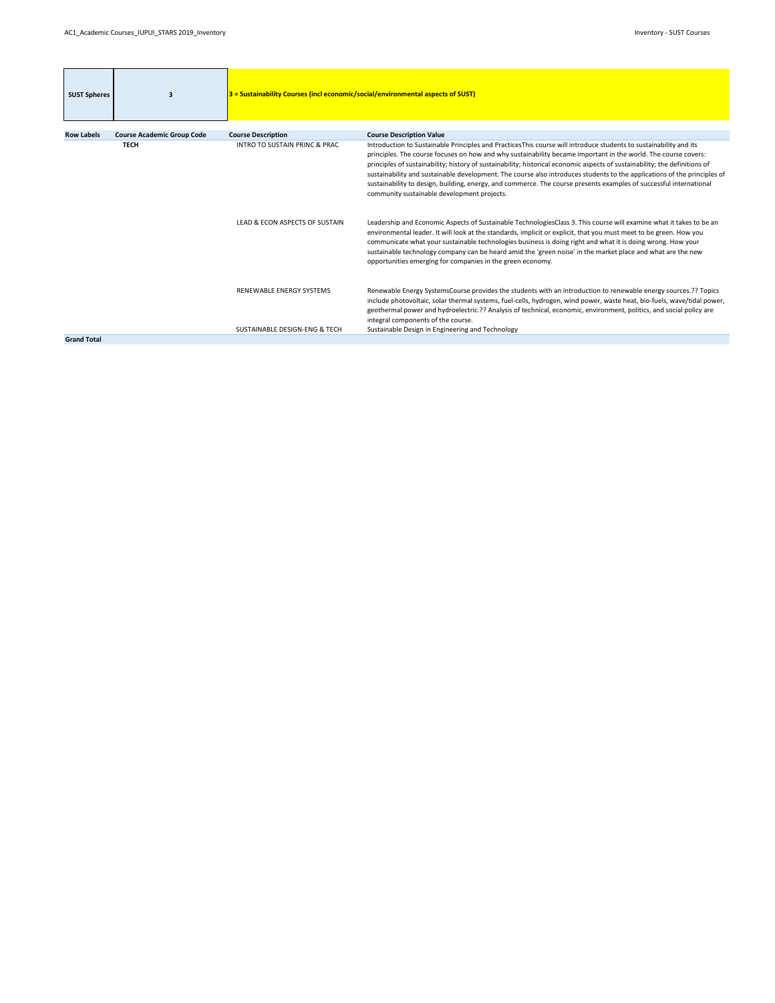| <b>SUST Spheres</b> | $\overline{\mathbf{3}}$           | 3 = Sustainability Courses (incl economic/social/environmental aspects of SUST) |                                                                                                                                                                                                                                                                                                                                                                                                                                                                                                                                                                                                                                                                    |
|---------------------|-----------------------------------|---------------------------------------------------------------------------------|--------------------------------------------------------------------------------------------------------------------------------------------------------------------------------------------------------------------------------------------------------------------------------------------------------------------------------------------------------------------------------------------------------------------------------------------------------------------------------------------------------------------------------------------------------------------------------------------------------------------------------------------------------------------|
| <b>Row Labels</b>   | <b>Course Academic Group Code</b> | <b>Course Description</b>                                                       | <b>Course Description Value</b>                                                                                                                                                                                                                                                                                                                                                                                                                                                                                                                                                                                                                                    |
|                     | <b>TECH</b>                       | <b>INTRO TO SUSTAIN PRINC &amp; PRAC</b>                                        | Introduction to Sustainable Principles and PracticesThis course will introduce students to sustainability and its<br>principles. The course focuses on how and why sustainability became important in the world. The course covers:<br>principles of sustainability; history of sustainability; historical economic aspects of sustainability; the definitions of<br>sustainability and sustainable development. The course also introduces students to the applications of the principles of<br>sustainability to design, building, energy, and commerce. The course presents examples of successful international<br>community sustainable development projects. |
|                     |                                   | LEAD & ECON ASPECTS OF SUSTAIN                                                  | Leadership and Economic Aspects of Sustainable TechnologiesClass 3. This course will examine what it takes to be an<br>environmental leader. It will look at the standards, implicit or explicit, that you must meet to be green. How you<br>communicate what your sustainable technologies business is doing right and what it is doing wrong. How your<br>sustainable technology company can be heard amid the 'green noise' in the market place and what are the new<br>opportunities emerging for companies in the green economy.                                                                                                                              |
|                     |                                   | RENEWABLE ENERGY SYSTEMS<br>SUSTAINABLE DESIGN-ENG & TECH                       | Renewable Energy SystemsCourse provides the students with an introduction to renewable energy sources.?? Topics<br>include photovoltaic, solar thermal systems, fuel-cells, hydrogen, wind power, waste heat, bio-fuels, wave/tidal power,<br>geothermal power and hydroelectric.?? Analysis of technical, economic, environment, politics, and social policy are<br>integral components of the course.<br>Sustainable Design in Engineering and Technology                                                                                                                                                                                                        |
| <b>Grand Total</b>  |                                   |                                                                                 |                                                                                                                                                                                                                                                                                                                                                                                                                                                                                                                                                                                                                                                                    |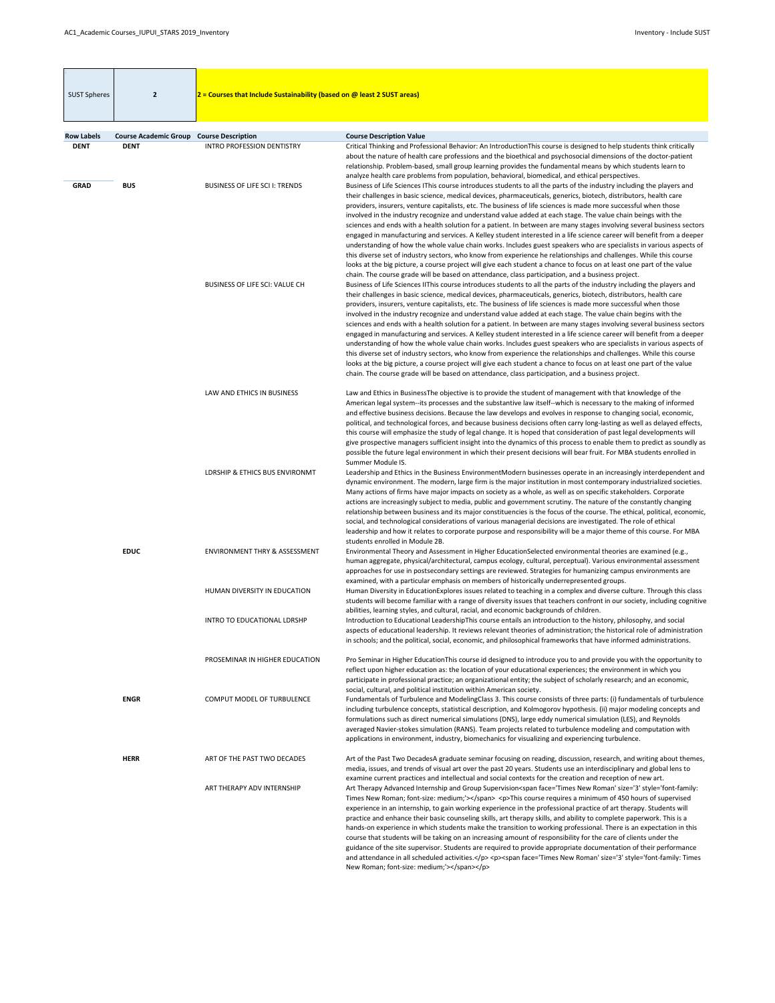<span id="page-13-0"></span>

| <b>SUST Spheres</b>              | $\overline{2}$                                                 | $2$ = Courses that Include Sustainability (based on @ least 2 SUST areas) |                                                                                                                                                                                                                                                                                                                                                                                                                                                                                                                                                                                                                                                                                                                                                                                                                                                                                                                                                                                                                                                                                                                                                                                                                                                                                                                                                                                                                                                                                                                                                                                                                                                                                                                                                                                                                                                                                                                                                                                                                                                                     |
|----------------------------------|----------------------------------------------------------------|---------------------------------------------------------------------------|---------------------------------------------------------------------------------------------------------------------------------------------------------------------------------------------------------------------------------------------------------------------------------------------------------------------------------------------------------------------------------------------------------------------------------------------------------------------------------------------------------------------------------------------------------------------------------------------------------------------------------------------------------------------------------------------------------------------------------------------------------------------------------------------------------------------------------------------------------------------------------------------------------------------------------------------------------------------------------------------------------------------------------------------------------------------------------------------------------------------------------------------------------------------------------------------------------------------------------------------------------------------------------------------------------------------------------------------------------------------------------------------------------------------------------------------------------------------------------------------------------------------------------------------------------------------------------------------------------------------------------------------------------------------------------------------------------------------------------------------------------------------------------------------------------------------------------------------------------------------------------------------------------------------------------------------------------------------------------------------------------------------------------------------------------------------|
|                                  |                                                                |                                                                           |                                                                                                                                                                                                                                                                                                                                                                                                                                                                                                                                                                                                                                                                                                                                                                                                                                                                                                                                                                                                                                                                                                                                                                                                                                                                                                                                                                                                                                                                                                                                                                                                                                                                                                                                                                                                                                                                                                                                                                                                                                                                     |
| <b>Row Labels</b><br><b>DENT</b> | <b>Course Academic Group Course Description</b><br><b>DENT</b> | <b>INTRO PROFESSION DENTISTRY</b>                                         | <b>Course Description Value</b><br>Critical Thinking and Professional Behavior: An IntroductionThis course is designed to help students think critically                                                                                                                                                                                                                                                                                                                                                                                                                                                                                                                                                                                                                                                                                                                                                                                                                                                                                                                                                                                                                                                                                                                                                                                                                                                                                                                                                                                                                                                                                                                                                                                                                                                                                                                                                                                                                                                                                                            |
| <b>GRAD</b>                      | <b>BUS</b>                                                     | <b>BUSINESS OF LIFE SCI I: TRENDS</b>                                     | about the nature of health care professions and the bioethical and psychosocial dimensions of the doctor-patient<br>relationship. Problem-based, small group learning provides the fundamental means by which students learn to<br>analyze health care problems from population, behavioral, biomedical, and ethical perspectives.<br>Business of Life Sciences IThis course introduces students to all the parts of the industry including the players and                                                                                                                                                                                                                                                                                                                                                                                                                                                                                                                                                                                                                                                                                                                                                                                                                                                                                                                                                                                                                                                                                                                                                                                                                                                                                                                                                                                                                                                                                                                                                                                                         |
|                                  |                                                                | <b>BUSINESS OF LIFE SCI: VALUE CH</b>                                     | their challenges in basic science, medical devices, pharmaceuticals, generics, biotech, distributors, health care<br>providers, insurers, venture capitalists, etc. The business of life sciences is made more successful when those<br>involved in the industry recognize and understand value added at each stage. The value chain beings with the<br>sciences and ends with a health solution for a patient. In between are many stages involving several business sectors<br>engaged in manufacturing and services. A Kelley student interested in a life science career will benefit from a deeper<br>understanding of how the whole value chain works. Includes guest speakers who are specialists in various aspects of<br>this diverse set of industry sectors, who know from experience he relationships and challenges. While this course<br>looks at the big picture, a course project will give each student a chance to focus on at least one part of the value<br>chain. The course grade will be based on attendance, class participation, and a business project.<br>Business of Life Sciences IIThis course introduces students to all the parts of the industry including the players and<br>their challenges in basic science, medical devices, pharmaceuticals, generics, biotech, distributors, health care<br>providers, insurers, venture capitalists, etc. The business of life sciences is made more successful when those<br>involved in the industry recognize and understand value added at each stage. The value chain begins with the<br>sciences and ends with a health solution for a patient. In between are many stages involving several business sectors<br>engaged in manufacturing and services. A Kelley student interested in a life science career will benefit from a deeper<br>understanding of how the whole value chain works. Includes guest speakers who are specialists in various aspects of<br>this diverse set of industry sectors, who know from experience the relationships and challenges. While this course |
|                                  |                                                                |                                                                           | looks at the big picture, a course project will give each student a chance to focus on at least one part of the value<br>chain. The course grade will be based on attendance, class participation, and a business project.                                                                                                                                                                                                                                                                                                                                                                                                                                                                                                                                                                                                                                                                                                                                                                                                                                                                                                                                                                                                                                                                                                                                                                                                                                                                                                                                                                                                                                                                                                                                                                                                                                                                                                                                                                                                                                          |
|                                  |                                                                | LAW AND ETHICS IN BUSINESS                                                | Law and Ethics in BusinessThe objective is to provide the student of management with that knowledge of the<br>American legal system--its processes and the substantive law itself--which is necessary to the making of informed<br>and effective business decisions. Because the law develops and evolves in response to changing social, economic,<br>political, and technological forces, and because business decisions often carry long-lasting as well as delayed effects,<br>this course will emphasize the study of legal change. It is hoped that consideration of past legal developments will<br>give prospective managers sufficient insight into the dynamics of this process to enable them to predict as soundly as<br>possible the future legal environment in which their present decisions will bear fruit. For MBA students enrolled in<br>Summer Module IS.                                                                                                                                                                                                                                                                                                                                                                                                                                                                                                                                                                                                                                                                                                                                                                                                                                                                                                                                                                                                                                                                                                                                                                                      |
|                                  |                                                                | LDRSHIP & ETHICS BUS ENVIRONMT                                            | Leadership and Ethics in the Business EnvironmentModern businesses operate in an increasingly interdependent and<br>dynamic environment. The modern, large firm is the major institution in most contemporary industrialized societies.<br>Many actions of firms have major impacts on society as a whole, as well as on specific stakeholders. Corporate<br>actions are increasingly subject to media, public and government scrutiny. The nature of the constantly changing<br>relationship between business and its major constituencies is the focus of the course. The ethical, political, economic,<br>social, and technological considerations of various managerial decisions are investigated. The role of ethical<br>leadership and how it relates to corporate purpose and responsibility will be a major theme of this course. For MBA<br>students enrolled in Module 2B.                                                                                                                                                                                                                                                                                                                                                                                                                                                                                                                                                                                                                                                                                                                                                                                                                                                                                                                                                                                                                                                                                                                                                                               |
|                                  | <b>EDUC</b>                                                    | <b>ENVIRONMENT THRY &amp; ASSESSMENT</b>                                  | Environmental Theory and Assessment in Higher EducationSelected environmental theories are examined (e.g.,<br>human aggregate, physical/architectural, campus ecology, cultural, perceptual). Various environmental assessment<br>approaches for use in postsecondary settings are reviewed. Strategies for humanizing campus environments are<br>examined, with a particular emphasis on members of historically underrepresented groups.                                                                                                                                                                                                                                                                                                                                                                                                                                                                                                                                                                                                                                                                                                                                                                                                                                                                                                                                                                                                                                                                                                                                                                                                                                                                                                                                                                                                                                                                                                                                                                                                                          |
|                                  |                                                                | HUMAN DIVERSITY IN EDUCATION                                              | Human Diversity in EducationExplores issues related to teaching in a complex and diverse culture. Through this class<br>students will become familiar with a range of diversity issues that teachers confront in our society, including cognitive<br>abilities, learning styles, and cultural, racial, and economic backgrounds of children.                                                                                                                                                                                                                                                                                                                                                                                                                                                                                                                                                                                                                                                                                                                                                                                                                                                                                                                                                                                                                                                                                                                                                                                                                                                                                                                                                                                                                                                                                                                                                                                                                                                                                                                        |
|                                  |                                                                | INTRO TO EDUCATIONAL LDRSHP                                               | Introduction to Educational LeadershipThis course entails an introduction to the history, philosophy, and social<br>aspects of educational leadership. It reviews relevant theories of administration; the historical role of administration<br>in schools; and the political, social, economic, and philosophical frameworks that have informed administrations.                                                                                                                                                                                                                                                                                                                                                                                                                                                                                                                                                                                                                                                                                                                                                                                                                                                                                                                                                                                                                                                                                                                                                                                                                                                                                                                                                                                                                                                                                                                                                                                                                                                                                                   |
|                                  |                                                                | PROSEMINAR IN HIGHER EDUCATION                                            | Pro Seminar in Higher Education This course id designed to introduce you to and provide you with the opportunity to<br>reflect upon higher education as: the location of your educational experiences; the environment in which you<br>participate in professional practice; an organizational entity; the subject of scholarly research; and an economic,<br>social, cultural, and political institution within American society.                                                                                                                                                                                                                                                                                                                                                                                                                                                                                                                                                                                                                                                                                                                                                                                                                                                                                                                                                                                                                                                                                                                                                                                                                                                                                                                                                                                                                                                                                                                                                                                                                                  |
|                                  | <b>ENGR</b>                                                    | <b>COMPUT MODEL OF TURBULENCE</b>                                         | Fundamentals of Turbulence and ModelingClass 3. This course consists of three parts: (i) fundamentals of turbulence<br>including turbulence concepts, statistical description, and Kolmogorov hypothesis. (ii) major modeling concepts and<br>formulations such as direct numerical simulations (DNS), large eddy numerical simulation (LES), and Reynolds<br>averaged Navier-stokes simulation (RANS). Team projects related to turbulence modeling and computation with<br>applications in environment, industry, biomechanics for visualizing and experiencing turbulence.                                                                                                                                                                                                                                                                                                                                                                                                                                                                                                                                                                                                                                                                                                                                                                                                                                                                                                                                                                                                                                                                                                                                                                                                                                                                                                                                                                                                                                                                                       |
|                                  | <b>HERR</b>                                                    | ART OF THE PAST TWO DECADES<br>ART THERAPY ADV INTERNSHIP                 | Art of the Past Two DecadesA graduate seminar focusing on reading, discussion, research, and writing about themes,<br>media, issues, and trends of visual art over the past 20 years. Students use an interdisciplinary and global lens to<br>examine current practices and intellectual and social contexts for the creation and reception of new art.<br>Art Therapy Advanced Internship and Group Supervision <span face="Times New Roman" size="3" style="font-family:&lt;br&gt;Times New Roman; font-size: medium;"></span> <p>This course requires a minimum of 450 hours of supervised<br/>experience in an internship, to gain working experience in the professional practice of art therapy. Students will<br/>practice and enhance their basic counseling skills, art therapy skills, and ability to complete paperwork. This is a<br/>hands-on experience in which students make the transition to working professional. There is an expectation in this<br/>course that students will be taking on an increasing amount of responsibility for the care of clients under the<br/>guidance of the site supervisor. Students are required to provide appropriate documentation of their performance<br/>and attendance in all scheduled activities.</p> <p><span face="Times New Roman" size="3" style="font-family: Times&lt;br&gt;New Roman; font-size: medium;"></span></p>                                                                                                                                                                                                                                                                                                                                                                                                                                                                                                                                                                                                                                                                            |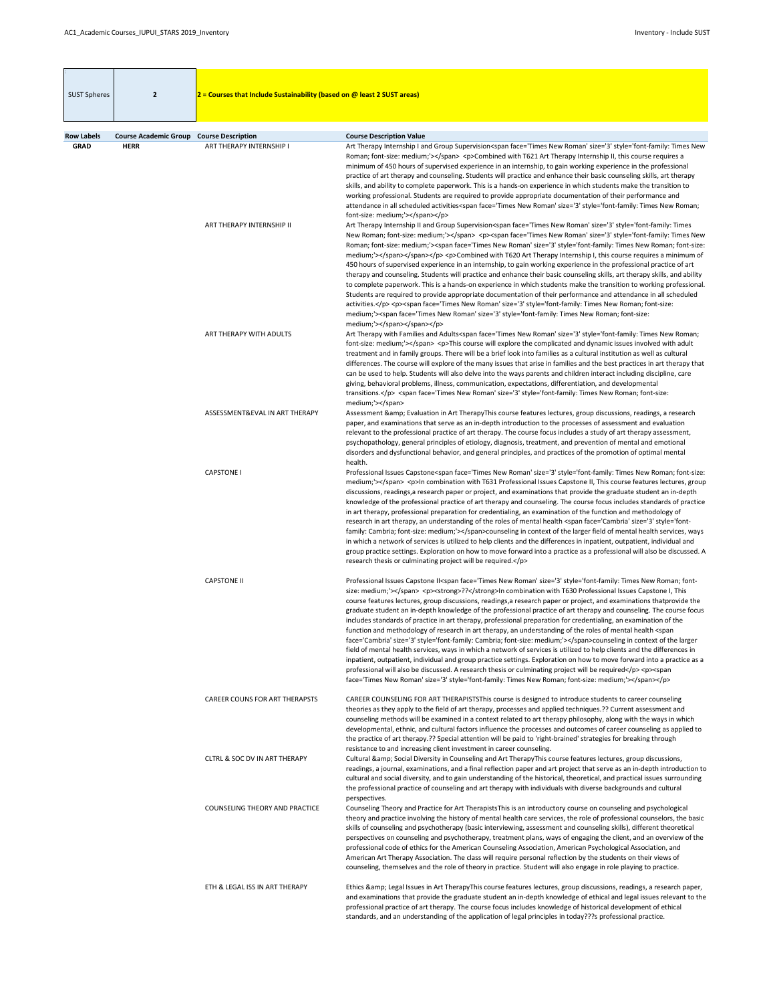| <b>SUST Spheres</b>              | $\overline{2}$                                                 | $2$ = Courses that Include Sustainability (based on @ least 2 SUST areas) |                                                                                                                                                                                                                                                                                                                                                                                                                                                                                                                                                                                                                                                                                                                                                                                                                                                                                                                                                                                                                                                                                                                                                                                                                                                                                                                                                                                                                                                                                                                                                                                                                                                                                                                                                                                                                                                                                                                                                                                                                                                                                                                                                                                                                                                                                                                                                                                                        |
|----------------------------------|----------------------------------------------------------------|---------------------------------------------------------------------------|--------------------------------------------------------------------------------------------------------------------------------------------------------------------------------------------------------------------------------------------------------------------------------------------------------------------------------------------------------------------------------------------------------------------------------------------------------------------------------------------------------------------------------------------------------------------------------------------------------------------------------------------------------------------------------------------------------------------------------------------------------------------------------------------------------------------------------------------------------------------------------------------------------------------------------------------------------------------------------------------------------------------------------------------------------------------------------------------------------------------------------------------------------------------------------------------------------------------------------------------------------------------------------------------------------------------------------------------------------------------------------------------------------------------------------------------------------------------------------------------------------------------------------------------------------------------------------------------------------------------------------------------------------------------------------------------------------------------------------------------------------------------------------------------------------------------------------------------------------------------------------------------------------------------------------------------------------------------------------------------------------------------------------------------------------------------------------------------------------------------------------------------------------------------------------------------------------------------------------------------------------------------------------------------------------------------------------------------------------------------------------------------------------|
|                                  |                                                                |                                                                           |                                                                                                                                                                                                                                                                                                                                                                                                                                                                                                                                                                                                                                                                                                                                                                                                                                                                                                                                                                                                                                                                                                                                                                                                                                                                                                                                                                                                                                                                                                                                                                                                                                                                                                                                                                                                                                                                                                                                                                                                                                                                                                                                                                                                                                                                                                                                                                                                        |
| <b>Row Labels</b><br><b>GRAD</b> | <b>Course Academic Group Course Description</b><br><b>HERR</b> | ART THERAPY INTERNSHIP I                                                  | <b>Course Description Value</b><br>Art Therapy Internship I and Group Supervision <span face="Times New Roman" size="3" style="font-family: Times New&lt;br&gt;Roman; font-size: medium;"></span> <p>Combined with T621 Art Therapy Internship II, this course requires a<br/>minimum of 450 hours of supervised experience in an internship, to gain working experience in the professional<br/>practice of art therapy and counseling. Students will practice and enhance their basic counseling skills, art therapy<br/>skills, and ability to complete paperwork. This is a hands-on experience in which students make the transition to<br/>working professional. Students are required to provide appropriate documentation of their performance and<br/>attendance in all scheduled activities<span face="Times New Roman" size="3" style="font-family: Times New Roman;&lt;/th&gt;&lt;/tr&gt;&lt;tr&gt;&lt;th&gt;&lt;/th&gt;&lt;th&gt;&lt;/th&gt;&lt;td&gt;ART THERAPY INTERNSHIP II&lt;/td&gt;&lt;td&gt;font-size: medium;"></span></p><br>Art Therapy Internship II and Group Supervision <span face="Times New Roman" size="3" style="font-family: Times&lt;br&gt;New Roman; font-size: medium;"></span> <p><span face="Times New Roman" size="3" style="font-family: Times New&lt;br&gt;Roman; font-size: medium;"><span face="Times New Roman" size="3" style="font-family: Times New Roman; font-size:&lt;br&gt;medium;"></span></span></p> <p>Combined with T620 Art Therapy Internship I, this course requires a minimum of<br/>450 hours of supervised experience in an internship, to gain working experience in the professional practice of art<br/>therapy and counseling. Students will practice and enhance their basic counseling skills, art therapy skills, and ability<br/>to complete paperwork. This is a hands-on experience in which students make the transition to working professional.<br/>Students are required to provide appropriate documentation of their performance and attendance in all scheduled<br/>activities.</p> <p><span face="Times New Roman" size="3" style="font-family: Times New Roman; font-size:&lt;/td&gt;&lt;/tr&gt;&lt;tr&gt;&lt;th&gt;&lt;/th&gt;&lt;th&gt;&lt;/th&gt;&lt;td&gt;&lt;/td&gt;&lt;td&gt;medium;"><span face="Times New Roman" size="3" style="font-family: Times New Roman; font-size:&lt;br&gt;medium;"></span></span></p> |
|                                  |                                                                | ART THERAPY WITH ADULTS                                                   | Art Therapy with Families and Adults <span face="Times New Roman" size="3" style="font-family: Times New Roman;&lt;br&gt;font-size: medium;"></span> <p>This course will explore the complicated and dynamic issues involved with adult<br/>treatment and in family groups. There will be a brief look into families as a cultural institution as well as cultural<br/>differences. The course will explore of the many issues that arise in families and the best practices in art therapy that<br/>can be used to help. Students will also delve into the ways parents and children interact including discipline, care<br/>giving, behavioral problems, illness, communication, expectations, differentiation, and developmental<br/>transitions.</p> <span face="Times New Roman" size="3" style="font-family: Times New Roman; font-size:&lt;/td&gt;&lt;/tr&gt;&lt;tr&gt;&lt;th&gt;&lt;/th&gt;&lt;th&gt;&lt;/th&gt;&lt;td&gt;ASSESSMENT&amp;EVAL IN ART THERAPY&lt;/td&gt;&lt;td&gt;medium;"></span><br>Assessment & Evaluation in Art TherapyThis course features lectures, group discussions, readings, a research<br>paper, and examinations that serve as an in-depth introduction to the processes of assessment and evaluation<br>relevant to the professional practice of art therapy. The course focus includes a study of art therapy assessment,<br>psychopathology, general principles of etiology, diagnosis, treatment, and prevention of mental and emotional<br>disorders and dysfunctional behavior, and general principles, and practices of the promotion of optimal mental<br>health.                                                                                                                                                                                                                                                                                                                                                                                                                                                                                                                                                                                                                                                                                                                                                                                          |
|                                  |                                                                | <b>CAPSTONE I</b>                                                         | Professional Issues Capstone <span face="Times New Roman" size="3" style="font-family: Times New Roman; font-size:&lt;br&gt;medium;"></span> <p>In combination with T631 Professional Issues Capstone II, This course features lectures, group<br/>discussions, readings, a research paper or project, and examinations that provide the graduate student an in-depth<br/>knowledge of the professional practice of art therapy and counseling. The course focus includes standards of practice<br/>in art therapy, professional preparation for credentialing, an examination of the function and methodology of<br/>research in art therapy, an understanding of the roles of mental health <span face="Cambria" size="3" style="font-&lt;br&gt;family: Cambria; font-size: medium;"></span>counseling in context of the larger field of mental health services, ways<br/>in which a network of services is utilized to help clients and the differences in inpatient, outpatient, individual and<br/>group practice settings. Exploration on how to move forward into a practice as a professional will also be discussed. A<br/>research thesis or culminating project will be required.</p>                                                                                                                                                                                                                                                                                                                                                                                                                                                                                                                                                                                                                                                                                                                                                                                                                                                                                                                                                                                                                                                                                                                                                                                                       |
|                                  |                                                                | <b>CAPSTONE II</b>                                                        | Professional Issues Capstone II <span face="Times New Roman" size="3" style="font-family: Times New Roman; font-&lt;br&gt;size: medium;"></span> <p><strong>??</strong>In combination with T630 Professional Issues Capstone I, This<br/>course features lectures, group discussions, readings, a research paper or project, and examinations thatprovide the<br/>graduate student an in-depth knowledge of the professional practice of art therapy and counseling. The course focus<br/>includes standards of practice in art therapy, professional preparation for credentialing, an examination of the<br/>function and methodology of research in art therapy, an understanding of the roles of mental health <span<br>face='Cambria' size='3' style='font-family: Cambria; font-size: medium;'&gt;counseling in context of the larger<br/>field of mental health services, ways in which a network of services is utilized to help clients and the differences in<br/>inpatient, outpatient, individual and group practice settings. Exploration on how to move forward into a practice as a<br/>professional will also be discussed. A research thesis or culminating project will be required</span<br></p> <p><span<br>face='Times New Roman' size='3' style='font-family: Times New Roman; font-size: medium;'&gt;</span<br></p>                                                                                                                                                                                                                                                                                                                                                                                                                                                                                                                                                                                                                                                                                                                                                                                                                                                                                                                                                                                                                                                             |
|                                  |                                                                | <b>CAREER COUNS FOR ART THERAPSTS</b>                                     | CAREER COUNSELING FOR ART THERAPISTSThis course is designed to introduce students to career counseling<br>theories as they apply to the field of art therapy, processes and applied techniques.?? Current assessment and<br>counseling methods will be examined in a context related to art therapy philosophy, along with the ways in which<br>developmental, ethnic, and cultural factors influence the processes and outcomes of career counseling as applied to<br>the practice of art therapy.?? Special attention will be paid to 'right-brained' strategies for breaking through<br>resistance to and increasing client investment in career counseling.                                                                                                                                                                                                                                                                                                                                                                                                                                                                                                                                                                                                                                                                                                                                                                                                                                                                                                                                                                                                                                                                                                                                                                                                                                                                                                                                                                                                                                                                                                                                                                                                                                                                                                                                        |
|                                  |                                                                | CLTRL & SOC DV IN ART THERAPY                                             | Cultural & Social Diversity in Counseling and Art TherapyThis course features lectures, group discussions,<br>readings, a journal, examinations, and a final reflection paper and art project that serve as an in-depth introduction to<br>cultural and social diversity, and to gain understanding of the historical, theoretical, and practical issues surrounding<br>the professional practice of counseling and art therapy with individuals with diverse backgrounds and cultural                                                                                                                                                                                                                                                                                                                                                                                                                                                                                                                                                                                                                                                                                                                                                                                                                                                                                                                                                                                                                                                                                                                                                                                                                                                                                                                                                                                                                                                                                                                                                                                                                                                                                                                                                                                                                                                                                                                 |
|                                  |                                                                | <b>COUNSELING THEORY AND PRACTICE</b>                                     | perspectives.<br>Counseling Theory and Practice for Art Therapists This is an introductory course on counseling and psychological<br>theory and practice involving the history of mental health care services, the role of professional counselors, the basic<br>skills of counseling and psychotherapy (basic interviewing, assessment and counseling skills), different theoretical<br>perspectives on counseling and psychotherapy, treatment plans, ways of engaging the client, and an overview of the<br>professional code of ethics for the American Counseling Association, American Psychological Association, and<br>American Art Therapy Association. The class will require personal reflection by the students on their views of<br>counseling, themselves and the role of theory in practice. Student will also engage in role playing to practice.                                                                                                                                                                                                                                                                                                                                                                                                                                                                                                                                                                                                                                                                                                                                                                                                                                                                                                                                                                                                                                                                                                                                                                                                                                                                                                                                                                                                                                                                                                                                      |
|                                  |                                                                | ETH & LEGAL ISS IN ART THERAPY                                            | Ethics & Legal Issues in Art TherapyThis course features lectures, group discussions, readings, a research paper,<br>and examinations that provide the graduate student an in-depth knowledge of ethical and legal issues relevant to the<br>professional practice of art therapy. The course focus includes knowledge of historical development of ethical<br>standards, and an understanding of the application of legal principles in today???s professional practice.                                                                                                                                                                                                                                                                                                                                                                                                                                                                                                                                                                                                                                                                                                                                                                                                                                                                                                                                                                                                                                                                                                                                                                                                                                                                                                                                                                                                                                                                                                                                                                                                                                                                                                                                                                                                                                                                                                                              |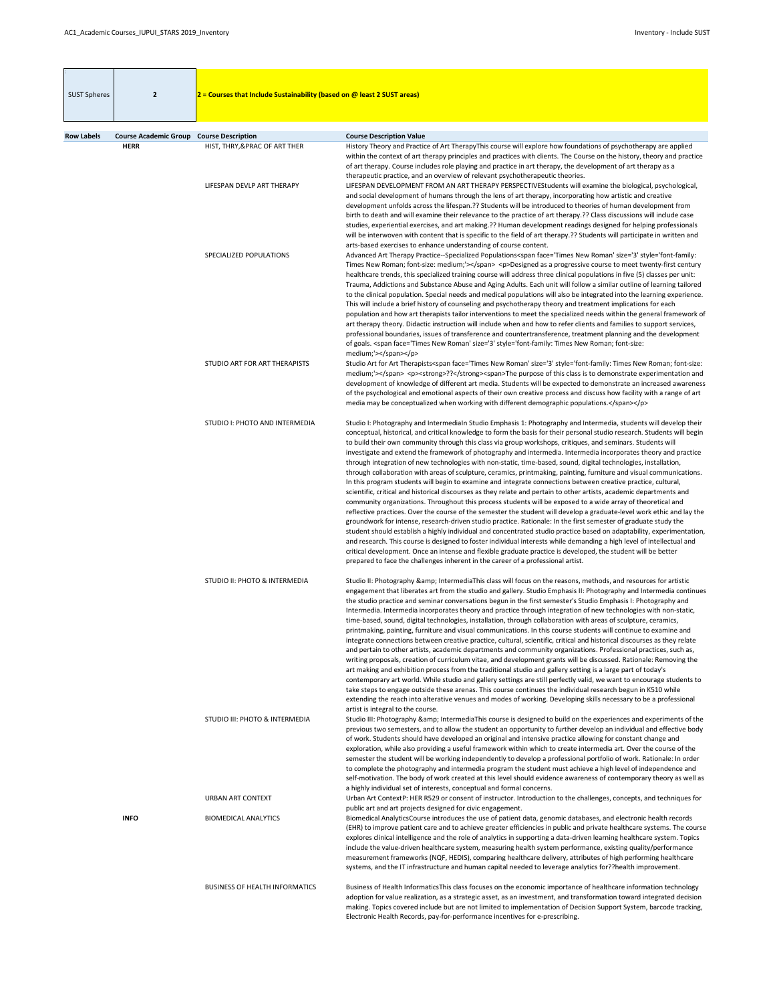| <b>SUST Spheres</b> | $\overline{2}$                                                 | $2$ = Courses that Include Sustainability (based on @ least 2 SUST areas) |                                                                                                                                                                                                                                                                                                                                                                                                                                                                                                                                                                                                                                                                                                                                                                                                                                                                                                                                                                                                                                                                                                                                                                                                                                                                                                                                                                                                                                                                                                                                                                                                                                                                                                                                                                                         |
|---------------------|----------------------------------------------------------------|---------------------------------------------------------------------------|-----------------------------------------------------------------------------------------------------------------------------------------------------------------------------------------------------------------------------------------------------------------------------------------------------------------------------------------------------------------------------------------------------------------------------------------------------------------------------------------------------------------------------------------------------------------------------------------------------------------------------------------------------------------------------------------------------------------------------------------------------------------------------------------------------------------------------------------------------------------------------------------------------------------------------------------------------------------------------------------------------------------------------------------------------------------------------------------------------------------------------------------------------------------------------------------------------------------------------------------------------------------------------------------------------------------------------------------------------------------------------------------------------------------------------------------------------------------------------------------------------------------------------------------------------------------------------------------------------------------------------------------------------------------------------------------------------------------------------------------------------------------------------------------|
|                     |                                                                |                                                                           |                                                                                                                                                                                                                                                                                                                                                                                                                                                                                                                                                                                                                                                                                                                                                                                                                                                                                                                                                                                                                                                                                                                                                                                                                                                                                                                                                                                                                                                                                                                                                                                                                                                                                                                                                                                         |
| <b>Row Labels</b>   | <b>Course Academic Group Course Description</b><br><b>HERR</b> | HIST, THRY, & PRAC OF ART THER                                            | <b>Course Description Value</b><br>History Theory and Practice of Art TherapyThis course will explore how foundations of psychotherapy are applied<br>within the context of art therapy principles and practices with clients. The Course on the history, theory and practice<br>of art therapy. Course includes role playing and practice in art therapy, the development of art therapy as a<br>therapeutic practice, and an overview of relevant psychotherapeutic theories.                                                                                                                                                                                                                                                                                                                                                                                                                                                                                                                                                                                                                                                                                                                                                                                                                                                                                                                                                                                                                                                                                                                                                                                                                                                                                                         |
|                     |                                                                | LIFESPAN DEVLP ART THERAPY                                                | LIFESPAN DEVELOPMENT FROM AN ART THERAPY PERSPECTIVEStudents will examine the biological, psychological,<br>and social development of humans through the lens of art therapy, incorporating how artistic and creative<br>development unfolds across the lifespan.?? Students will be introduced to theories of human development from<br>birth to death and will examine their relevance to the practice of art therapy.?? Class discussions will include case<br>studies, experiential exercises, and art making.?? Human development readings designed for helping professionals<br>will be interwoven with content that is specific to the field of art therapy.?? Students will participate in written and<br>arts-based exercises to enhance understanding of course content.                                                                                                                                                                                                                                                                                                                                                                                                                                                                                                                                                                                                                                                                                                                                                                                                                                                                                                                                                                                                      |
|                     |                                                                | SPECIALIZED POPULATIONS                                                   | Advanced Art Therapy Practice--Specialized Populations <span face="Times New Roman" size="3" style="font-family:&lt;br&gt;Times New Roman; font-size: medium;"></span> <p>Designed as a progressive course to meet twenty-first century<br/>healthcare trends, this specialized training course will address three clinical populations in five (5) classes per unit:<br/>Trauma, Addictions and Substance Abuse and Aging Adults. Each unit will follow a similar outline of learning tailored<br/>to the clinical population. Special needs and medical populations will also be integrated into the learning experience.<br/>This will include a brief history of counseling and psychotherapy theory and treatment implications for each<br/>population and how art therapists tailor interventions to meet the specialized needs within the general framework of<br/>art therapy theory. Didactic instruction will include when and how to refer clients and families to support services,<br/>professional boundaries, issues of transference and countertransference, treatment planning and the development<br/>of goals. <span face="Times New Roman" size="3" style="font-family: Times New Roman; font-size:&lt;br&gt;medium;"></span></p>                                                                                                                                                                                                                                                                                                                                                                                                                                                                                                                                   |
|                     |                                                                | STUDIO ART FOR ART THERAPISTS                                             | Studio Art for Art Therapists <span face="Times New Roman" size="3" style="font-family: Times New Roman; font-size:&lt;br&gt;medium;"></span> <p><strong>??</strong><span>The purpose of this class is to demonstrate experimentation and<br/>development of knowledge of different art media. Students will be expected to demonstrate an increased awareness<br/>of the psychological and emotional aspects of their own creative process and discuss how facility with a range of art<br/>media may be conceptualized when working with different demographic populations.</span></p>                                                                                                                                                                                                                                                                                                                                                                                                                                                                                                                                                                                                                                                                                                                                                                                                                                                                                                                                                                                                                                                                                                                                                                                                |
|                     |                                                                | STUDIO I: PHOTO AND INTERMEDIA                                            | Studio I: Photography and Intermedialn Studio Emphasis 1: Photography and Intermedia, students will develop their<br>conceptual, historical, and critical knowledge to form the basis for their personal studio research. Students will begin<br>to build their own community through this class via group workshops, critiques, and seminars. Students will<br>investigate and extend the framework of photography and intermedia. Intermedia incorporates theory and practice<br>through integration of new technologies with non-static, time-based, sound, digital technologies, installation,<br>through collaboration with areas of sculpture, ceramics, printmaking, painting, furniture and visual communications.<br>In this program students will begin to examine and integrate connections between creative practice, cultural,<br>scientific, critical and historical discourses as they relate and pertain to other artists, academic departments and<br>community organizations. Throughout this process students will be exposed to a wide array of theoretical and<br>reflective practices. Over the course of the semester the student will develop a graduate-level work ethic and lay the<br>groundwork for intense, research-driven studio practice. Rationale: In the first semester of graduate study the<br>student should establish a highly individual and concentrated studio practice based on adaptability, experimentation,<br>and research. This course is designed to foster individual interests while demanding a high level of intellectual and<br>critical development. Once an intense and flexible graduate practice is developed, the student will be better<br>prepared to face the challenges inherent in the career of a professional artist. |
|                     |                                                                | <b>STUDIO II: PHOTO &amp; INTERMEDIA</b>                                  | Studio II: Photography & IntermediaThis class will focus on the reasons, methods, and resources for artistic<br>engagement that liberates art from the studio and gallery. Studio Emphasis II: Photography and Intermedia continues<br>the studio practice and seminar conversations begun in the first semester's Studio Emphasis I: Photography and<br>Intermedia. Intermedia incorporates theory and practice through integration of new technologies with non-static,<br>time-based, sound, digital technologies, installation, through collaboration with areas of sculpture, ceramics,<br>printmaking, painting, furniture and visual communications. In this course students will continue to examine and<br>integrate connections between creative practice, cultural, scientific, critical and historical discourses as they relate<br>and pertain to other artists, academic departments and community organizations. Professional practices, such as,<br>writing proposals, creation of curriculum vitae, and development grants will be discussed. Rationale: Removing the<br>art making and exhibition process from the traditional studio and gallery setting is a large part of today's<br>contemporary art world. While studio and gallery settings are still perfectly valid, we want to encourage students to<br>take steps to engage outside these arenas. This course continues the individual research begun in K510 while<br>extending the reach into alterative venues and modes of working. Developing skills necessary to be a professional<br>artist is integral to the course.                                                                                                                                                                               |
|                     |                                                                | STUDIO III: PHOTO & INTERMEDIA                                            | Studio III: Photography & IntermediaThis course is designed to build on the experiences and experiments of the<br>previous two semesters, and to allow the student an opportunity to further develop an individual and effective body<br>of work. Students should have developed an original and intensive practice allowing for constant change and<br>exploration, while also providing a useful framework within which to create intermedia art. Over the course of the<br>semester the student will be working independently to develop a professional portfolio of work. Rationale: In order<br>to complete the photography and intermedia program the student must achieve a high level of independence and<br>self-motivation. The body of work created at this level should evidence awareness of contemporary theory as well as<br>a highly individual set of interests, conceptual and formal concerns.                                                                                                                                                                                                                                                                                                                                                                                                                                                                                                                                                                                                                                                                                                                                                                                                                                                                       |
|                     |                                                                | <b>URBAN ART CONTEXT</b>                                                  | Urban Art ContextP: HER R529 or consent of instructor. Introduction to the challenges, concepts, and techniques for<br>public art and art projects designed for civic engagement.                                                                                                                                                                                                                                                                                                                                                                                                                                                                                                                                                                                                                                                                                                                                                                                                                                                                                                                                                                                                                                                                                                                                                                                                                                                                                                                                                                                                                                                                                                                                                                                                       |
|                     | <b>INFO</b>                                                    | <b>BIOMEDICAL ANALYTICS</b>                                               | Biomedical AnalyticsCourse introduces the use of patient data, genomic databases, and electronic health records<br>(EHR) to improve patient care and to achieve greater efficiencies in public and private healthcare systems. The course<br>explores clinical intelligence and the role of analytics in supporting a data-driven learning healthcare system. Topics<br>include the value-driven healthcare system, measuring health system performance, existing quality/performance<br>measurement frameworks (NQF, HEDIS), comparing healthcare delivery, attributes of high performing healthcare<br>systems, and the IT infrastructure and human capital needed to leverage analytics for??health improvement.                                                                                                                                                                                                                                                                                                                                                                                                                                                                                                                                                                                                                                                                                                                                                                                                                                                                                                                                                                                                                                                                     |
|                     |                                                                | <b>BUSINESS OF HEALTH INFORMATICS</b>                                     | Business of Health InformaticsThis class focuses on the economic importance of healthcare information technology<br>adoption for value realization, as a strategic asset, as an investment, and transformation toward integrated decision<br>making. Topics covered include but are not limited to implementation of Decision Support System, barcode tracking,<br>Electronic Health Records, pay-for-performance incentives for e-prescribing.                                                                                                                                                                                                                                                                                                                                                                                                                                                                                                                                                                                                                                                                                                                                                                                                                                                                                                                                                                                                                                                                                                                                                                                                                                                                                                                                         |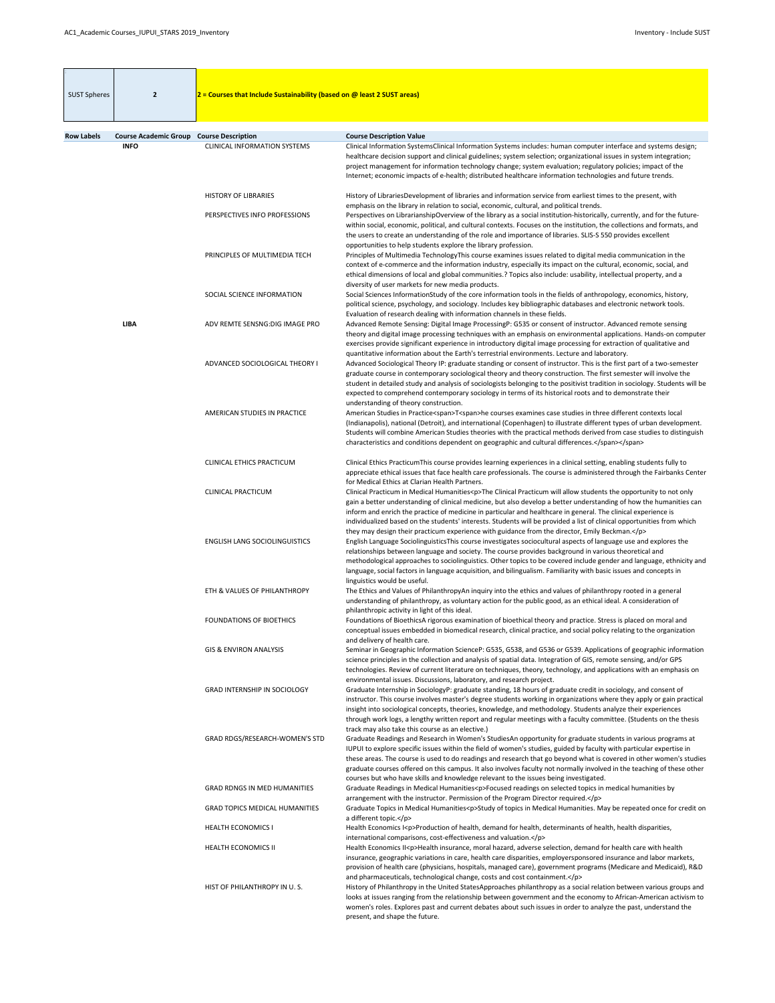| <b>SUST Spheres</b> | $\overline{2}$                                                 | $2$ = Courses that Include Sustainability (based on @ least 2 SUST areas) |                                                                                                                                                                                                                                                                                                                                                                                                                                                                                                                                                                                                                                                                                                                                |
|---------------------|----------------------------------------------------------------|---------------------------------------------------------------------------|--------------------------------------------------------------------------------------------------------------------------------------------------------------------------------------------------------------------------------------------------------------------------------------------------------------------------------------------------------------------------------------------------------------------------------------------------------------------------------------------------------------------------------------------------------------------------------------------------------------------------------------------------------------------------------------------------------------------------------|
|                     |                                                                |                                                                           |                                                                                                                                                                                                                                                                                                                                                                                                                                                                                                                                                                                                                                                                                                                                |
| <b>Row Labels</b>   | <b>Course Academic Group Course Description</b><br><b>INFO</b> | <b>CLINICAL INFORMATION SYSTEMS</b>                                       | <b>Course Description Value</b><br>Clinical Information SystemsClinical Information Systems includes: human computer interface and systems design;                                                                                                                                                                                                                                                                                                                                                                                                                                                                                                                                                                             |
|                     |                                                                |                                                                           | healthcare decision support and clinical guidelines; system selection; organizational issues in system integration;<br>project management for information technology change; system evaluation; regulatory policies; impact of the<br>Internet; economic impacts of e-health; distributed healthcare information technologies and future trends.                                                                                                                                                                                                                                                                                                                                                                               |
|                     |                                                                | <b>HISTORY OF LIBRARIES</b>                                               | History of LibrariesDevelopment of libraries and information service from earliest times to the present, with<br>emphasis on the library in relation to social, economic, cultural, and political trends.                                                                                                                                                                                                                                                                                                                                                                                                                                                                                                                      |
|                     |                                                                | PERSPECTIVES INFO PROFESSIONS                                             | Perspectives on LibrarianshipOverview of the library as a social institution-historically, currently, and for the future-<br>within social, economic, political, and cultural contexts. Focuses on the institution, the collections and formats, and<br>the users to create an understanding of the role and importance of libraries. SLIS-S 550 provides excellent<br>opportunities to help students explore the library profession.                                                                                                                                                                                                                                                                                          |
|                     |                                                                | PRINCIPLES OF MULTIMEDIA TECH                                             | Principles of Multimedia TechnologyThis course examines issues related to digital media communication in the<br>context of e-commerce and the information industry, especially its impact on the cultural, economic, social, and<br>ethical dimensions of local and global communities.? Topics also include: usability, intellectual property, and a<br>diversity of user markets for new media products.                                                                                                                                                                                                                                                                                                                     |
|                     |                                                                | SOCIAL SCIENCE INFORMATION                                                | Social Sciences InformationStudy of the core information tools in the fields of anthropology, economics, history,<br>political science, psychology, and sociology. Includes key bibliographic databases and electronic network tools.<br>Evaluation of research dealing with information channels in these fields.                                                                                                                                                                                                                                                                                                                                                                                                             |
|                     | <b>LIBA</b>                                                    | ADV REMTE SENSNG: DIG IMAGE PRO                                           | Advanced Remote Sensing: Digital Image ProcessingP: G535 or consent of instructor. Advanced remote sensing<br>theory and digital image processing techniques with an emphasis on environmental applications. Hands-on computer<br>exercises provide significant experience in introductory digital image processing for extraction of qualitative and<br>quantitative information about the Earth's terrestrial environments. Lecture and laboratory.                                                                                                                                                                                                                                                                          |
|                     |                                                                | ADVANCED SOCIOLOGICAL THEORY I                                            | Advanced Sociological Theory IP: graduate standing or consent of instructor. This is the first part of a two-semester<br>graduate course in contemporary sociological theory and theory construction. The first semester will involve the<br>student in detailed study and analysis of sociologists belonging to the positivist tradition in sociology. Students will be<br>expected to comprehend contemporary sociology in terms of its historical roots and to demonstrate their                                                                                                                                                                                                                                            |
|                     |                                                                | AMERICAN STUDIES IN PRACTICE                                              | understanding of theory construction.<br>American Studies in Practice <span>T<span>he courses examines case studies in three different contexts local<br/>(Indianapolis), national (Detroit), and international (Copenhagen) to illustrate different types of urban development.<br/>Students will combine American Studies theories with the practical methods derived from case studies to distinguish<br/>characteristics and conditions dependent on geographic and cultural differences.</span></span>                                                                                                                                                                                                                    |
|                     |                                                                | <b>CLINICAL ETHICS PRACTICUM</b>                                          | Clinical Ethics PracticumThis course provides learning experiences in a clinical setting, enabling students fully to<br>appreciate ethical issues that face health care professionals. The course is administered through the Fairbanks Center<br>for Medical Ethics at Clarian Health Partners.                                                                                                                                                                                                                                                                                                                                                                                                                               |
|                     |                                                                | <b>CLINICAL PRACTICUM</b>                                                 | Clinical Practicum in Medical Humanities <p>The Clinical Practicum will allow students the opportunity to not only<br/>gain a better understanding of clinical medicine, but also develop a better understanding of how the humanities can<br/>inform and enrich the practice of medicine in particular and healthcare in general. The clinical experience is</p>                                                                                                                                                                                                                                                                                                                                                              |
|                     |                                                                | <b>ENGLISH LANG SOCIOLINGUISTICS</b>                                      | individualized based on the students' interests. Students will be provided a list of clinical opportunities from which<br>they may design their practicum experience with guidance from the director, Emily Beckman.<br>English Language SociolinguisticsThis course investigates sociocultural aspects of language use and explores the<br>relationships between language and society. The course provides background in various theoretical and<br>methodological approaches to sociolinguistics. Other topics to be covered include gender and language, ethnicity and<br>language, social factors in language acquisition, and bilingualism. Familiarity with basic issues and concepts in<br>linguistics would be useful. |
|                     |                                                                | ETH & VALUES OF PHILANTHROPY                                              | The Ethics and Values of PhilanthropyAn inquiry into the ethics and values of philanthropy rooted in a general<br>understanding of philanthropy, as voluntary action for the public good, as an ethical ideal. A consideration of<br>philanthropic activity in light of this ideal.                                                                                                                                                                                                                                                                                                                                                                                                                                            |
|                     |                                                                | <b>FOUNDATIONS OF BIOETHICS</b>                                           | Foundations of BioethicsA rigorous examination of bioethical theory and practice. Stress is placed on moral and<br>conceptual issues embedded in biomedical research, clinical practice, and social policy relating to the organization<br>and delivery of health care.                                                                                                                                                                                                                                                                                                                                                                                                                                                        |
|                     |                                                                | <b>GIS &amp; ENVIRON ANALYSIS</b>                                         | Seminar in Geographic Information ScienceP: G535, G538, and G536 or G539. Applications of geographic information<br>science principles in the collection and analysis of spatial data. Integration of GIS, remote sensing, and/or GPS<br>technologies. Review of current literature on techniques, theory, technology, and applications with an emphasis on<br>environmental issues. Discussions, laboratory, and research project.                                                                                                                                                                                                                                                                                            |
|                     |                                                                | <b>GRAD INTERNSHIP IN SOCIOLOGY</b>                                       | Graduate Internship in SociologyP: graduate standing, 18 hours of graduate credit in sociology, and consent of<br>instructor. This course involves master's degree students working in organizations where they apply or gain practical<br>insight into sociological concepts, theories, knowledge, and methodology. Students analyze their experiences<br>through work logs, a lengthy written report and regular meetings with a faculty committee. (Students on the thesis                                                                                                                                                                                                                                                  |
|                     |                                                                | GRAD RDGS/RESEARCH-WOMEN'S STD                                            | track may also take this course as an elective.)<br>Graduate Readings and Research in Women's StudiesAn opportunity for graduate students in various programs at<br>IUPUI to explore specific issues within the field of women's studies, guided by faculty with particular expertise in<br>these areas. The course is used to do readings and research that go beyond what is covered in other women's studies<br>graduate courses offered on this campus. It also involves faculty not normally involved in the teaching of these other                                                                                                                                                                                      |
|                     |                                                                | <b>GRAD RDNGS IN MED HUMANITIES</b>                                       | courses but who have skills and knowledge relevant to the issues being investigated.<br>Graduate Readings in Medical Humanities <p>Focused readings on selected topics in medical humanities by<br/>arrangement with the instructor. Permission of the Program Director required.</p>                                                                                                                                                                                                                                                                                                                                                                                                                                          |
|                     |                                                                | <b>GRAD TOPICS MEDICAL HUMANITIES</b>                                     | Graduate Topics in Medical Humanities <p>Study of topics in Medical Humanities. May be repeated once for credit on<br/>a different topic.</p>                                                                                                                                                                                                                                                                                                                                                                                                                                                                                                                                                                                  |
|                     |                                                                | <b>HEALTH ECONOMICS I</b>                                                 | Health Economics I <p>Production of health, demand for health, determinants of health, health disparities,<br/>international comparisons, cost-effectiveness and valuation.</p>                                                                                                                                                                                                                                                                                                                                                                                                                                                                                                                                                |
|                     |                                                                | HEALTH ECONOMICS II                                                       | Health Economics II <p>Health insurance, moral hazard, adverse selection, demand for health care with health<br/>insurance, geographic variations in care, health care disparities, employersponsored insurance and labor markets,<br/>provision of health care (physicians, hospitals, managed care), government programs (Medicare and Medicaid), R&amp;D<br/>and pharmaceuticals, technological change, costs and cost containment.</p>                                                                                                                                                                                                                                                                                     |
|                     |                                                                | HIST OF PHILANTHROPY IN U.S.                                              | History of Philanthropy in the United StatesApproaches philanthropy as a social relation between various groups and<br>looks at issues ranging from the relationship between government and the economy to African-American activism to<br>women's roles. Explores past and current debates about such issues in order to analyze the past, understand the<br>present, and shape the future.                                                                                                                                                                                                                                                                                                                                   |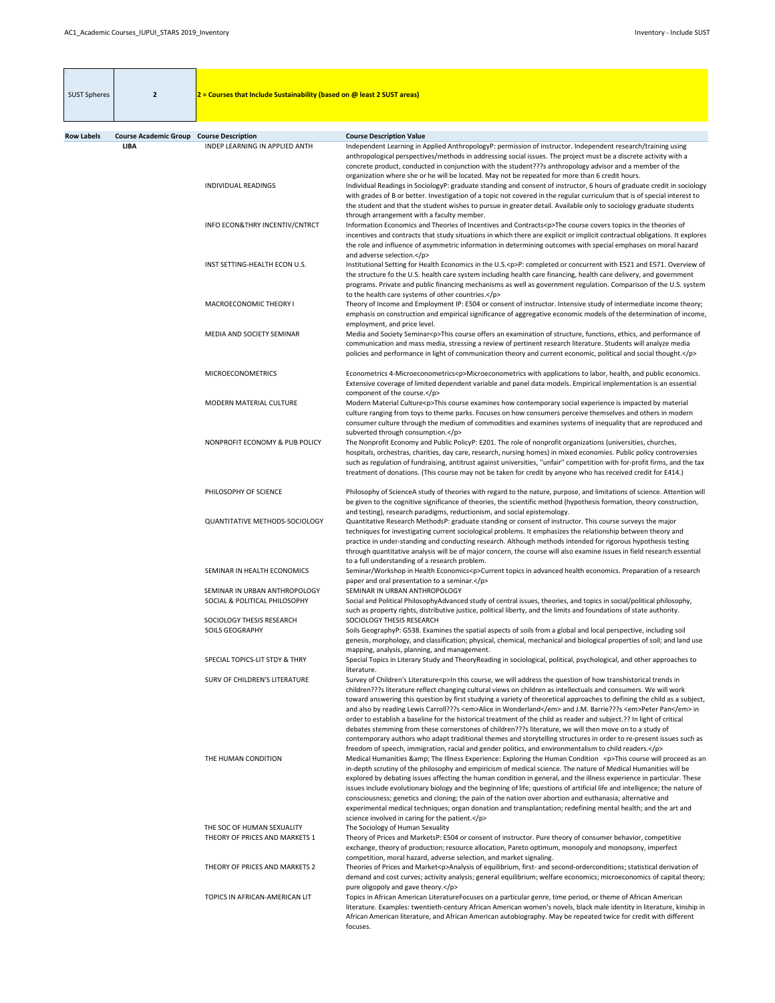| <b>SUST Spheres</b> | $\overline{2}$                                  | $2$ = Courses that Include Sustainability (based on @ least 2 SUST areas) |                                                                                                                                                                                                                                                                                                                                                                                                                                                                                                                                                                                                                                                                                                                                                                                                                               |
|---------------------|-------------------------------------------------|---------------------------------------------------------------------------|-------------------------------------------------------------------------------------------------------------------------------------------------------------------------------------------------------------------------------------------------------------------------------------------------------------------------------------------------------------------------------------------------------------------------------------------------------------------------------------------------------------------------------------------------------------------------------------------------------------------------------------------------------------------------------------------------------------------------------------------------------------------------------------------------------------------------------|
| <b>Row Labels</b>   | <b>Course Academic Group Course Description</b> |                                                                           | <b>Course Description Value</b>                                                                                                                                                                                                                                                                                                                                                                                                                                                                                                                                                                                                                                                                                                                                                                                               |
|                     | <b>LIBA</b>                                     | INDEP LEARNING IN APPLIED ANTH<br><b>INDIVIDUAL READINGS</b>              | Independent Learning in Applied AnthropologyP: permission of instructor. Independent research/training using<br>anthropological perspectives/methods in addressing social issues. The project must be a discrete activity with a<br>concrete product, conducted in conjunction with the student???s anthropology advisor and a member of the<br>organization where she or he will be located. May not be repeated for more than 6 credit hours.<br>Individual Readings in SociologyP: graduate standing and consent of instructor, 6 hours of graduate credit in sociology                                                                                                                                                                                                                                                    |
|                     |                                                 |                                                                           | with grades of B or better. Investigation of a topic not covered in the regular curriculum that is of special interest to<br>the student and that the student wishes to pursue in greater detail. Available only to sociology graduate students<br>through arrangement with a faculty member.                                                                                                                                                                                                                                                                                                                                                                                                                                                                                                                                 |
|                     |                                                 | INFO ECON& THRY INCENTIV/CNTRCT                                           | Information Economics and Theories of Incentives and Contracts <p>The course covers topics in the theories of<br/>incentives and contracts that study situations in which there are explicit or implicit contractual obligations. It explores<br/>the role and influence of asymmetric information in determining outcomes with special emphases on moral hazard<br/>and adverse selection.</p>                                                                                                                                                                                                                                                                                                                                                                                                                               |
|                     |                                                 | INST SETTING-HEALTH ECON U.S.                                             | Institutional Setting for Health Economics in the U.S. <p>P: completed or concurrent with E521 and E571. Overview of<br/>the structure fo the U.S. health care system including health care financing, health care delivery, and government<br/>programs. Private and public financing mechanisms as well as government regulation. Comparison of the U.S. system<br/>to the health care systems of other countries.</p>                                                                                                                                                                                                                                                                                                                                                                                                      |
|                     |                                                 | MACROECONOMIC THEORY I<br>MEDIA AND SOCIETY SEMINAR                       | Theory of Income and Employment IP: E504 or consent of instructor. Intensive study of intermediate income theory;<br>emphasis on construction and empirical significance of aggregative economic models of the determination of income,<br>employment, and price level.<br>Media and Society Seminar <p>This course offers an examination of structure, functions, ethics, and performance of</p>                                                                                                                                                                                                                                                                                                                                                                                                                             |
|                     |                                                 |                                                                           | communication and mass media, stressing a review of pertinent research literature. Students will analyze media<br>policies and performance in light of communication theory and current economic, political and social thought.                                                                                                                                                                                                                                                                                                                                                                                                                                                                                                                                                                                               |
|                     |                                                 | <b>MICROECONOMETRICS</b>                                                  | Econometrics 4-Microeconometrics <p>Microeconometrics with applications to labor, health, and public economics.<br/>Extensive coverage of limited dependent variable and panel data models. Empirical implementation is an essential<br/>component of the course.</p>                                                                                                                                                                                                                                                                                                                                                                                                                                                                                                                                                         |
|                     |                                                 | MODERN MATERIAL CULTURE                                                   | Modern Material Culture <p>This course examines how contemporary social experience is impacted by material<br/>culture ranging from toys to theme parks. Focuses on how consumers perceive themselves and others in modern<br/>consumer culture through the medium of commodities and examines systems of inequality that are reproduced and<br/>subverted through consumption.</p>                                                                                                                                                                                                                                                                                                                                                                                                                                           |
|                     |                                                 | NONPROFIT ECONOMY & PUB POLICY                                            | The Nonprofit Economy and Public PolicyP: E201. The role of nonprofit organizations (universities, churches,<br>hospitals, orchestras, charities, day care, research, nursing homes) in mixed economies. Public policy controversies<br>such as regulation of fundraising, antitrust against universities, "unfair" competition with for-profit firms, and the tax<br>treatment of donations. (This course may not be taken for credit by anyone who has received credit for E414.)                                                                                                                                                                                                                                                                                                                                           |
|                     |                                                 | PHILOSOPHY OF SCIENCE                                                     | Philosophy of ScienceA study of theories with regard to the nature, purpose, and limitations of science. Attention will<br>be given to the cognitive significance of theories, the scientific method (hypothesis formation, theory construction,<br>and testing), research paradigms, reductionism, and social epistemology.                                                                                                                                                                                                                                                                                                                                                                                                                                                                                                  |
|                     |                                                 | <b>QUANTITATIVE METHODS-SOCIOLOGY</b>                                     | Quantitative Research MethodsP: graduate standing or consent of instructor. This course surveys the major<br>techniques for investigating current sociological problems. It emphasizes the relationship between theory and<br>practice in under-standing and conducting research. Although methods intended for rigorous hypothesis testing<br>through quantitative analysis will be of major concern, the course will also examine issues in field research essential<br>to a full understanding of a research problem.                                                                                                                                                                                                                                                                                                      |
|                     |                                                 | SEMINAR IN HEALTH ECONOMICS                                               | Seminar/Workshop in Health Economics <p>Current topics in advanced health economics. Preparation of a research<br/>paper and oral presentation to a seminar.</p>                                                                                                                                                                                                                                                                                                                                                                                                                                                                                                                                                                                                                                                              |
|                     |                                                 | SEMINAR IN URBAN ANTHROPOLOGY<br>SOCIAL & POLITICAL PHILOSOPHY            | SEMINAR IN URBAN ANTHROPOLOGY<br>Social and Political PhilosophyAdvanced study of central issues, theories, and topics in social/political philosophy,<br>such as property rights, distributive justice, political liberty, and the limits and foundations of state authority.                                                                                                                                                                                                                                                                                                                                                                                                                                                                                                                                                |
|                     |                                                 | SOCIOLOGY THESIS RESEARCH<br><b>SOILS GEOGRAPHY</b>                       | SOCIOLOGY THESIS RESEARCH<br>Soils GeographyP: G538. Examines the spatial aspects of soils from a global and local perspective, including soil<br>genesis, morphology, and classification; physical, chemical, mechanical and biological properties of soil; and land use<br>mapping, analysis, planning, and management.                                                                                                                                                                                                                                                                                                                                                                                                                                                                                                     |
|                     |                                                 | SPECIAL TOPICS-LIT STDY & THRY<br>SURV OF CHILDREN'S LITERATURE           | Special Topics in Literary Study and TheoryReading in sociological, political, psychological, and other approaches to<br>literature.<br>Survey of Children's Literature <p>In this course, we will address the question of how transhistorical trends in</p>                                                                                                                                                                                                                                                                                                                                                                                                                                                                                                                                                                  |
|                     |                                                 |                                                                           | children???s literature reflect changing cultural views on children as intellectuals and consumers. We will work<br>toward answering this question by first studying a variety of theoretical approaches to defining the child as a subject,<br>and also by reading Lewis Carroll???s <em>Alice in Wonderland</em> and J.M. Barrie???s <em>Peter Pan</em> in<br>order to establish a baseline for the historical treatment of the child as reader and subject.?? In light of critical<br>debates stemming from these cornerstones of children???s literature, we will then move on to a study of<br>contemporary authors who adapt traditional themes and storytelling structures in order to re-present issues such as<br>freedom of speech, immigration, racial and gender politics, and environmentalism to child readers. |
|                     |                                                 | THE HUMAN CONDITION                                                       | Medical Humanities & The Illness Experience: Exploring the Human Condition <p>This course will proceed as an<br/>in-depth scrutiny of the philosophy and empiricism of medical science. The nature of Medical Humanities will be<br/>explored by debating issues affecting the human condition in general, and the illness experience in particular. These<br/>issues include evolutionary biology and the beginning of life; questions of artificial life and intelligence; the nature of<br/>consciousness; genetics and cloning; the pain of the nation over abortion and euthanasia; alternative and<br/>experimental medical techniques; organ donation and transplantation; redefining mental health; and the art and<br/>science involved in caring for the patient.</p>                                               |
|                     |                                                 | THE SOC OF HUMAN SEXUALITY<br>THEORY OF PRICES AND MARKETS 1              | The Sociology of Human Sexuality<br>Theory of Prices and MarketsP: E504 or consent of instructor. Pure theory of consumer behavior, competitive<br>exchange, theory of production; resource allocation, Pareto optimum, monopoly and monopsony, imperfect<br>competition, moral hazard, adverse selection, and market signaling.                                                                                                                                                                                                                                                                                                                                                                                                                                                                                              |
|                     |                                                 | THEORY OF PRICES AND MARKETS 2                                            | Theories of Prices and Market <p>Analysis of equilibrium, first- and second-orderconditions; statistical derivation of<br/>demand and cost curves; activity analysis; general equilibrium; welfare economics; microeconomics of capital theory;<br/>pure oligopoly and gave theory.</p>                                                                                                                                                                                                                                                                                                                                                                                                                                                                                                                                       |
|                     |                                                 | TOPICS IN AFRICAN-AMERICAN LIT                                            | Topics in African American LiteratureFocuses on a particular genre, time period, or theme of African American<br>literature. Examples: twentieth-century African American women's novels, black male identity in literature, kinship in<br>African American literature, and African American autobiography. May be repeated twice for credit with different<br>focuses.                                                                                                                                                                                                                                                                                                                                                                                                                                                       |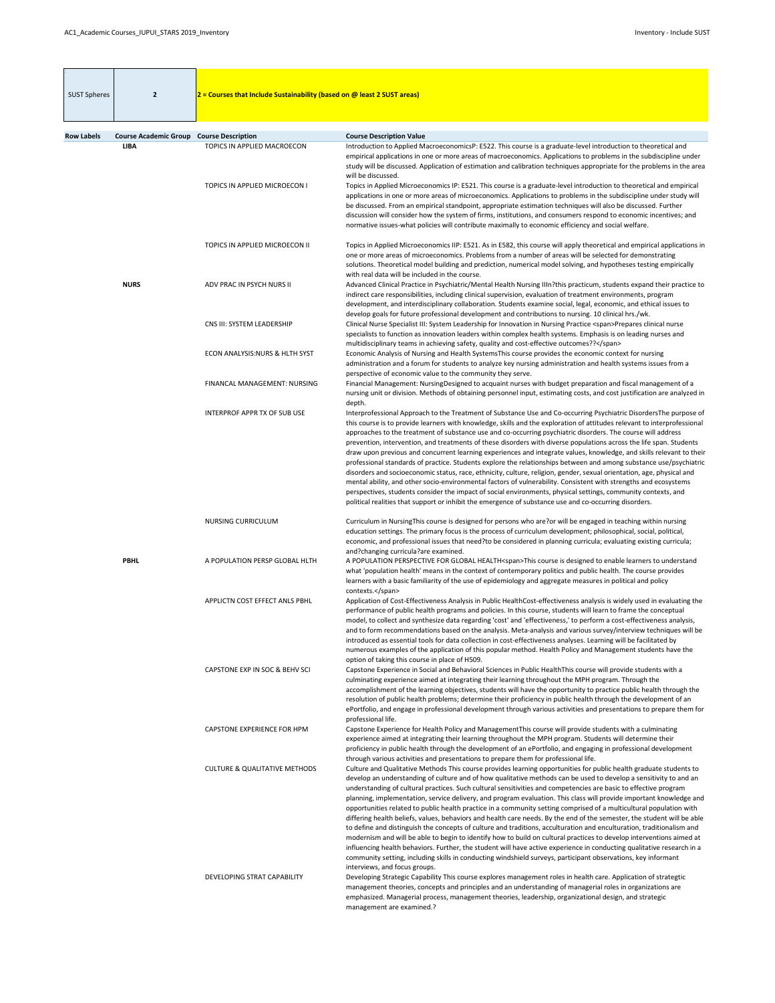| <b>SUST Spheres</b> | $\overline{2}$               | $2$ = Courses that Include Sustainability (based on @ least 2 SUST areas) |                                                                                                                                                                                                                                                                                                                                                                                                                                                                                                                                                                                                                                                                                                                                                                                                                                                                                                                                                                                                                                                                                                                                                                                                                                                                   |
|---------------------|------------------------------|---------------------------------------------------------------------------|-------------------------------------------------------------------------------------------------------------------------------------------------------------------------------------------------------------------------------------------------------------------------------------------------------------------------------------------------------------------------------------------------------------------------------------------------------------------------------------------------------------------------------------------------------------------------------------------------------------------------------------------------------------------------------------------------------------------------------------------------------------------------------------------------------------------------------------------------------------------------------------------------------------------------------------------------------------------------------------------------------------------------------------------------------------------------------------------------------------------------------------------------------------------------------------------------------------------------------------------------------------------|
| <b>Row Labels</b>   | <b>Course Academic Group</b> | <b>Course Description</b>                                                 | <b>Course Description Value</b>                                                                                                                                                                                                                                                                                                                                                                                                                                                                                                                                                                                                                                                                                                                                                                                                                                                                                                                                                                                                                                                                                                                                                                                                                                   |
|                     | <b>LIBA</b>                  | TOPICS IN APPLIED MACROECON                                               | Introduction to Applied MacroeconomicsP: E522. This course is a graduate-level introduction to theoretical and<br>empirical applications in one or more areas of macroeconomics. Applications to problems in the subdiscipline under<br>study will be discussed. Application of estimation and calibration techniques appropriate for the problems in the area<br>will be discussed.                                                                                                                                                                                                                                                                                                                                                                                                                                                                                                                                                                                                                                                                                                                                                                                                                                                                              |
|                     |                              | TOPICS IN APPLIED MICROECON I                                             | Topics in Applied Microeconomics IP: E521. This course is a graduate-level introduction to theoretical and empirical<br>applications in one or more areas of microeconomics. Applications to problems in the subdiscipline under study will<br>be discussed. From an empirical standpoint, appropriate estimation techniques will also be discussed. Further<br>discussion will consider how the system of firms, institutions, and consumers respond to economic incentives; and<br>normative issues-what policies will contribute maximally to economic efficiency and social welfare.                                                                                                                                                                                                                                                                                                                                                                                                                                                                                                                                                                                                                                                                          |
|                     |                              | TOPICS IN APPLIED MICROECON II                                            | Topics in Applied Microeconomics IIP: E521. As in E582, this course will apply theoretical and empirical applications in<br>one or more areas of microeconomics. Problems from a number of areas will be selected for demonstrating<br>solutions. Theoretical model building and prediction, numerical model solving, and hypotheses testing empirically<br>with real data will be included in the course.                                                                                                                                                                                                                                                                                                                                                                                                                                                                                                                                                                                                                                                                                                                                                                                                                                                        |
|                     | <b>NURS</b>                  | ADV PRAC IN PSYCH NURS II                                                 | Advanced Clinical Practice in Psychiatric/Mental Health Nursing IIIn?this practicum, students expand their practice to<br>indirect care responsibilities, including clinical supervision, evaluation of treatment environments, program<br>development, and interdisciplinary collaboration. Students examine social, legal, economic, and ethical issues to<br>develop goals for future professional development and contributions to nursing. 10 clinical hrs./wk.                                                                                                                                                                                                                                                                                                                                                                                                                                                                                                                                                                                                                                                                                                                                                                                              |
|                     |                              | CNS III: SYSTEM LEADERSHIP                                                | Clinical Nurse Specialist III: System Leadership for Innovation in Nursing Practice <span>Prepares clinical nurse<br/>specialists to function as innovation leaders within complex health systems. Emphasis is on leading nurses and<br/>multidisciplinary teams in achieving safety, quality and cost-effective outcomes??</span>                                                                                                                                                                                                                                                                                                                                                                                                                                                                                                                                                                                                                                                                                                                                                                                                                                                                                                                                |
|                     |                              | <b>ECON ANALYSIS:NURS &amp; HLTH SYST</b>                                 | Economic Analysis of Nursing and Health SystemsThis course provides the economic context for nursing<br>administration and a forum for students to analyze key nursing administration and health systems issues from a<br>perspective of economic value to the community they serve.                                                                                                                                                                                                                                                                                                                                                                                                                                                                                                                                                                                                                                                                                                                                                                                                                                                                                                                                                                              |
|                     |                              | FINANCAL MANAGEMENT: NURSING                                              | Financial Management: NursingDesigned to acquaint nurses with budget preparation and fiscal management of a<br>nursing unit or division. Methods of obtaining personnel input, estimating costs, and cost justification are analyzed in<br>depth.                                                                                                                                                                                                                                                                                                                                                                                                                                                                                                                                                                                                                                                                                                                                                                                                                                                                                                                                                                                                                 |
|                     |                              | <b>INTERPROF APPR TX OF SUB USE</b>                                       | Interprofessional Approach to the Treatment of Substance Use and Co-occurring Psychiatric DisordersThe purpose of<br>this course is to provide learners with knowledge, skills and the exploration of attitudes relevant to interprofessional<br>approaches to the treatment of substance use and co-occurring psychiatric disorders. The course will address<br>prevention, intervention, and treatments of these disorders with diverse populations across the life span. Students<br>draw upon previous and concurrent learning experiences and integrate values, knowledge, and skills relevant to their<br>professional standards of practice. Students explore the relationships between and among substance use/psychiatric<br>disorders and socioeconomic status, race, ethnicity, culture, religion, gender, sexual orientation, age, physical and<br>mental ability, and other socio-environmental factors of vulnerability. Consistent with strengths and ecosystems<br>perspectives, students consider the impact of social environments, physical settings, community contexts, and<br>political realities that support or inhibit the emergence of substance use and co-occurring disorders.                                                        |
|                     |                              | <b>NURSING CURRICULUM</b>                                                 | Curriculum in NursingThis course is designed for persons who are?or will be engaged in teaching within nursing<br>education settings. The primary focus is the process of curriculum development; philosophical, social, political,<br>economic, and professional issues that need?to be considered in planning curricula; evaluating existing curricula;<br>and?changing curricula?are examined.                                                                                                                                                                                                                                                                                                                                                                                                                                                                                                                                                                                                                                                                                                                                                                                                                                                                 |
|                     | <b>PBHL</b>                  | A POPULATION PERSP GLOBAL HLTH                                            | A POPULATION PERSPECTIVE FOR GLOBAL HEALTH <span>This course is designed to enable learners to understand<br/>what 'population health' means in the context of contemporary politics and public health. The course provides<br/>learners with a basic familiarity of the use of epidemiology and aggregate measures in political and policy<br/>contexts.</span>                                                                                                                                                                                                                                                                                                                                                                                                                                                                                                                                                                                                                                                                                                                                                                                                                                                                                                  |
|                     |                              | APPLICTN COST EFFECT ANLS PBHL                                            | Application of Cost-Effectiveness Analysis in Public HealthCost-effectiveness analysis is widely used in evaluating the<br>performance of public health programs and policies. In this course, students will learn to frame the conceptual<br>model, to collect and synthesize data regarding 'cost' and 'effectiveness,' to perform a cost-effectiveness analysis,<br>and to form recommendations based on the analysis. Meta-analysis and various survey/interview techniques will be<br>introduced as essential tools for data collection in cost-effectiveness analyses. Learning will be facilitated by<br>numerous examples of the application of this popular method. Health Policy and Management students have the<br>option of taking this course in place of H509.                                                                                                                                                                                                                                                                                                                                                                                                                                                                                     |
|                     |                              | CAPSTONE EXP IN SOC & BEHV SCI                                            | Capstone Experience in Social and Behavioral Sciences in Public HealthThis course will provide students with a<br>culminating experience aimed at integrating their learning throughout the MPH program. Through the<br>accomplishment of the learning objectives, students will have the opportunity to practice public health through the<br>resolution of public health problems; determine their proficiency in public health through the development of an<br>ePortfolio, and engage in professional development through various activities and presentations to prepare them for<br>professional life.                                                                                                                                                                                                                                                                                                                                                                                                                                                                                                                                                                                                                                                      |
|                     |                              | <b>CAPSTONE EXPERIENCE FOR HPM</b>                                        | Capstone Experience for Health Policy and ManagementThis course will provide students with a culminating<br>experience aimed at integrating their learning throughout the MPH program. Students will determine their<br>proficiency in public health through the development of an ePortfolio, and engaging in professional development<br>through various activities and presentations to prepare them for professional life.                                                                                                                                                                                                                                                                                                                                                                                                                                                                                                                                                                                                                                                                                                                                                                                                                                    |
|                     |                              | <b>CULTURE &amp; QUALITATIVE METHODS</b>                                  | Culture and Qualitative Methods This course provides learning opportunities for public health graduate students to<br>develop an understanding of culture and of how qualitative methods can be used to develop a sensitivity to and an<br>understanding of cultural practices. Such cultural sensitivities and competencies are basic to effective program<br>planning, implementation, service delivery, and program evaluation. This class will provide important knowledge and<br>opportunities related to public health practice in a community setting comprised of a multicultural population with<br>differing health beliefs, values, behaviors and health care needs. By the end of the semester, the student will be able<br>to define and distinguish the concepts of culture and traditions, acculturation and enculturation, traditionalism and<br>modernism and will be able to begin to identify how to build on cultural practices to develop interventions aimed at<br>influencing health behaviors. Further, the student will have active experience in conducting qualitative research in a<br>community setting, including skills in conducting windshield surveys, participant observations, key informant<br>interviews, and focus groups. |
|                     |                              | DEVELOPING STRAT CAPABILITY                                               | Developing Strategic Capability This course explores management roles in health care. Application of strategtic<br>management theories, concepts and principles and an understanding of managerial roles in organizations are<br>emphasized. Managerial process, management theories, leadership, organizational design, and strategic<br>management are examined.?                                                                                                                                                                                                                                                                                                                                                                                                                                                                                                                                                                                                                                                                                                                                                                                                                                                                                               |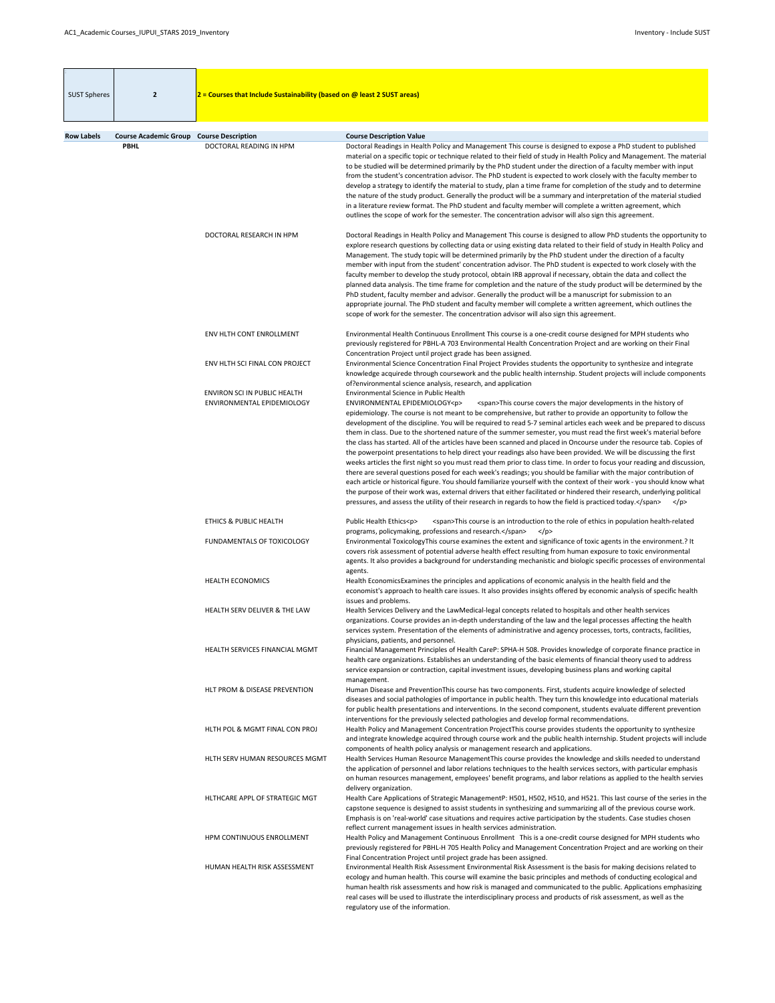| <b>SUST Spheres</b> | $\overline{2}$                                                 | $2$ = Courses that Include Sustainability (based on @ least 2 SUST areas) |                                                                                                                                                                                                                                                                                                                                                                                                                                                                                                                                                                                                                                                                                                                                                                                                                                                                                                                                                                                                                                                                                                                                                                                                                                                                                                                                                                                                                               |
|---------------------|----------------------------------------------------------------|---------------------------------------------------------------------------|-------------------------------------------------------------------------------------------------------------------------------------------------------------------------------------------------------------------------------------------------------------------------------------------------------------------------------------------------------------------------------------------------------------------------------------------------------------------------------------------------------------------------------------------------------------------------------------------------------------------------------------------------------------------------------------------------------------------------------------------------------------------------------------------------------------------------------------------------------------------------------------------------------------------------------------------------------------------------------------------------------------------------------------------------------------------------------------------------------------------------------------------------------------------------------------------------------------------------------------------------------------------------------------------------------------------------------------------------------------------------------------------------------------------------------|
|                     |                                                                |                                                                           |                                                                                                                                                                                                                                                                                                                                                                                                                                                                                                                                                                                                                                                                                                                                                                                                                                                                                                                                                                                                                                                                                                                                                                                                                                                                                                                                                                                                                               |
| <b>Row Labels</b>   | <b>Course Academic Group Course Description</b><br><b>PBHL</b> | DOCTORAL READING IN HPM                                                   | <b>Course Description Value</b><br>Doctoral Readings in Health Policy and Management This course is designed to expose a PhD student to published<br>material on a specific topic or technique related to their field of study in Health Policy and Management. The material<br>to be studied will be determined primarily by the PhD student under the direction of a faculty member with input<br>from the student's concentration advisor. The PhD student is expected to work closely with the faculty member to<br>develop a strategy to identify the material to study, plan a time frame for completion of the study and to determine<br>the nature of the study product. Generally the product will be a summary and interpretation of the material studied<br>in a literature review format. The PhD student and faculty member will complete a written agreement, which<br>outlines the scope of work for the semester. The concentration advisor will also sign this agreement.                                                                                                                                                                                                                                                                                                                                                                                                                                    |
|                     |                                                                | DOCTORAL RESEARCH IN HPM                                                  | Doctoral Readings in Health Policy and Management This course is designed to allow PhD students the opportunity to<br>explore research questions by collecting data or using existing data related to their field of study in Health Policy and<br>Management. The study topic will be determined primarily by the PhD student under the direction of a faculty<br>member with input from the student' concentration advisor. The PhD student is expected to work closely with the<br>faculty member to develop the study protocol, obtain IRB approval if necessary, obtain the data and collect the<br>planned data analysis. The time frame for completion and the nature of the study product will be determined by the<br>PhD student, faculty member and advisor. Generally the product will be a manuscript for submission to an<br>appropriate journal. The PhD student and faculty member will complete a written agreement, which outlines the<br>scope of work for the semester. The concentration advisor will also sign this agreement.                                                                                                                                                                                                                                                                                                                                                                          |
|                     |                                                                | ENV HLTH CONT ENROLLMENT                                                  | Environmental Health Continuous Enrollment This course is a one-credit course designed for MPH students who<br>previously registered for PBHL-A 703 Environmental Health Concentration Project and are working on their Final<br>Concentration Project until project grade has been assigned.                                                                                                                                                                                                                                                                                                                                                                                                                                                                                                                                                                                                                                                                                                                                                                                                                                                                                                                                                                                                                                                                                                                                 |
|                     |                                                                | ENV HLTH SCI FINAL CON PROJECT                                            | Environmental Science Concentration Final Project Provides students the opportunity to synthesize and integrate<br>knowledge acquirede through coursework and the public health internship. Student projects will include components<br>of?environmental science analysis, research, and application                                                                                                                                                                                                                                                                                                                                                                                                                                                                                                                                                                                                                                                                                                                                                                                                                                                                                                                                                                                                                                                                                                                          |
|                     |                                                                | ENVIRON SCI IN PUBLIC HEALTH<br>ENVIRONMENTAL EPIDEMIOLOGY                | Environmental Science in Public Health<br>ENVIRONMENTAL EPIDEMIOLOGY <p><br/><span>This course covers the major developments in the history of<br/>epidemiology. The course is not meant to be comprehensive, but rather to provide an opportunity to follow the<br/>development of the discipline. You will be required to read 5-7 seminal articles each week and be prepared to discuss<br/>them in class. Due to the shortened nature of the summer semester, you must read the first week's material before<br/>the class has started. All of the articles have been scanned and placed in Oncourse under the resource tab. Copies of<br/>the powerpoint presentations to help direct your readings also have been provided. We will be discussing the first<br/>weeks articles the first night so you must read them prior to class time. In order to focus your reading and discussion,<br/>there are several questions posed for each week's readings; you should be familiar with the major contribution of<br/>each article or historical figure. You should familiarize yourself with the context of their work - you should know what<br/>the purpose of their work was, external drivers that either facilitated or hindered their research, underlying political<br/>pressures, and assess the utility of their research in regards to how the field is practiced today.</span><br/><math>&lt;</math>/p&gt;</p> |
|                     |                                                                | ETHICS & PUBLIC HEALTH                                                    | <span>This course is an introduction to the role of ethics in population health-related<br/>Public Health Ethics<p><br/>programs, policymaking, professions and research.</p></span><br>$<$ /p>                                                                                                                                                                                                                                                                                                                                                                                                                                                                                                                                                                                                                                                                                                                                                                                                                                                                                                                                                                                                                                                                                                                                                                                                                               |
|                     |                                                                | FUNDAMENTALS OF TOXICOLOGY                                                | Environmental ToxicologyThis course examines the extent and significance of toxic agents in the environment.? It<br>covers risk assessment of potential adverse health effect resulting from human exposure to toxic environmental<br>agents. It also provides a background for understanding mechanistic and biologic specific processes of environmental<br>agents.                                                                                                                                                                                                                                                                                                                                                                                                                                                                                                                                                                                                                                                                                                                                                                                                                                                                                                                                                                                                                                                         |
|                     |                                                                | <b>HEALTH ECONOMICS</b>                                                   | Health Economics Examines the principles and applications of economic analysis in the health field and the<br>economist's approach to health care issues. It also provides insights offered by economic analysis of specific health<br>issues and problems.                                                                                                                                                                                                                                                                                                                                                                                                                                                                                                                                                                                                                                                                                                                                                                                                                                                                                                                                                                                                                                                                                                                                                                   |
|                     |                                                                | HEALTH SERV DELIVER & THE LAW                                             | Health Services Delivery and the LawMedical-legal concepts related to hospitals and other health services<br>organizations. Course provides an in-depth understanding of the law and the legal processes affecting the health<br>services system. Presentation of the elements of administrative and agency processes, torts, contracts, facilities,<br>physicians, patients, and personnel.                                                                                                                                                                                                                                                                                                                                                                                                                                                                                                                                                                                                                                                                                                                                                                                                                                                                                                                                                                                                                                  |
|                     |                                                                | HEALTH SERVICES FINANCIAL MGMT                                            | Financial Management Principles of Health CareP: SPHA-H 508. Provides knowledge of corporate finance practice in<br>health care organizations. Establishes an understanding of the basic elements of financial theory used to address<br>service expansion or contraction, capital investment issues, developing business plans and working capital<br>management.                                                                                                                                                                                                                                                                                                                                                                                                                                                                                                                                                                                                                                                                                                                                                                                                                                                                                                                                                                                                                                                            |
|                     |                                                                | <b>HLT PROM &amp; DISEASE PREVENTION</b>                                  | Human Disease and PreventionThis course has two components. First, students acquire knowledge of selected<br>diseases and social pathologies of importance in public health. They turn this knowledge into educational materials<br>for public health presentations and interventions. In the second component, students evaluate different prevention<br>interventions for the previously selected pathologies and develop formal recommendations.                                                                                                                                                                                                                                                                                                                                                                                                                                                                                                                                                                                                                                                                                                                                                                                                                                                                                                                                                                           |
|                     |                                                                | HLTH POL & MGMT FINAL CON PROJ                                            | Health Policy and Management Concentration ProjectThis course provides students the opportunity to synthesize<br>and integrate knowledge acquired through course work and the public health internship. Student projects will include<br>components of health policy analysis or management research and applications.                                                                                                                                                                                                                                                                                                                                                                                                                                                                                                                                                                                                                                                                                                                                                                                                                                                                                                                                                                                                                                                                                                        |
|                     |                                                                | HLTH SERV HUMAN RESOURCES MGMT                                            | Health Services Human Resource Management This course provides the knowledge and skills needed to understand<br>the application of personnel and labor relations techniques to the health services sectors, with particular emphasis<br>on human resources management, employees' benefit programs, and labor relations as applied to the health servies<br>delivery organization.                                                                                                                                                                                                                                                                                                                                                                                                                                                                                                                                                                                                                                                                                                                                                                                                                                                                                                                                                                                                                                            |
|                     |                                                                | HLTHCARE APPL OF STRATEGIC MGT                                            | Health Care Applications of Strategic ManagementP: H501, H502, H510, and H521. This last course of the series in the<br>capstone sequence is designed to assist students in synthesizing and summarizing all of the previous course work.<br>Emphasis is on 'real-world' case situations and requires active participation by the students. Case studies chosen<br>reflect current management issues in health services administration.                                                                                                                                                                                                                                                                                                                                                                                                                                                                                                                                                                                                                                                                                                                                                                                                                                                                                                                                                                                       |
|                     |                                                                | HPM CONTINUOUS ENROLLMENT                                                 | Health Policy and Management Continuous Enrollment This is a one-credit course designed for MPH students who<br>previously registered for PBHL-H 705 Health Policy and Management Concentration Project and are working on their<br>Final Concentration Project until project grade has been assigned.                                                                                                                                                                                                                                                                                                                                                                                                                                                                                                                                                                                                                                                                                                                                                                                                                                                                                                                                                                                                                                                                                                                        |
|                     |                                                                | HUMAN HEALTH RISK ASSESSMENT                                              | Environmental Health Risk Assessment Environmental Risk Assessment is the basis for making decisions related to<br>ecology and human health. This course will examine the basic principles and methods of conducting ecological and<br>human health risk assessments and how risk is managed and communicated to the public. Applications emphasizing<br>real cases will be used to illustrate the interdisciplinary process and products of risk assessment, as well as the<br>regulatory use of the information.                                                                                                                                                                                                                                                                                                                                                                                                                                                                                                                                                                                                                                                                                                                                                                                                                                                                                                            |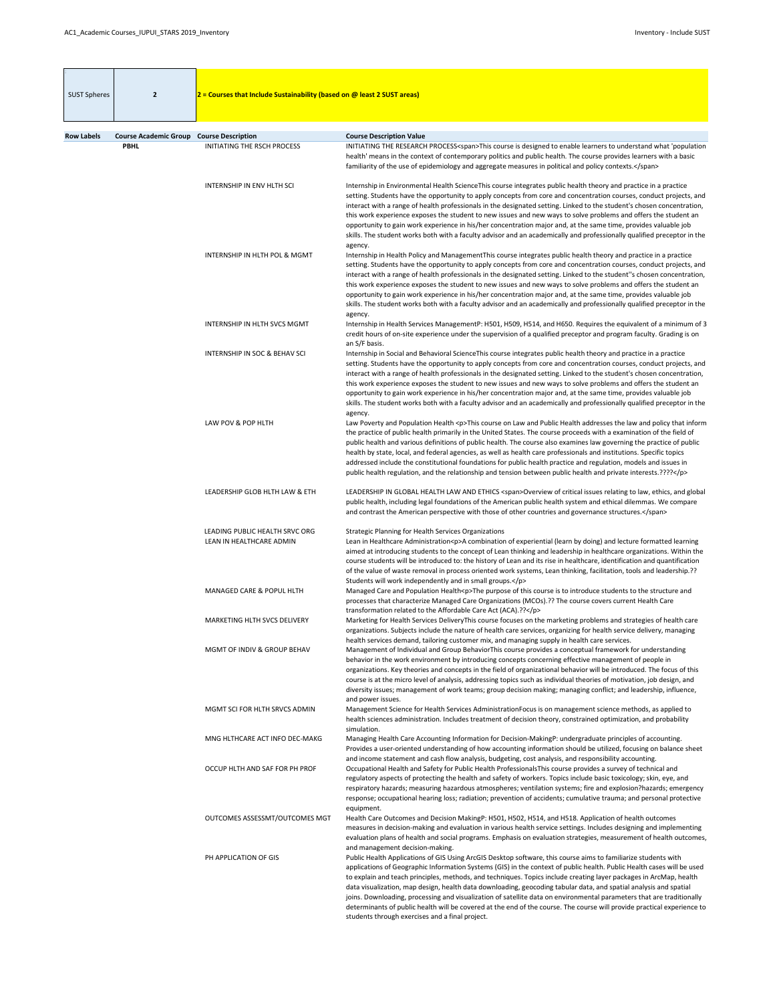| <b>SUST Spheres</b> | $\overline{2}$                              | $2$ = Courses that Include Sustainability (based on @ least 2 SUST areas) |                                                                                                                                                                                                                                                                                                                                                                                                                                                                                                                                                                                                                                                                                                                                                                                            |
|---------------------|---------------------------------------------|---------------------------------------------------------------------------|--------------------------------------------------------------------------------------------------------------------------------------------------------------------------------------------------------------------------------------------------------------------------------------------------------------------------------------------------------------------------------------------------------------------------------------------------------------------------------------------------------------------------------------------------------------------------------------------------------------------------------------------------------------------------------------------------------------------------------------------------------------------------------------------|
|                     |                                             |                                                                           |                                                                                                                                                                                                                                                                                                                                                                                                                                                                                                                                                                                                                                                                                                                                                                                            |
| <b>Row Labels</b>   | <b>Course Academic Group</b><br><b>PBHL</b> | <b>Course Description</b><br><b>INITIATING THE RSCH PROCESS</b>           | <b>Course Description Value</b><br>INITIATING THE RESEARCH PROCESS <span>This course is designed to enable learners to understand what 'population<br/>health' means in the context of contemporary politics and public health. The course provides learners with a basic<br/>familiarity of the use of epidemiology and aggregate measures in political and policy contexts.</span>                                                                                                                                                                                                                                                                                                                                                                                                       |
|                     |                                             | <b>INTERNSHIP IN ENV HLTH SCI</b>                                         | Internship in Environmental Health ScienceThis course integrates public health theory and practice in a practice<br>setting. Students have the opportunity to apply concepts from core and concentration courses, conduct projects, and<br>interact with a range of health professionals in the designated setting. Linked to the student's chosen concentration,<br>this work experience exposes the student to new issues and new ways to solve problems and offers the student an<br>opportunity to gain work experience in his/her concentration major and, at the same time, provides valuable job<br>skills. The student works both with a faculty advisor and an academically and professionally qualified preceptor in the                                                         |
|                     |                                             | INTERNSHIP IN HLTH POL & MGMT                                             | agency.<br>Internship in Health Policy and ManagementThis course integrates public health theory and practice in a practice<br>setting. Students have the opportunity to apply concepts from core and concentration courses, conduct projects, and<br>interact with a range of health professionals in the designated setting. Linked to the student"s chosen concentration,<br>this work experience exposes the student to new issues and new ways to solve problems and offers the student an<br>opportunity to gain work experience in his/her concentration major and, at the same time, provides valuable job<br>skills. The student works both with a faculty advisor and an academically and professionally qualified preceptor in the                                              |
|                     |                                             | <b>INTERNSHIP IN HLTH SVCS MGMT</b>                                       | agency.<br>Internship in Health Services ManagementP: H501, H509, H514, and H650. Requires the equivalent of a minimum of 3<br>credit hours of on-site experience under the supervision of a qualified preceptor and program faculty. Grading is on<br>an S/F basis.                                                                                                                                                                                                                                                                                                                                                                                                                                                                                                                       |
|                     |                                             | <b>INTERNSHIP IN SOC &amp; BEHAV SCI</b>                                  | Internship in Social and Behavioral ScienceThis course integrates public health theory and practice in a practice<br>setting. Students have the opportunity to apply concepts from core and concentration courses, conduct projects, and<br>interact with a range of health professionals in the designated setting. Linked to the student's chosen concentration,<br>this work experience exposes the student to new issues and new ways to solve problems and offers the student an<br>opportunity to gain work experience in his/her concentration major and, at the same time, provides valuable job<br>skills. The student works both with a faculty advisor and an academically and professionally qualified preceptor in the<br>agency.                                             |
|                     |                                             | LAW POV & POP HLTH                                                        | Law Poverty and Population Health <p>This course on Law and Public Health addresses the law and policy that inform<br/>the practice of public health primarily in the United States. The course proceeds with a examination of the field of<br/>public health and various definitions of public health. The course also examines law governing the practice of public<br/>health by state, local, and federal agencies, as well as health care professionals and institutions. Specific topics<br/>addressed include the constitutional foundations for public health practice and regulation, models and issues in<br/>public health regulation, and the relationship and tension between public health and private interests.????</p>                                                    |
|                     |                                             | LEADERSHIP GLOB HLTH LAW & ETH                                            | LEADERSHIP IN GLOBAL HEALTH LAW AND ETHICS <span>Overview of critical issues relating to law, ethics, and global<br/>public health, including legal foundations of the American public health system and ethical dilemmas. We compare<br/>and contrast the American perspective with those of other countries and governance structures.</span>                                                                                                                                                                                                                                                                                                                                                                                                                                            |
|                     |                                             | LEADING PUBLIC HEALTH SRVC ORG<br>LEAN IN HEALTHCARE ADMIN                | <b>Strategic Planning for Health Services Organizations</b><br>Lean in Healthcare Administration <p>A combination of experiential (learn by doing) and lecture formatted learning<br/>aimed at introducing students to the concept of Lean thinking and leadership in healthcare organizations. Within the<br/>course students will be introduced to: the history of Lean and its rise in healthcare, identification and quantification<br/>of the value of waste removal in process oriented work systems, Lean thinking, facilitation, tools and leadership.??<br/>Students will work independently and in small groups.</p>                                                                                                                                                             |
|                     |                                             | MANAGED CARE & POPUL HLTH                                                 | Managed Care and Population Health <p>The purpose of this course is to introduce students to the structure and<br/>processes that characterize Managed Care Organizations (MCOs).?? The course covers current Health Care<br/>transformation related to the Affordable Care Act (ACA).??</p>                                                                                                                                                                                                                                                                                                                                                                                                                                                                                               |
|                     |                                             | <b>MARKETING HLTH SVCS DELIVERY</b>                                       | Marketing for Health Services DeliveryThis course focuses on the marketing problems and strategies of health care<br>organizations. Subjects include the nature of health care services, organizing for health service delivery, managing<br>health services demand, tailoring customer mix, and managing supply in health care services.                                                                                                                                                                                                                                                                                                                                                                                                                                                  |
|                     |                                             | MGMT OF INDIV & GROUP BEHAV                                               | Management of Individual and Group BehaviorThis course provides a conceptual framework for understanding<br>behavior in the work environment by introducing concepts concerning effective management of people in<br>organizations. Key theories and concepts in the field of organizational behavior will be introduced. The focus of this<br>course is at the micro level of analysis, addressing topics such as individual theories of motivation, job design, and<br>diversity issues; management of work teams; group decision making; managing conflict; and leadership, influence,<br>and power issues.                                                                                                                                                                             |
|                     |                                             | MGMT SCI FOR HLTH SRVCS ADMIN                                             | Management Science for Health Services AdministrationFocus is on management science methods, as applied to<br>health sciences administration. Includes treatment of decision theory, constrained optimization, and probability<br>simulation.                                                                                                                                                                                                                                                                                                                                                                                                                                                                                                                                              |
|                     |                                             | MNG HLTHCARE ACT INFO DEC-MAKG                                            | Managing Health Care Accounting Information for Decision-MakingP: undergraduate principles of accounting.<br>Provides a user-oriented understanding of how accounting information should be utilized, focusing on balance sheet<br>and income statement and cash flow analysis, budgeting, cost analysis, and responsibility accounting.                                                                                                                                                                                                                                                                                                                                                                                                                                                   |
|                     |                                             | OCCUP HLTH AND SAF FOR PH PROF                                            | Occupational Health and Safety for Public Health Professionals This course provides a survey of technical and<br>regulatory aspects of protecting the health and safety of workers. Topics include basic toxicology; skin, eye, and<br>respiratory hazards; measuring hazardous atmospheres; ventilation systems; fire and explosion?hazards; emergency<br>response; occupational hearing loss; radiation; prevention of accidents; cumulative trauma; and personal protective<br>equipment.                                                                                                                                                                                                                                                                                               |
|                     |                                             | OUTCOMES ASSESSMT/OUTCOMES MGT                                            | Health Care Outcomes and Decision MakingP: H501, H502, H514, and H518. Application of health outcomes<br>measures in decision-making and evaluation in various health service settings. Includes designing and implementing<br>evaluation plans of health and social programs. Emphasis on evaluation strategies, measurement of health outcomes,<br>and management decision-making.                                                                                                                                                                                                                                                                                                                                                                                                       |
|                     |                                             | PH APPLICATION OF GIS                                                     | Public Health Applications of GIS Using ArcGIS Desktop software, this course aims to familiarize students with<br>applications of Geographic Information Systems (GIS) in the context of public health. Public Health cases will be used<br>to explain and teach principles, methods, and techniques. Topics include creating layer packages in ArcMap, health<br>data visualization, map design, health data downloading, geocoding tabular data, and spatial analysis and spatial<br>joins. Downloading, processing and visualization of satellite data on environmental parameters that are traditionally<br>determinants of public health will be covered at the end of the course. The course will provide practical experience to<br>students through exercises and a final project. |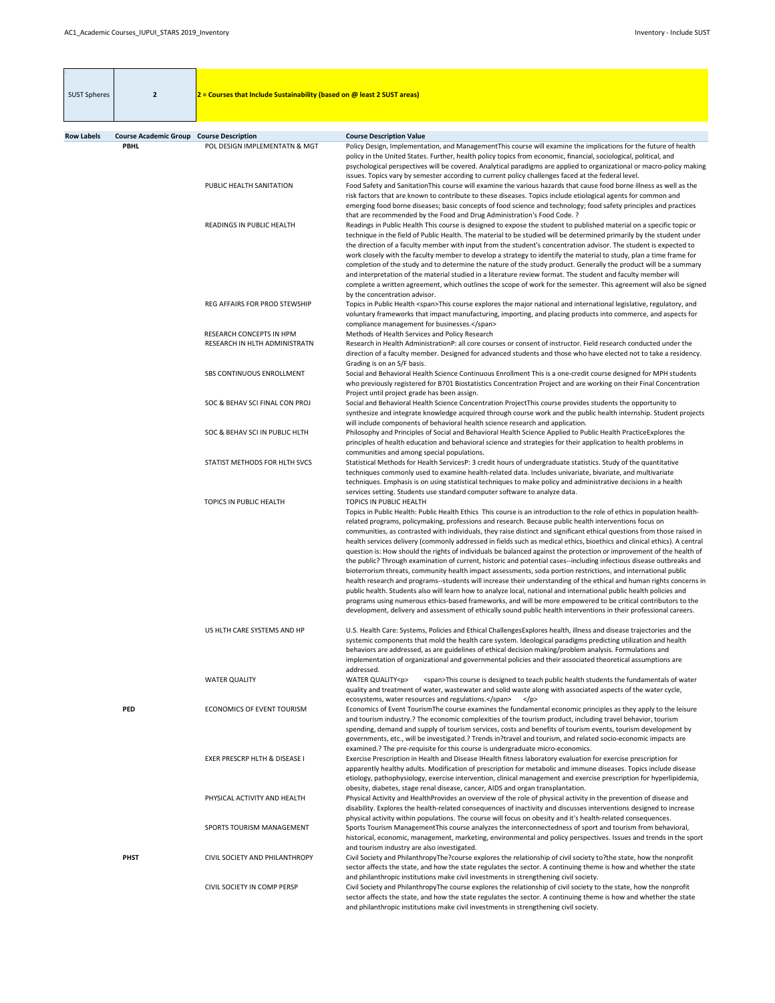| <b>SUST Spheres</b> | $\overline{2}$                                  | $2$ = Courses that Include Sustainability (based on @ least 2 SUST areas) |                                                                                                                                                                                                                                                                                                                                                                                                                                                                                                                                                                                                                                                                                                                                                                                                                                                                                                                                                                                                                                                                                                                                                                                                                                                                                                                                                                               |
|---------------------|-------------------------------------------------|---------------------------------------------------------------------------|-------------------------------------------------------------------------------------------------------------------------------------------------------------------------------------------------------------------------------------------------------------------------------------------------------------------------------------------------------------------------------------------------------------------------------------------------------------------------------------------------------------------------------------------------------------------------------------------------------------------------------------------------------------------------------------------------------------------------------------------------------------------------------------------------------------------------------------------------------------------------------------------------------------------------------------------------------------------------------------------------------------------------------------------------------------------------------------------------------------------------------------------------------------------------------------------------------------------------------------------------------------------------------------------------------------------------------------------------------------------------------|
| <b>Row Labels</b>   | <b>Course Academic Group Course Description</b> |                                                                           | <b>Course Description Value</b>                                                                                                                                                                                                                                                                                                                                                                                                                                                                                                                                                                                                                                                                                                                                                                                                                                                                                                                                                                                                                                                                                                                                                                                                                                                                                                                                               |
|                     | <b>PBHL</b>                                     | POL DESIGN IMPLEMENTATN & MGT                                             | Policy Design, Implementation, and Management This course will examine the implications for the future of health<br>policy in the United States. Further, health policy topics from economic, financial, sociological, political, and<br>psychological perspectives will be covered. Analytical paradigms are applied to organizational or macro-policy making<br>issues. Topics vary by semester according to current policy challenges faced at the federal level.                                                                                                                                                                                                                                                                                                                                                                                                                                                                                                                                                                                                                                                                                                                                                                                                                                                                                                          |
|                     |                                                 | PUBLIC HEALTH SANITATION                                                  | Food Safety and SanitationThis course will examine the various hazards that cause food borne illness as well as the<br>risk factors that are known to contribute to these diseases. Topics include etiological agents for common and<br>emerging food borne diseases; basic concepts of food science and technology; food safety principles and practices<br>that are recommended by the Food and Drug Administration's Food Code. ?                                                                                                                                                                                                                                                                                                                                                                                                                                                                                                                                                                                                                                                                                                                                                                                                                                                                                                                                          |
|                     |                                                 | READINGS IN PUBLIC HEALTH                                                 | Readings in Public Health This course is designed to expose the student to published material on a specific topic or<br>technique in the field of Public Health. The material to be studied will be determined primarily by the student under<br>the direction of a faculty member with input from the student's concentration advisor. The student is expected to<br>work closely with the faculty member to develop a strategy to identify the material to study, plan a time frame for<br>completion of the study and to determine the nature of the study product. Generally the product will be a summary<br>and interpretation of the material studied in a literature review format. The student and faculty member will<br>complete a written agreement, which outlines the scope of work for the semester. This agreement will also be signed<br>by the concentration advisor.                                                                                                                                                                                                                                                                                                                                                                                                                                                                                       |
|                     |                                                 | REG AFFAIRS FOR PROD STEWSHIP                                             | Topics in Public Health <span>This course explores the major national and international legislative, regulatory, and<br/>voluntary frameworks that impact manufacturing, importing, and placing products into commerce, and aspects for<br/>compliance management for businesses.</span>                                                                                                                                                                                                                                                                                                                                                                                                                                                                                                                                                                                                                                                                                                                                                                                                                                                                                                                                                                                                                                                                                      |
|                     |                                                 | <b>RESEARCH CONCEPTS IN HPM</b>                                           | Methods of Health Services and Policy Research                                                                                                                                                                                                                                                                                                                                                                                                                                                                                                                                                                                                                                                                                                                                                                                                                                                                                                                                                                                                                                                                                                                                                                                                                                                                                                                                |
|                     |                                                 | RESEARCH IN HLTH ADMINISTRATN                                             | Research in Health AdministrationP: all core courses or consent of instructor. Field research conducted under the<br>direction of a faculty member. Designed for advanced students and those who have elected not to take a residency.<br>Grading is on an S/F basis.                                                                                                                                                                                                                                                                                                                                                                                                                                                                                                                                                                                                                                                                                                                                                                                                                                                                                                                                                                                                                                                                                                         |
|                     |                                                 | SBS CONTINUOUS ENROLLMENT                                                 | Social and Behavioral Health Science Continuous Enrollment This is a one-credit course designed for MPH students<br>who previously registered for B701 Biostatistics Concentration Project and are working on their Final Concentration<br>Project until project grade has been assign.                                                                                                                                                                                                                                                                                                                                                                                                                                                                                                                                                                                                                                                                                                                                                                                                                                                                                                                                                                                                                                                                                       |
|                     |                                                 | SOC & BEHAV SCI FINAL CON PROJ                                            | Social and Behavioral Health Science Concentration ProjectThis course provides students the opportunity to<br>synthesize and integrate knowledge acquired through course work and the public health internship. Student projects<br>will include components of behavioral health science research and application.                                                                                                                                                                                                                                                                                                                                                                                                                                                                                                                                                                                                                                                                                                                                                                                                                                                                                                                                                                                                                                                            |
|                     |                                                 | SOC & BEHAV SCI IN PUBLIC HLTH                                            | Philosophy and Principles of Social and Behavioral Health Science Applied to Public Health PracticeExplores the<br>principles of health education and behavioral science and strategies for their application to health problems in<br>communities and among special populations.                                                                                                                                                                                                                                                                                                                                                                                                                                                                                                                                                                                                                                                                                                                                                                                                                                                                                                                                                                                                                                                                                             |
|                     |                                                 | STATIST METHODS FOR HLTH SVCS                                             | Statistical Methods for Health ServicesP: 3 credit hours of undergraduate statistics. Study of the quantitative<br>techniques commonly used to examine health-related data. Includes univariate, bivariate, and multivariate<br>techniques. Emphasis is on using statistical techniques to make policy and administrative decisions in a health<br>services setting. Students use standard computer software to analyze data.                                                                                                                                                                                                                                                                                                                                                                                                                                                                                                                                                                                                                                                                                                                                                                                                                                                                                                                                                 |
|                     |                                                 | TOPICS IN PUBLIC HEALTH                                                   | TOPICS IN PUBLIC HEALTH<br>Topics in Public Health: Public Health Ethics This course is an introduction to the role of ethics in population health-<br>related programs, policymaking, professions and research. Because public health interventions focus on<br>communities, as contrasted with individuals, they raise distinct and significant ethical questions from those raised in<br>health services delivery (commonly addressed in fields such as medical ethics, bioethics and clinical ethics). A central<br>question is: How should the rights of individuals be balanced against the protection or improvement of the health of<br>the public? Through examination of current, historic and potential cases--including infectious disease outbreaks and<br>bioterrorism threats, community health impact assessments, soda portion restrictions, and international public<br>health research and programs--students will increase their understanding of the ethical and human rights concerns in<br>public health. Students also will learn how to analyze local, national and international public health policies and<br>programs using numerous ethics-based frameworks, and will be more empowered to be critical contributors to the<br>development, delivery and assessment of ethically sound public health interventions in their professional careers. |

|             | US HLTH CARE SYSTEMS AND HP       | U.S. Health Care: Systems, Policies and Ethical Challenges Explores health, illness and disease trajectories and the<br>systemic components that mold the health care system. Ideological paradigms predicting utilization and health<br>behaviors are addressed, as are guidelines of ethical decision making/problem analysis. Formulations and<br>implementation of organizational and governmental policies and their associated theoretical assumptions are<br>addressed.                                                                                                                                |
|-------------|-----------------------------------|---------------------------------------------------------------------------------------------------------------------------------------------------------------------------------------------------------------------------------------------------------------------------------------------------------------------------------------------------------------------------------------------------------------------------------------------------------------------------------------------------------------------------------------------------------------------------------------------------------------|
|             | <b>WATER QUALITY</b>              | <b>WATER QUALITY<p></p></b><br><span>This course is designed to teach public health students the fundamentals of water<br/>quality and treatment of water, wastewater and solid waste along with associated aspects of the water cycle,</span>                                                                                                                                                                                                                                                                                                                                                                |
| <b>PED</b>  | <b>ECONOMICS OF EVENT TOURISM</b> | ecosystems, water resources and regulations.<br>$<$ /p><br>Economics of Event TourismThe course examines the fundamental economic principles as they apply to the leisure<br>and tourism industry.? The economic complexities of the tourism product, including travel behavior, tourism<br>spending, demand and supply of tourism services, costs and benefits of tourism events, tourism development by<br>governments, etc., will be investigated.? Trends in?travel and tourism, and related socio-economic impacts are<br>examined.? The pre-requisite for this course is undergraduate micro-economics. |
|             | EXER PRESCRP HLTH & DISEASE I     | Exercise Prescription in Health and Disease IHealth fitness laboratory evaluation for exercise prescription for<br>apparently healthy adults. Modification of prescription for metabolic and immune diseases. Topics include disease<br>etiology, pathophysiology, exercise intervention, clinical management and exercise prescription for hyperlipidemia,<br>obesity, diabetes, stage renal disease, cancer, AIDS and organ transplantation.                                                                                                                                                                |
|             | PHYSICAL ACTIVITY AND HEALTH      | Physical Activity and HealthProvides an overview of the role of physical activity in the prevention of disease and<br>disability. Explores the health-related consequences of inactivity and discusses interventions designed to increase<br>physical activity within populations. The course will focus on obesity and it's health-related consequences.                                                                                                                                                                                                                                                     |
|             | SPORTS TOURISM MANAGEMENT         | Sports Tourism ManagementThis course analyzes the interconnectedness of sport and tourism from behavioral,<br>historical, economic, management, marketing, environmental and policy perspectives. Issues and trends in the sport<br>and tourism industry are also investigated.                                                                                                                                                                                                                                                                                                                               |
| <b>PHST</b> | CIVIL SOCIETY AND PHILANTHROPY    | Civil Society and PhilanthropyThe?course explores the relationship of civil society to?the state, how the nonprofit<br>sector affects the state, and how the state regulates the sector. A continuing theme is how and whether the state<br>and philanthropic institutions make civil investments in strengthening civil society.                                                                                                                                                                                                                                                                             |
|             | CIVIL SOCIETY IN COMP PERSP       | Civil Society and PhilanthropyThe course explores the relationship of civil society to the state, how the nonprofit<br>sector affects the state, and how the state regulates the sector. A continuing theme is how and whether the state<br>and philanthropic institutions make civil investments in strengthening civil society.                                                                                                                                                                                                                                                                             |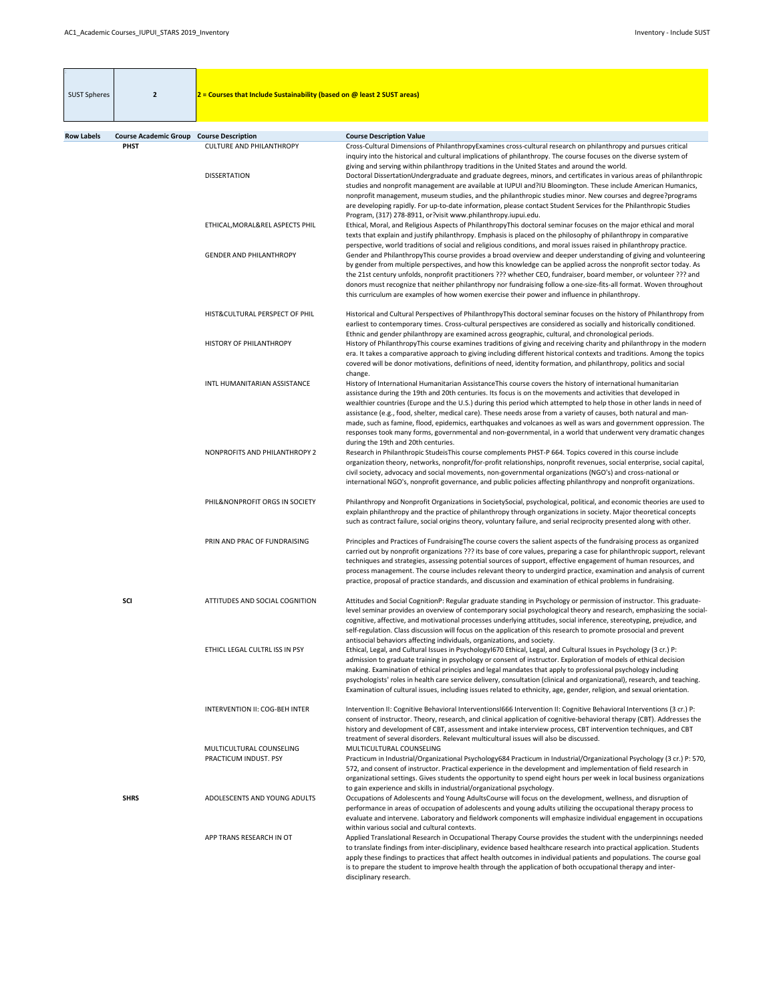| <b>SUST Spheres</b> | $\overline{2}$                                                 | $2$ = Courses that Include Sustainability (based on @ least 2 SUST areas) |                                                                                                                                                                                                                                                                                                                                                                                                                                                                                                                                                                                                                                                                                                                                                        |
|---------------------|----------------------------------------------------------------|---------------------------------------------------------------------------|--------------------------------------------------------------------------------------------------------------------------------------------------------------------------------------------------------------------------------------------------------------------------------------------------------------------------------------------------------------------------------------------------------------------------------------------------------------------------------------------------------------------------------------------------------------------------------------------------------------------------------------------------------------------------------------------------------------------------------------------------------|
|                     |                                                                |                                                                           |                                                                                                                                                                                                                                                                                                                                                                                                                                                                                                                                                                                                                                                                                                                                                        |
| <b>Row Labels</b>   | <b>Course Academic Group Course Description</b><br><b>PHST</b> | <b>CULTURE AND PHILANTHROPY</b>                                           | <b>Course Description Value</b><br>Cross-Cultural Dimensions of PhilanthropyExamines cross-cultural research on philanthropy and pursues critical<br>inquiry into the historical and cultural implications of philanthropy. The course focuses on the diverse system of<br>giving and serving within philanthropy traditions in the United States and around the world.                                                                                                                                                                                                                                                                                                                                                                                |
|                     |                                                                | <b>DISSERTATION</b>                                                       | Doctoral DissertationUndergraduate and graduate degrees, minors, and certificates in various areas of philanthropic<br>studies and nonprofit management are available at IUPUI and?IU Bloomington. These include American Humanics,<br>nonprofit management, museum studies, and the philanthropic studies minor. New courses and degree?programs<br>are developing rapidly. For up-to-date information, please contact Student Services for the Philanthropic Studies<br>Program, (317) 278-8911, or?visit www.philanthropy.iupui.edu.                                                                                                                                                                                                                |
|                     |                                                                | ETHICAL, MORAL&REL ASPECTS PHIL                                           | Ethical, Moral, and Religious Aspects of PhilanthropyThis doctoral seminar focuses on the major ethical and moral<br>texts that explain and justify philanthropy. Emphasis is placed on the philosophy of philanthropy in comparative<br>perspective, world traditions of social and religious conditions, and moral issues raised in philanthropy practice.                                                                                                                                                                                                                                                                                                                                                                                           |
|                     |                                                                | <b>GENDER AND PHILANTHROPY</b>                                            | Gender and PhilanthropyThis course provides a broad overview and deeper understanding of giving and volunteering<br>by gender from multiple perspectives, and how this knowledge can be applied across the nonprofit sector today. As<br>the 21st century unfolds, nonprofit practitioners ??? whether CEO, fundraiser, board member, or volunteer ??? and<br>donors must recognize that neither philanthropy nor fundraising follow a one-size-fits-all format. Woven throughout<br>this curriculum are examples of how women exercise their power and influence in philanthropy.                                                                                                                                                                     |
|                     |                                                                | HIST&CULTURAL PERSPECT OF PHIL                                            | Historical and Cultural Perspectives of PhilanthropyThis doctoral seminar focuses on the history of Philanthropy from<br>earliest to contemporary times. Cross-cultural perspectives are considered as socially and historically conditioned.<br>Ethnic and gender philanthropy are examined across geographic, cultural, and chronological periods.                                                                                                                                                                                                                                                                                                                                                                                                   |
|                     |                                                                | <b>HISTORY OF PHILANTHROPY</b>                                            | History of PhilanthropyThis course examines traditions of giving and receiving charity and philanthropy in the modern<br>era. It takes a comparative approach to giving including different historical contexts and traditions. Among the topics<br>covered will be donor motivations, definitions of need, identity formation, and philanthropy, politics and social<br>change.                                                                                                                                                                                                                                                                                                                                                                       |
|                     |                                                                | INTL HUMANITARIAN ASSISTANCE                                              | History of International Humanitarian AssistanceThis course covers the history of international humanitarian<br>assistance during the 19th and 20th centuries. Its focus is on the movements and activities that developed in<br>wealthier countries (Europe and the U.S.) during this period which attempted to help those in other lands in need of<br>assistance (e.g., food, shelter, medical care). These needs arose from a variety of causes, both natural and man-<br>made, such as famine, flood, epidemics, earthquakes and volcanoes as well as wars and government oppression. The<br>responses took many forms, governmental and non-governmental, in a world that underwent very dramatic changes<br>during the 19th and 20th centuries. |
|                     |                                                                | NONPROFITS AND PHILANTHROPY 2                                             | Research in Philanthropic StudeisThis course complements PHST-P 664. Topics covered in this course include<br>organization theory, networks, nonprofit/for-profit relationships, nonprofit revenues, social enterprise, social capital,<br>civil society, advocacy and social movements, non-governmental organizations (NGO's) and cross-national or<br>international NGO's, nonprofit governance, and public policies affecting philanthropy and nonprofit organizations.                                                                                                                                                                                                                                                                            |
|                     |                                                                | PHIL&NONPROFIT ORGS IN SOCIETY                                            | Philanthropy and Nonprofit Organizations in SocietySocial, psychological, political, and economic theories are used to<br>explain philanthropy and the practice of philanthropy through organizations in society. Major theoretical concepts<br>such as contract failure, social origins theory, voluntary failure, and serial reciprocity presented along with other.                                                                                                                                                                                                                                                                                                                                                                                 |
|                     |                                                                | PRIN AND PRAC OF FUNDRAISING                                              | Principles and Practices of Fundraising The course covers the salient aspects of the fundraising process as organized<br>carried out by nonprofit organizations ??? its base of core values, preparing a case for philanthropic support, relevant<br>techniques and strategies, assessing potential sources of support, effective engagement of human resources, and<br>process management. The course includes relevant theory to undergird practice, examination and analysis of current<br>practice, proposal of practice standards, and discussion and examination of ethical problems in fundraising.                                                                                                                                             |
|                     | <b>SCI</b>                                                     | ATTITUDES AND SOCIAL COGNITION                                            | Attitudes and Social CognitionP: Regular graduate standing in Psychology or permission of instructor. This graduate-<br>level seminar provides an overview of contemporary social psychological theory and research, emphasizing the social-<br>cognitive, affective, and motivational processes underlying attitudes, social inference, stereotyping, prejudice, and<br>self-regulation. Class discussion will focus on the application of this research to promote prosocial and prevent<br>antisocial behaviors affecting individuals, organizations, and society.                                                                                                                                                                                  |
|                     |                                                                | ETHICL LEGAL CULTRL ISS IN PSY                                            | Ethical, Legal, and Cultural Issues in Psychology1670 Ethical, Legal, and Cultural Issues in Psychology (3 cr.) P:<br>admission to graduate training in psychology or consent of instructor. Exploration of models of ethical decision<br>making. Examination of ethical principles and legal mandates that apply to professional psychology including<br>psychologists' roles in health care service delivery, consultation (clinical and organizational), research, and teaching.<br>Examination of cultural issues, including issues related to ethnicity, age, gender, religion, and sexual orientation.                                                                                                                                           |
|                     |                                                                | <b>INTERVENTION II: COG-BEH INTER</b>                                     | Intervention II: Cognitive Behavioral Interventions 1666 Intervention II: Cognitive Behavioral Interventions (3 cr.) P:<br>consent of instructor. Theory, research, and clinical application of cognitive-behavioral therapy (CBT). Addresses the<br>history and development of CBT, assessment and intake interview process, CBT intervention techniques, and CBT<br>treatment of several disorders. Relevant multicultural issues will also be discussed.                                                                                                                                                                                                                                                                                            |
|                     |                                                                | MULTICULTURAL COUNSELING<br><b>PRACTICUM INDUST. PSY</b>                  | MULTICULTURAL COUNSELING<br>Practicum in Industrial/Organizational Psychology684 Practicum in Industrial/Organizational Psychology (3 cr.) P: 570,<br>572, and consent of instructor. Practical experience in the development and implementation of field research in<br>organizational settings. Gives students the opportunity to spend eight hours per week in local business organizations<br>to gain experience and skills in industrial/organizational psychology.                                                                                                                                                                                                                                                                               |
|                     | <b>SHRS</b>                                                    | ADOLESCENTS AND YOUNG ADULTS                                              | Occupations of Adolescents and Young AdultsCourse will focus on the development, wellness, and disruption of<br>performance in areas of occupation of adolescents and young adults utilizing the occupational therapy process to<br>evaluate and intervene. Laboratory and fieldwork components will emphasize individual engagement in occupations<br>within various social and cultural contexts.                                                                                                                                                                                                                                                                                                                                                    |
|                     |                                                                | APP TRANS RESEARCH IN OT                                                  | Applied Translational Research in Occupational Therapy Course provides the student with the underpinnings needed<br>to translate findings from inter-disciplinary, evidence based healthcare research into practical application. Students<br>apply these findings to practices that affect health outcomes in individual patients and populations. The course goal<br>is to prepare the student to improve health through the application of both occupational therapy and inter-<br>disciplinary research.                                                                                                                                                                                                                                           |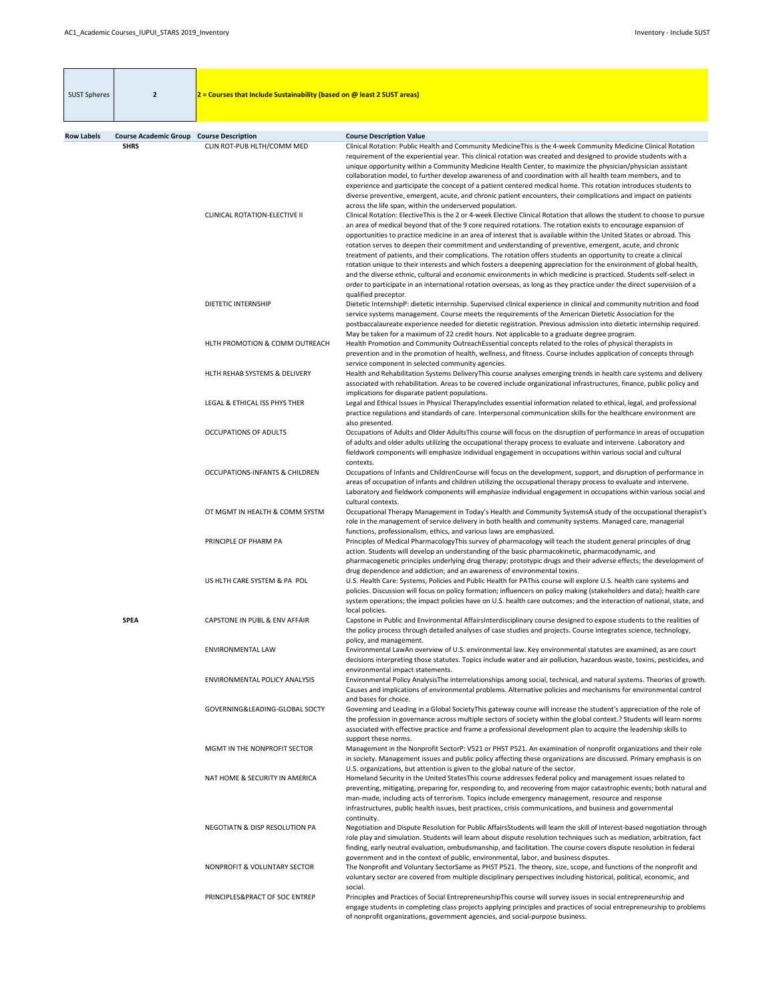| <b>SUST Spheres</b> | $\overline{2}$                                  | $2$ = Courses that Include Sustainability (based on @ least 2 SUST areas) |                                                                                                                                                                                                                                                                                                                                                                                                                                                                                                                                                                                                                                                                                                                                                                                                                                                                                                                                                                                                                                        |
|---------------------|-------------------------------------------------|---------------------------------------------------------------------------|----------------------------------------------------------------------------------------------------------------------------------------------------------------------------------------------------------------------------------------------------------------------------------------------------------------------------------------------------------------------------------------------------------------------------------------------------------------------------------------------------------------------------------------------------------------------------------------------------------------------------------------------------------------------------------------------------------------------------------------------------------------------------------------------------------------------------------------------------------------------------------------------------------------------------------------------------------------------------------------------------------------------------------------|
| <b>Row Labels</b>   | <b>Course Academic Group Course Description</b> |                                                                           | <b>Course Description Value</b>                                                                                                                                                                                                                                                                                                                                                                                                                                                                                                                                                                                                                                                                                                                                                                                                                                                                                                                                                                                                        |
|                     | <b>SHRS</b>                                     | CLIN ROT-PUB HLTH/COMM MED                                                | Clinical Rotation: Public Health and Community MedicineThis is the 4-week Community Medicine Clinical Rotation<br>requirement of the experiential year. This clinical rotation was created and designed to provide students with a<br>unique opportunity within a Community Medicine Health Center, to maximize the physician/physician assistant<br>collaboration model, to further develop awareness of and coordination with all health team members, and to<br>experience and participate the concept of a patient centered medical home. This rotation introduces students to<br>diverse preventive, emergent, acute, and chronic patient encounters, their complications and impact on patients                                                                                                                                                                                                                                                                                                                                  |
|                     |                                                 | <b>CLINICAL ROTATION-ELECTIVE II</b>                                      | across the life span, within the underserved population.<br>Clinical Rotation: ElectiveThis is the 2 or 4-week Elective Clinical Rotation that allows the student to choose to pursue<br>an area of medical beyond that of the 9 core required rotations. The rotation exists to encourage expansion of<br>opportunities to practice medicine in an area of interest that is available within the United States or abroad. This<br>rotation serves to deepen their commitment and understanding of preventive, emergent, acute, and chronic<br>treatment of patients, and their complications. The rotation offers students an opportunity to create a clinical<br>rotation unique to their interests and which fosters a deepening appreciation for the environment of global health,<br>and the diverse ethnic, cultural and economic environments in which medicine is practiced. Students self-select in<br>order to participate in an international rotation overseas, as long as they practice under the direct supervision of a |
|                     |                                                 | <b>DIETETIC INTERNSHIP</b>                                                | qualified preceptor.<br>Dietetic InternshipP: dietetic internship. Supervised clinical experience in clinical and community nutrition and food<br>service systems management. Course meets the requirements of the American Dietetic Association for the<br>postbaccalaureate experience needed for dietetic registration. Previous admission into dietetic internship required.<br>May be taken for a maximum of 22 credit hours. Not applicable to a graduate degree program.                                                                                                                                                                                                                                                                                                                                                                                                                                                                                                                                                        |
|                     |                                                 | HLTH PROMOTION & COMM OUTREACH                                            | Health Promotion and Community OutreachEssential concepts related to the roles of physical therapists in<br>prevention and in the promotion of health, wellness, and fitness. Course includes application of concepts through<br>service component in selected community agencies.                                                                                                                                                                                                                                                                                                                                                                                                                                                                                                                                                                                                                                                                                                                                                     |
|                     |                                                 | HLTH REHAB SYSTEMS & DELIVERY                                             | Health and Rehabilitation Systems DeliveryThis course analyses emerging trends in health care systems and delivery<br>associated with rehabilitation. Areas to be covered include organizational infrastructures, finance, public policy and<br>implications for disparate patient populations.                                                                                                                                                                                                                                                                                                                                                                                                                                                                                                                                                                                                                                                                                                                                        |
|                     |                                                 | LEGAL & ETHICAL ISS PHYS THER                                             | Legal and Ethical Issues in Physical TherapyIncludes essential information related to ethical, legal, and professional<br>practice regulations and standards of care. Interpersonal communication skills for the healthcare environment are<br>also presented.                                                                                                                                                                                                                                                                                                                                                                                                                                                                                                                                                                                                                                                                                                                                                                         |
|                     |                                                 | <b>OCCUPATIONS OF ADULTS</b>                                              | Occupations of Adults and Older AdultsThis course will focus on the disruption of performance in areas of occupation<br>of adults and older adults utilizing the occupational therapy process to evaluate and intervene. Laboratory and<br>fieldwork components will emphasize individual engagement in occupations within various social and cultural<br>contexts.                                                                                                                                                                                                                                                                                                                                                                                                                                                                                                                                                                                                                                                                    |
|                     |                                                 | <b>OCCUPATIONS-INFANTS &amp; CHILDREN</b>                                 | Occupations of Infants and ChildrenCourse will focus on the development, support, and disruption of performance in<br>areas of occupation of infants and children utilizing the occupational therapy process to evaluate and intervene.<br>Laboratory and fieldwork components will emphasize individual engagement in occupations within various social and<br>cultural contexts.                                                                                                                                                                                                                                                                                                                                                                                                                                                                                                                                                                                                                                                     |
|                     |                                                 | OT MGMT IN HEALTH & COMM SYSTM                                            | Occupational Therapy Management in Today's Health and Community SystemsA study of the occupational therapist's<br>role in the management of service delivery in both health and community systems. Managed care, managerial<br>functions, professionalism, ethics, and various laws are emphasized.                                                                                                                                                                                                                                                                                                                                                                                                                                                                                                                                                                                                                                                                                                                                    |
|                     |                                                 | PRINCIPLE OF PHARM PA                                                     | Principles of Medical PharmacologyThis survey of pharmacology will teach the student general principles of drug<br>action. Students will develop an understanding of the basic pharmacokinetic, pharmacodynamic, and<br>pharmacogenetic principles underlying drug therapy; prototypic drugs and their adverse effects; the development of<br>drug dependence and addiction; and an awareness of environmental toxins.                                                                                                                                                                                                                                                                                                                                                                                                                                                                                                                                                                                                                 |
|                     |                                                 | US HLTH CARE SYSTEM & PA POL                                              | U.S. Health Care: Systems, Policies and Public Health for PAThis course will explore U.S. health care systems and<br>policies. Discussion will focus on policy formation; influencers on policy making (stakeholders and data); health care<br>system operations; the impact policies have on U.S. health care outcomes; and the interaction of national, state, and<br>local policies.                                                                                                                                                                                                                                                                                                                                                                                                                                                                                                                                                                                                                                                |
|                     | <b>SPEA</b>                                     | CAPSTONE IN PUBL & ENV AFFAIR                                             | Capstone in Public and Environmental AffairsInterdisciplinary course designed to expose students to the realities of<br>the policy process through detailed analyses of case studies and projects. Course integrates science, technology,<br>policy, and management.                                                                                                                                                                                                                                                                                                                                                                                                                                                                                                                                                                                                                                                                                                                                                                   |
|                     |                                                 | <b>ENVIRONMENTAL LAW</b>                                                  | Environmental LawAn overview of U.S. environmental law. Key environmental statutes are examined, as are court<br>decisions interpreting those statutes. Topics include water and air pollution, hazardous waste, toxins, pesticides, and<br>environmental impact statements.                                                                                                                                                                                                                                                                                                                                                                                                                                                                                                                                                                                                                                                                                                                                                           |
|                     |                                                 | <b>ENVIRONMENTAL POLICY ANALYSIS</b><br>GOVERNING&LEADING-GLOBAL SOCTY    | Environmental Policy AnalysisThe interrelationships among social, technical, and natural systems. Theories of growth.<br>Causes and implications of environmental problems. Alternative policies and mechanisms for environmental control<br>and bases for choice.                                                                                                                                                                                                                                                                                                                                                                                                                                                                                                                                                                                                                                                                                                                                                                     |
|                     |                                                 |                                                                           | Governing and Leading in a Global SocietyThis gateway course will increase the student's appreciation of the role of<br>the profession in governance across multiple sectors of society within the global context.? Students will learn norms<br>associated with effective practice and frame a professional development plan to acquire the leadership skills to<br>support these norms.                                                                                                                                                                                                                                                                                                                                                                                                                                                                                                                                                                                                                                              |
|                     |                                                 | MGMT IN THE NONPROFIT SECTOR                                              | Management in the Nonprofit SectorP: V521 or PHST P521. An examination of nonprofit organizations and their role<br>in society. Management issues and public policy affecting these organizations are discussed. Primary emphasis is on<br>U.S. organizations, but attention is given to the global nature of the sector.                                                                                                                                                                                                                                                                                                                                                                                                                                                                                                                                                                                                                                                                                                              |
|                     |                                                 | NAT HOME & SECURITY IN AMERICA                                            | Homeland Security in the United States This course addresses federal policy and management issues related to<br>preventing, mitigating, preparing for, responding to, and recovering from major catastrophic events; both natural and<br>man-made, including acts of terrorism. Topics include emergency management, resource and response<br>infrastructures, public health issues, best practices, crisis communications, and business and governmental<br>continuity.                                                                                                                                                                                                                                                                                                                                                                                                                                                                                                                                                               |
|                     |                                                 | NEGOTIATN & DISP RESOLUTION PA                                            | Negotiation and Dispute Resolution for Public AffairsStudents will learn the skill of interest-based negotiation through<br>role play and simulation. Students will learn about dispute resolution techniques such as mediation, arbitration, fact<br>finding, early neutral evaluation, ombudsmanship, and facilitation. The course covers dispute resolution in federal<br>government and in the context of public, environmental, labor, and business disputes.                                                                                                                                                                                                                                                                                                                                                                                                                                                                                                                                                                     |
|                     |                                                 | NONPROFIT & VOLUNTARY SECTOR                                              | The Nonprofit and Voluntary SectorSame as PHST P521. The theory, size, scope, and functions of the nonprofit and<br>voluntary sector are covered from multiple disciplinary perspectives including historical, political, economic, and<br>social.                                                                                                                                                                                                                                                                                                                                                                                                                                                                                                                                                                                                                                                                                                                                                                                     |
|                     |                                                 | PRINCIPLES& PRACT OF SOC ENTREP                                           | Principles and Practices of Social EntrepreneurshipThis course will survey issues in social entrepreneurship and<br>engage students in completing class projects applying principles and practices of social entrepreneurship to problems<br>of nonprofit organizations, government agencies, and social-purpose business.                                                                                                                                                                                                                                                                                                                                                                                                                                                                                                                                                                                                                                                                                                             |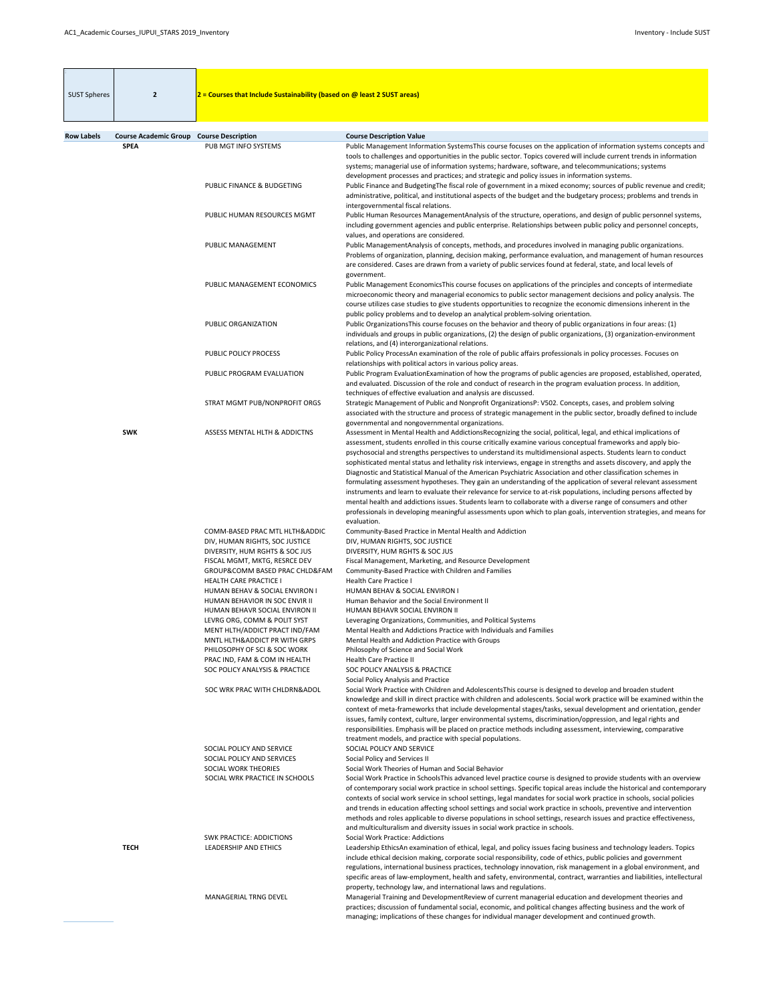| <b>SUST Spheres</b> | $\overline{2}$               | $2$ = Courses that Include Sustainability (based on @ least 2 SUST areas)                                                                                                                                                                                                                                                                                                      |                                                                                                                                                                                                                                                                                                                                                                                                                                                                                                                                                                                                                                                                                                                                                                                                                                                                                                                                                                                                                                                                                                                               |
|---------------------|------------------------------|--------------------------------------------------------------------------------------------------------------------------------------------------------------------------------------------------------------------------------------------------------------------------------------------------------------------------------------------------------------------------------|-------------------------------------------------------------------------------------------------------------------------------------------------------------------------------------------------------------------------------------------------------------------------------------------------------------------------------------------------------------------------------------------------------------------------------------------------------------------------------------------------------------------------------------------------------------------------------------------------------------------------------------------------------------------------------------------------------------------------------------------------------------------------------------------------------------------------------------------------------------------------------------------------------------------------------------------------------------------------------------------------------------------------------------------------------------------------------------------------------------------------------|
| <b>Row Labels</b>   | <b>Course Academic Group</b> | <b>Course Description</b>                                                                                                                                                                                                                                                                                                                                                      | <b>Course Description Value</b>                                                                                                                                                                                                                                                                                                                                                                                                                                                                                                                                                                                                                                                                                                                                                                                                                                                                                                                                                                                                                                                                                               |
|                     | <b>SPEA</b>                  | PUB MGT INFO SYSTEMS                                                                                                                                                                                                                                                                                                                                                           | Public Management Information SystemsThis course focuses on the application of information systems concepts and<br>tools to challenges and opportunities in the public sector. Topics covered will include current trends in information<br>systems; managerial use of information systems; hardware, software, and telecommunications; systems<br>development processes and practices; and strategic and policy issues in information systems.                                                                                                                                                                                                                                                                                                                                                                                                                                                                                                                                                                                                                                                                               |
|                     |                              | PUBLIC FINANCE & BUDGETING                                                                                                                                                                                                                                                                                                                                                     | Public Finance and BudgetingThe fiscal role of government in a mixed economy; sources of public revenue and credit;<br>administrative, political, and institutional aspects of the budget and the budgetary process; problems and trends in<br>intergovernmental fiscal relations.                                                                                                                                                                                                                                                                                                                                                                                                                                                                                                                                                                                                                                                                                                                                                                                                                                            |
|                     |                              | PUBLIC HUMAN RESOURCES MGMT                                                                                                                                                                                                                                                                                                                                                    | Public Human Resources ManagementAnalysis of the structure, operations, and design of public personnel systems,<br>including government agencies and public enterprise. Relationships between public policy and personnel concepts,<br>values, and operations are considered.                                                                                                                                                                                                                                                                                                                                                                                                                                                                                                                                                                                                                                                                                                                                                                                                                                                 |
|                     |                              | PUBLIC MANAGEMENT                                                                                                                                                                                                                                                                                                                                                              | Public ManagementAnalysis of concepts, methods, and procedures involved in managing public organizations.<br>Problems of organization, planning, decision making, performance evaluation, and management of human resources<br>are considered. Cases are drawn from a variety of public services found at federal, state, and local levels of<br>government.                                                                                                                                                                                                                                                                                                                                                                                                                                                                                                                                                                                                                                                                                                                                                                  |
|                     |                              | PUBLIC MANAGEMENT ECONOMICS                                                                                                                                                                                                                                                                                                                                                    | Public Management EconomicsThis course focuses on applications of the principles and concepts of intermediate<br>microeconomic theory and managerial economics to public sector management decisions and policy analysis. The<br>course utilizes case studies to give students opportunities to recognize the economic dimensions inherent in the<br>public policy problems and to develop an analytical problem-solving orientation.                                                                                                                                                                                                                                                                                                                                                                                                                                                                                                                                                                                                                                                                                         |
|                     |                              | PUBLIC ORGANIZATION                                                                                                                                                                                                                                                                                                                                                            | Public Organizations This course focuses on the behavior and theory of public organizations in four areas: (1)<br>individuals and groups in public organizations, (2) the design of public organizations, (3) organization-environment<br>relations, and (4) interorganizational relations.                                                                                                                                                                                                                                                                                                                                                                                                                                                                                                                                                                                                                                                                                                                                                                                                                                   |
|                     |                              | PUBLIC POLICY PROCESS<br>PUBLIC PROGRAM EVALUATION                                                                                                                                                                                                                                                                                                                             | Public Policy ProcessAn examination of the role of public affairs professionals in policy processes. Focuses on<br>relationships with political actors in various policy areas.<br>Public Program EvaluationExamination of how the programs of public agencies are proposed, established, operated,                                                                                                                                                                                                                                                                                                                                                                                                                                                                                                                                                                                                                                                                                                                                                                                                                           |
|                     |                              | STRAT MGMT PUB/NONPROFIT ORGS                                                                                                                                                                                                                                                                                                                                                  | and evaluated. Discussion of the role and conduct of research in the program evaluation process. In addition,<br>techniques of effective evaluation and analysis are discussed.<br>Strategic Management of Public and Nonprofit OrganizationsP: V502. Concepts, cases, and problem solving<br>associated with the structure and process of strategic management in the public sector, broadly defined to include                                                                                                                                                                                                                                                                                                                                                                                                                                                                                                                                                                                                                                                                                                              |
|                     | <b>SWK</b>                   | <b>ASSESS MENTAL HLTH &amp; ADDICTNS</b>                                                                                                                                                                                                                                                                                                                                       | governmental and nongovernmental organizations.<br>Assessment in Mental Health and AddictionsRecognizing the social, political, legal, and ethical implications of<br>assessment, students enrolled in this course critically examine various conceptual frameworks and apply bio-<br>psychosocial and strengths perspectives to understand its multidimensional aspects. Students learn to conduct<br>sophisticated mental status and lethality risk interviews, engage in strengths and assets discovery, and apply the<br>Diagnostic and Statistical Manual of the American Psychiatric Association and other classification schemes in<br>formulating assessment hypotheses. They gain an understanding of the application of several relevant assessment<br>instruments and learn to evaluate their relevance for service to at-risk populations, including persons affected by<br>mental health and addictions issues. Students learn to collaborate with a diverse range of consumers and other<br>professionals in developing meaningful assessments upon which to plan goals, intervention strategies, and means for |
|                     |                              | COMM-BASED PRAC MTL HLTH&ADDIC<br>DIV, HUMAN RIGHTS, SOC JUSTICE<br>DIVERSITY, HUM RGHTS & SOC JUS<br>FISCAL MGMT, MKTG, RESRCE DEV<br>GROUP&COMM BASED PRAC CHLD&FAM<br><b>HEALTH CARE PRACTICE I</b><br>HUMAN BEHAV & SOCIAL ENVIRON I<br>HUMAN BEHAVIOR IN SOC ENVIR II<br>HUMAN BEHAVR SOCIAL ENVIRON II<br>LEVRG ORG, COMM & POLIT SYST<br>MENT HLTH/ADDICT PRACT IND/FAM | evaluation.<br>Community-Based Practice in Mental Health and Addiction<br>DIV, HUMAN RIGHTS, SOC JUSTICE<br>DIVERSITY, HUM RGHTS & SOC JUS<br>Fiscal Management, Marketing, and Resource Development<br>Community-Based Practice with Children and Families<br><b>Health Care Practice I</b><br>HUMAN BEHAV & SOCIAL ENVIRON I<br>Human Behavior and the Social Environment II<br>HUMAN BEHAVR SOCIAL ENVIRON II<br>Leveraging Organizations, Communities, and Political Systems<br>Mental Health and Addictions Practice with Individuals and Families                                                                                                                                                                                                                                                                                                                                                                                                                                                                                                                                                                       |
|                     |                              | MNTL HLTH&ADDICT PR WITH GRPS<br>PHILOSOPHY OF SCI & SOC WORK<br>PRAC IND, FAM & COM IN HEALTH<br>SOC POLICY ANALYSIS & PRACTICE                                                                                                                                                                                                                                               | Mental Health and Addiction Practice with Groups<br>Philosophy of Science and Social Work<br><b>Health Care Practice II</b><br>SOC POLICY ANALYSIS & PRACTICE<br>Social Policy Analysis and Practice                                                                                                                                                                                                                                                                                                                                                                                                                                                                                                                                                                                                                                                                                                                                                                                                                                                                                                                          |
|                     |                              | SOC WRK PRAC WITH CHLDRN&ADOL<br>SOCIAL POLICY AND SERVICE<br>SOCIAL POLICY AND SERVICES                                                                                                                                                                                                                                                                                       | Social Work Practice with Children and Adolescents This course is designed to develop and broaden student<br>knowledge and skill in direct practice with children and adolescents. Social work practice will be examined within the<br>context of meta-frameworks that include developmental stages/tasks, sexual development and orientation, gender<br>issues, family context, culture, larger environmental systems, discrimination/oppression, and legal rights and<br>responsibilities. Emphasis will be placed on practice methods including assessment, interviewing, comparative<br>treatment models, and practice with special populations.<br>SOCIAL POLICY AND SERVICE<br>Social Policy and Services II                                                                                                                                                                                                                                                                                                                                                                                                            |
|                     |                              | SOCIAL WORK THEORIES<br>SOCIAL WRK PRACTICE IN SCHOOLS                                                                                                                                                                                                                                                                                                                         | Social Work Theories of Human and Social Behavior<br>Social Work Practice in SchoolsThis advanced level practice course is designed to provide students with an overview<br>of contemporary social work practice in school settings. Specific topical areas include the historical and contemporary<br>contexts of social work service in school settings, legal mandates for social work practice in schools, social policies<br>and trends in education affecting school settings and social work practice in schools, preventive and intervention<br>methods and roles applicable to diverse populations in school settings, research issues and practice effectiveness,<br>and multiculturalism and diversity issues in social work practice in schools.                                                                                                                                                                                                                                                                                                                                                                  |
|                     | <b>TECH</b>                  | <b>SWK PRACTICE: ADDICTIONS</b><br><b>LEADERSHIP AND ETHICS</b>                                                                                                                                                                                                                                                                                                                | <b>Social Work Practice: Addictions</b><br>Leadership EthicsAn examination of ethical, legal, and policy issues facing business and technology leaders. Topics<br>include ethical decision making, corporate social responsibility, code of ethics, public policies and government<br>regulations, international business practices, technology innovation, risk management in a global environment, and<br>specific areas of law-employment, health and safety, environmental, contract, warranties and liabilities, intellectural<br>property, technology law, and international laws and regulations.                                                                                                                                                                                                                                                                                                                                                                                                                                                                                                                      |
|                     |                              | MANAGERIAL TRNG DEVEL                                                                                                                                                                                                                                                                                                                                                          | Managerial Training and DevelopmentReview of current managerial education and development theories and<br>practices; discussion of fundamental social, economic, and political changes affecting business and the work of<br>managing; implications of these changes for individual manager development and continued growth.                                                                                                                                                                                                                                                                                                                                                                                                                                                                                                                                                                                                                                                                                                                                                                                                 |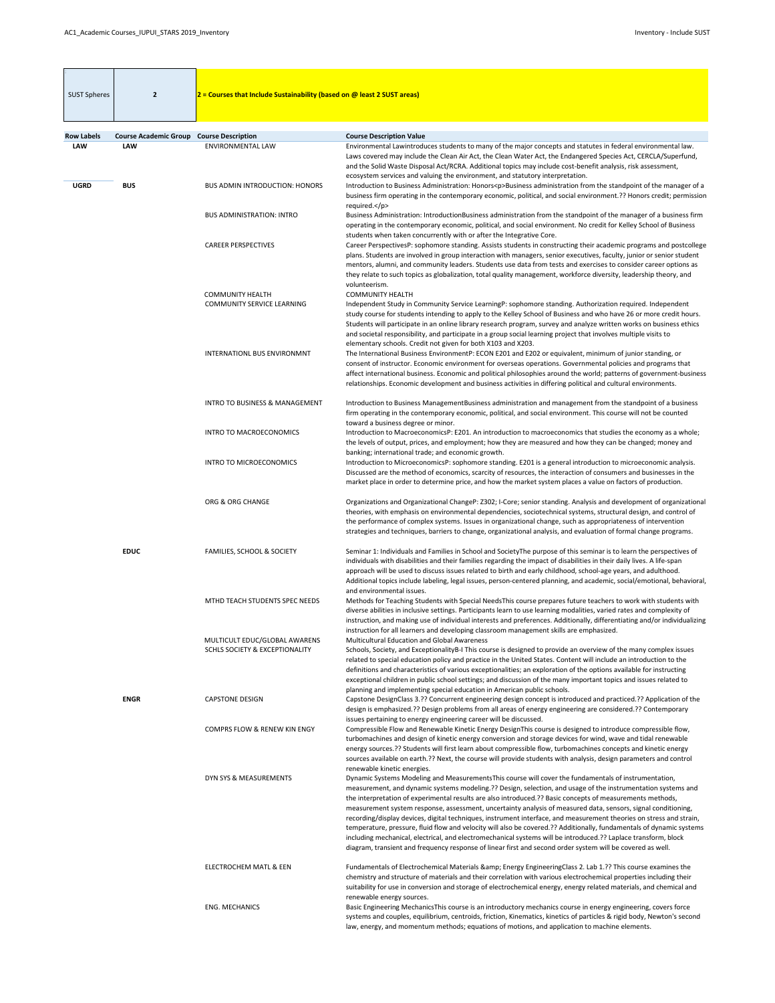| <b>SUST Spheres</b>             | $\mathbf{2}$                               | $2$ = Courses that Include Sustainability (based on @ least 2 SUST areas)  |                                                                                                                                                                                                                                                                                                                                                                                                                                                                                                                                                                                                                                                                                                                                                                                                                                                                                                                                   |
|---------------------------------|--------------------------------------------|----------------------------------------------------------------------------|-----------------------------------------------------------------------------------------------------------------------------------------------------------------------------------------------------------------------------------------------------------------------------------------------------------------------------------------------------------------------------------------------------------------------------------------------------------------------------------------------------------------------------------------------------------------------------------------------------------------------------------------------------------------------------------------------------------------------------------------------------------------------------------------------------------------------------------------------------------------------------------------------------------------------------------|
|                                 |                                            |                                                                            |                                                                                                                                                                                                                                                                                                                                                                                                                                                                                                                                                                                                                                                                                                                                                                                                                                                                                                                                   |
| <b>Row Labels</b><br><b>LAW</b> | <b>Course Academic Group</b><br><b>LAW</b> | <b>Course Description</b><br><b>ENVIRONMENTAL LAW</b>                      | <b>Course Description Value</b><br>Environmental Lawintroduces students to many of the major concepts and statutes in federal environmental law.<br>Laws covered may include the Clean Air Act, the Clean Water Act, the Endangered Species Act, CERCLA/Superfund,<br>and the Solid Waste Disposal Act/RCRA. Additional topics may include cost-benefit analysis, risk assessment,                                                                                                                                                                                                                                                                                                                                                                                                                                                                                                                                                |
| <b>UGRD</b>                     | <b>BUS</b>                                 | <b>BUS ADMIN INTRODUCTION: HONORS</b>                                      | ecosystem services and valuing the environment, and statutory interpretation.<br>Introduction to Business Administration: Honors <p>Business administration from the standpoint of the manager of a<br/>business firm operating in the contemporary economic, political, and social environment.?? Honors credit; permission<br/>required.</p>                                                                                                                                                                                                                                                                                                                                                                                                                                                                                                                                                                                    |
|                                 |                                            | <b>BUS ADMINISTRATION: INTRO</b>                                           | Business Administration: IntroductionBusiness administration from the standpoint of the manager of a business firm<br>operating in the contemporary economic, political, and social environment. No credit for Kelley School of Business<br>students when taken concurrently with or after the Integrative Core.                                                                                                                                                                                                                                                                                                                                                                                                                                                                                                                                                                                                                  |
|                                 |                                            | <b>CAREER PERSPECTIVES</b>                                                 | Career PerspectivesP: sophomore standing. Assists students in constructing their academic programs and postcollege<br>plans. Students are involved in group interaction with managers, senior executives, faculty, junior or senior student<br>mentors, alumni, and community leaders. Students use data from tests and exercises to consider career options as<br>they relate to such topics as globalization, total quality management, workforce diversity, leadership theory, and<br>volunteerism.                                                                                                                                                                                                                                                                                                                                                                                                                            |
|                                 |                                            | <b>COMMUNITY HEALTH</b><br><b>COMMUNITY SERVICE LEARNING</b>               | <b>COMMUNITY HEALTH</b><br>Independent Study in Community Service LearningP: sophomore standing. Authorization required. Independent<br>study course for students intending to apply to the Kelley School of Business and who have 26 or more credit hours.<br>Students will participate in an online library research program, survey and analyze written works on business ethics<br>and societal responsibility, and participate in a group social learning project that involves multiple visits to                                                                                                                                                                                                                                                                                                                                                                                                                           |
|                                 |                                            | <b>INTERNATIONL BUS ENVIRONMNT</b>                                         | elementary schools. Credit not given for both X103 and X203.<br>The International Business EnvironmentP: ECON E201 and E202 or equivalent, minimum of junior standing, or<br>consent of instructor. Economic environment for overseas operations. Governmental policies and programs that<br>affect international business. Economic and political philosophies around the world; patterns of government-business<br>relationships. Economic development and business activities in differing political and cultural environments.                                                                                                                                                                                                                                                                                                                                                                                                |
|                                 |                                            | <b>INTRO TO BUSINESS &amp; MANAGEMENT</b>                                  | Introduction to Business ManagementBusiness administration and management from the standpoint of a business<br>firm operating in the contemporary economic, political, and social environment. This course will not be counted<br>toward a business degree or minor.                                                                                                                                                                                                                                                                                                                                                                                                                                                                                                                                                                                                                                                              |
|                                 |                                            | <b>INTRO TO MACROECONOMICS</b>                                             | Introduction to MacroeconomicsP: E201. An introduction to macroeconomics that studies the economy as a whole;<br>the levels of output, prices, and employment; how they are measured and how they can be changed; money and<br>banking; international trade; and economic growth.                                                                                                                                                                                                                                                                                                                                                                                                                                                                                                                                                                                                                                                 |
|                                 |                                            | <b>INTRO TO MICROECONOMICS</b>                                             | Introduction to MicroeconomicsP: sophomore standing. E201 is a general introduction to microeconomic analysis.<br>Discussed are the method of economics, scarcity of resources, the interaction of consumers and businesses in the<br>market place in order to determine price, and how the market system places a value on factors of production.                                                                                                                                                                                                                                                                                                                                                                                                                                                                                                                                                                                |
|                                 |                                            | ORG & ORG CHANGE                                                           | Organizations and Organizational ChangeP: Z302; I-Core; senior standing. Analysis and development of organizational<br>theories, with emphasis on environmental dependencies, sociotechnical systems, structural design, and control of<br>the performance of complex systems. Issues in organizational change, such as appropriateness of intervention<br>strategies and techniques, barriers to change, organizational analysis, and evaluation of formal change programs.                                                                                                                                                                                                                                                                                                                                                                                                                                                      |
|                                 | <b>EDUC</b>                                | <b>FAMILIES, SCHOOL &amp; SOCIETY</b>                                      | Seminar 1: Individuals and Families in School and SocietyThe purpose of this seminar is to learn the perspectives of<br>individuals with disabilities and their families regarding the impact of disabilities in their daily lives. A life-span<br>approach will be used to discuss issues related to birth and early childhood, school-age years, and adulthood.<br>Additional topics include labeling, legal issues, person-centered planning, and academic, social/emotional, behavioral,<br>and environmental issues.                                                                                                                                                                                                                                                                                                                                                                                                         |
|                                 |                                            | MTHD TEACH STUDENTS SPEC NEEDS                                             | Methods for Teaching Students with Special NeedsThis course prepares future teachers to work with students with<br>diverse abilities in inclusive settings. Participants learn to use learning modalities, varied rates and complexity of<br>instruction, and making use of individual interests and preferences. Additionally, differentiating and/or individualizing<br>instruction for all learners and developing classroom management skills are emphasized.                                                                                                                                                                                                                                                                                                                                                                                                                                                                 |
|                                 |                                            | MULTICULT EDUC/GLOBAL AWARENS<br><b>SCHLS SOCIETY &amp; EXCEPTIONALITY</b> | <b>Multicultural Education and Global Awareness</b><br>Schools, Society, and ExceptionalityB-I This course is designed to provide an overview of the many complex issues<br>related to special education policy and practice in the United States. Content will include an introduction to the<br>definitions and characteristics of various exceptionalities; an exploration of the options available for instructing<br>exceptional children in public school settings; and discussion of the many important topics and issues related to<br>planning and implementing special education in American public schools.                                                                                                                                                                                                                                                                                                            |
|                                 | <b>ENGR</b>                                | <b>CAPSTONE DESIGN</b>                                                     | Capstone DesignClass 3.?? Concurrent engineering design concept is introduced and practiced.?? Application of the<br>design is emphasized.?? Design problems from all areas of energy engineering are considered.?? Contemporary<br>issues pertaining to energy engineering career will be discussed.                                                                                                                                                                                                                                                                                                                                                                                                                                                                                                                                                                                                                             |
|                                 |                                            | <b>COMPRS FLOW &amp; RENEW KIN ENGY</b>                                    | Compressible Flow and Renewable Kinetic Energy DesignThis course is designed to introduce compressible flow,<br>turbomachines and design of kinetic energy conversion and storage devices for wind, wave and tidal renewable<br>energy sources.?? Students will first learn about compressible flow, turbomachines concepts and kinetic energy<br>sources available on earth.?? Next, the course will provide students with analysis, design parameters and control<br>renewable kinetic energies.                                                                                                                                                                                                                                                                                                                                                                                                                                |
|                                 |                                            | DYN SYS & MEASUREMENTS                                                     | Dynamic Systems Modeling and MeasurementsThis course will cover the fundamentals of instrumentation,<br>measurement, and dynamic systems modeling.?? Design, selection, and usage of the instrumentation systems and<br>the interpretation of experimental results are also introduced.?? Basic concepts of measurements methods,<br>measurement system response, assessment, uncertainty analysis of measured data, sensors, signal conditioning,<br>recording/display devices, digital techniques, instrument interface, and measurement theories on stress and strain,<br>temperature, pressure, fluid flow and velocity will also be covered.?? Additionally, fundamentals of dynamic systems<br>including mechanical, electrical, and electromechanical systems will be introduced.?? Laplace transform, block<br>diagram, transient and frequency response of linear first and second order system will be covered as well. |
|                                 |                                            | <b>ELECTROCHEM MATL &amp; EEN</b>                                          | Fundamentals of Electrochemical Materials & Energy EngineeringClass 2. Lab 1.?? This course examines the<br>chemistry and structure of materials and their correlation with various electrochemical properties including their<br>suitability for use in conversion and storage of electrochemical energy, energy related materials, and chemical and<br>renewable energy sources.                                                                                                                                                                                                                                                                                                                                                                                                                                                                                                                                                |
|                                 |                                            | <b>ENG. MECHANICS</b>                                                      | Basic Engineering MechanicsThis course is an introductory mechanics course in energy engineering, covers force<br>systems and couples, equilibrium, centroids, friction, Kinematics, kinetics of particles & rigid body, Newton's second<br>law, energy, and momentum methods; equations of motions, and application to machine elements.                                                                                                                                                                                                                                                                                                                                                                                                                                                                                                                                                                                         |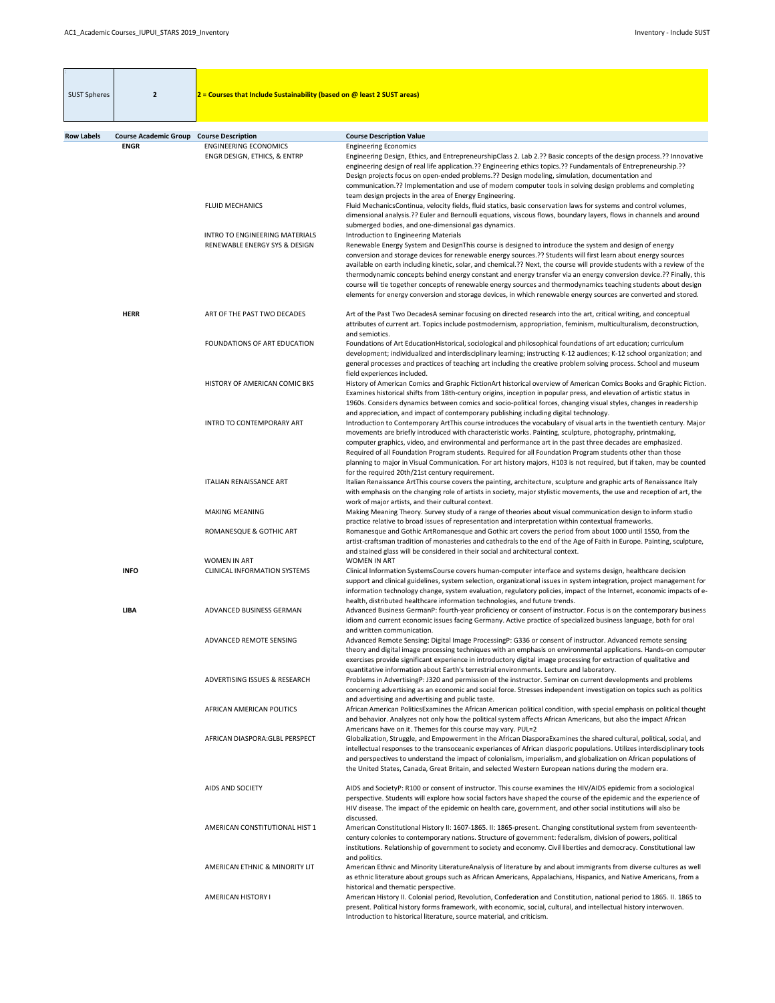| <b>SUST Spheres</b> | $\overline{2}$               | $2$ = Courses that Include Sustainability (based on @ least 2 SUST areas) |                                                                                                                                                                                                                                                                                                                                                                                                                                                                                                                                                                                                                                                                                                                                                          |
|---------------------|------------------------------|---------------------------------------------------------------------------|----------------------------------------------------------------------------------------------------------------------------------------------------------------------------------------------------------------------------------------------------------------------------------------------------------------------------------------------------------------------------------------------------------------------------------------------------------------------------------------------------------------------------------------------------------------------------------------------------------------------------------------------------------------------------------------------------------------------------------------------------------|
|                     |                              |                                                                           |                                                                                                                                                                                                                                                                                                                                                                                                                                                                                                                                                                                                                                                                                                                                                          |
| <b>Row Labels</b>   | <b>Course Academic Group</b> | <b>Course Description</b>                                                 | <b>Course Description Value</b>                                                                                                                                                                                                                                                                                                                                                                                                                                                                                                                                                                                                                                                                                                                          |
|                     | <b>ENGR</b>                  | <b>ENGINEERING ECONOMICS</b><br>ENGR DESIGN, ETHICS, & ENTRP              | <b>Engineering Economics</b><br>Engineering Design, Ethics, and EntrepreneurshipClass 2. Lab 2.?? Basic concepts of the design process.?? Innovative<br>engineering design of real life application.?? Engineering ethics topics.?? Fundamentals of Entrepreneurship.??<br>Design projects focus on open-ended problems.?? Design modeling, simulation, documentation and<br>communication.?? Implementation and use of modern computer tools in solving design problems and completing<br>team design projects in the area of Energy Engineering.                                                                                                                                                                                                       |
|                     |                              | <b>FLUID MECHANICS</b>                                                    | Fluid MechanicsContinua, velocity fields, fluid statics, basic conservation laws for systems and control volumes,<br>dimensional analysis.?? Euler and Bernoulli equations, viscous flows, boundary layers, flows in channels and around<br>submerged bodies, and one-dimensional gas dynamics.                                                                                                                                                                                                                                                                                                                                                                                                                                                          |
|                     |                              | <b>INTRO TO ENGINEERING MATERIALS</b><br>RENEWABLE ENERGY SYS & DESIGN    | Introduction to Engineering Materials<br>Renewable Energy System and DesignThis course is designed to introduce the system and design of energy<br>conversion and storage devices for renewable energy sources.?? Students will first learn about energy sources<br>available on earth including kinetic, solar, and chemical.?? Next, the course will provide students with a review of the<br>thermodynamic concepts behind energy constant and energy transfer via an energy conversion device.?? Finally, this<br>course will tie together concepts of renewable energy sources and thermodynamics teaching students about design<br>elements for energy conversion and storage devices, in which renewable energy sources are converted and stored. |
|                     | <b>HERR</b>                  | ART OF THE PAST TWO DECADES                                               | Art of the Past Two DecadesA seminar focusing on directed research into the art, critical writing, and conceptual<br>attributes of current art. Topics include postmodernism, appropriation, feminism, multiculturalism, deconstruction,<br>and semiotics.                                                                                                                                                                                                                                                                                                                                                                                                                                                                                               |
|                     |                              | FOUNDATIONS OF ART EDUCATION                                              | Foundations of Art EducationHistorical, sociological and philosophical foundations of art education; curriculum<br>development; individualized and interdisciplinary learning; instructing K-12 audiences; K-12 school organization; and<br>general processes and practices of teaching art including the creative problem solving process. School and museum<br>field experiences included.                                                                                                                                                                                                                                                                                                                                                             |
|                     |                              | HISTORY OF AMERICAN COMIC BKS                                             | History of American Comics and Graphic FictionArt historical overview of American Comics Books and Graphic Fiction.<br>Examines historical shifts from 18th-century origins, inception in popular press, and elevation of artistic status in<br>1960s. Considers dynamics between comics and socio-political forces, changing visual styles, changes in readership<br>and appreciation, and impact of contemporary publishing including digital technology.                                                                                                                                                                                                                                                                                              |
|                     |                              | INTRO TO CONTEMPORARY ART                                                 | Introduction to Contemporary ArtThis course introduces the vocabulary of visual arts in the twentieth century. Major<br>movements are briefly introduced with characteristic works. Painting, sculpture, photography, printmaking,<br>computer graphics, video, and environmental and performance art in the past three decades are emphasized.<br>Required of all Foundation Program students. Required for all Foundation Program students other than those<br>planning to major in Visual Communication. For art history majors, H103 is not required, but if taken, may be counted<br>for the required 20th/21st century requirement.                                                                                                                |
|                     |                              | <b>ITALIAN RENAISSANCE ART</b>                                            | Italian Renaissance ArtThis course covers the painting, architecture, sculpture and graphic arts of Renaissance Italy<br>with emphasis on the changing role of artists in society, major stylistic movements, the use and reception of art, the<br>work of major artists, and their cultural context.                                                                                                                                                                                                                                                                                                                                                                                                                                                    |
|                     |                              | <b>MAKING MEANING</b>                                                     | Making Meaning Theory. Survey study of a range of theories about visual communication design to inform studio<br>practice relative to broad issues of representation and interpretation within contextual frameworks.                                                                                                                                                                                                                                                                                                                                                                                                                                                                                                                                    |
|                     |                              | ROMANESQUE & GOTHIC ART                                                   | Romanesque and Gothic ArtRomanesque and Gothic art covers the period from about 1000 until 1550, from the<br>artist-craftsman tradition of monasteries and cathedrals to the end of the Age of Faith in Europe. Painting, sculpture,<br>and stained glass will be considered in their social and architectural context.                                                                                                                                                                                                                                                                                                                                                                                                                                  |
|                     | <b>INFO</b>                  | <b>WOMEN IN ART</b><br><b>CLINICAL INFORMATION SYSTEMS</b>                | <b>WOMEN IN ART</b><br>Clinical Information SystemsCourse covers human-computer interface and systems design, healthcare decision<br>support and clinical guidelines, system selection, organizational issues in system integration, project management for<br>information technology change, system evaluation, regulatory policies, impact of the Internet, economic impacts of e-<br>health, distributed healthcare information technologies, and future trends.                                                                                                                                                                                                                                                                                      |
|                     | <b>LIBA</b>                  | ADVANCED BUSINESS GERMAN                                                  | Advanced Business GermanP: fourth-year proficiency or consent of instructor. Focus is on the contemporary business<br>idiom and current economic issues facing Germany. Active practice of specialized business language, both for oral<br>and written communication.                                                                                                                                                                                                                                                                                                                                                                                                                                                                                    |
|                     |                              | ADVANCED REMOTE SENSING                                                   | Advanced Remote Sensing: Digital Image ProcessingP: G336 or consent of instructor. Advanced remote sensing<br>theory and digital image processing techniques with an emphasis on environmental applications. Hands-on computer<br>exercises provide significant experience in introductory digital image processing for extraction of qualitative and<br>quantitative information about Earth's terrestrial environments. Lecture and laboratory.                                                                                                                                                                                                                                                                                                        |
|                     |                              | <b>ADVERTISING ISSUES &amp; RESEARCH</b>                                  | Problems in AdvertisingP: J320 and permission of the instructor. Seminar on current developments and problems<br>concerning advertising as an economic and social force. Stresses independent investigation on topics such as politics<br>and advertising and advertising and public taste.                                                                                                                                                                                                                                                                                                                                                                                                                                                              |
|                     |                              | AFRICAN AMERICAN POLITICS                                                 | African American Politics Examines the African American political condition, with special emphasis on political thought<br>and behavior. Analyzes not only how the political system affects African Americans, but also the impact African<br>Americans have on it. Themes for this course may vary. PUL=2                                                                                                                                                                                                                                                                                                                                                                                                                                               |
|                     |                              | AFRICAN DIASPORA: GLBL PERSPECT                                           | Globalization, Struggle, and Empowerment in the African DiasporaExamines the shared cultural, political, social, and<br>intellectual responses to the transoceanic experiances of African diasporic populations. Utilizes interdisciplinary tools<br>and perspectives to understand the impact of colonialism, imperialism, and globalization on African populations of<br>the United States, Canada, Great Britain, and selected Western European nations during the modern era.                                                                                                                                                                                                                                                                        |
|                     |                              | AIDS AND SOCIETY                                                          | AIDS and SocietyP: R100 or consent of instructor. This course examines the HIV/AIDS epidemic from a sociological<br>perspective. Students will explore how social factors have shaped the course of the epidemic and the experience of<br>HIV disease. The impact of the epidemic on health care, government, and other social institutions will also be<br>discussed.                                                                                                                                                                                                                                                                                                                                                                                   |
|                     |                              | AMERICAN CONSTITUTIONAL HIST 1                                            | American Constitutional History II: 1607-1865. II: 1865-present. Changing constitutional system from seventeenth-<br>century colonies to contemporary nations. Structure of government: federalism, division of powers, political<br>institutions. Relationship of government to society and economy. Civil liberties and democracy. Constitutional law<br>and politics.                                                                                                                                                                                                                                                                                                                                                                                 |
|                     |                              | AMERICAN ETHNIC & MINORITY LIT                                            | American Ethnic and Minority LiteratureAnalysis of literature by and about immigrants from diverse cultures as well<br>as ethnic literature about groups such as African Americans, Appalachians, Hispanics, and Native Americans, from a<br>historical and thematic perspective.                                                                                                                                                                                                                                                                                                                                                                                                                                                                        |
|                     |                              | <b>AMERICAN HISTORY I</b>                                                 | American History II. Colonial period, Revolution, Confederation and Constitution, national period to 1865. II. 1865 to<br>present. Political history forms framework, with economic, social, cultural, and intellectual history interwoven.<br>Introduction to historical literature, source material, and criticism.                                                                                                                                                                                                                                                                                                                                                                                                                                    |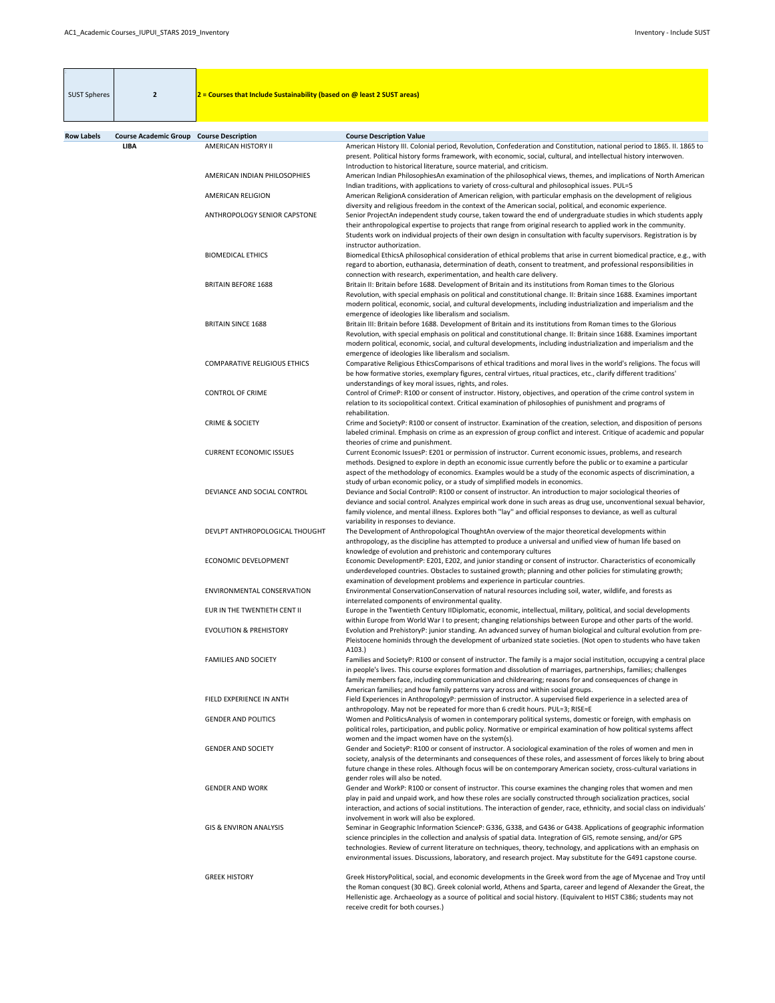| <b>SUST Spheres</b> | $\overline{2}$                                  | 2 = Courses that Include Sustainability (based on @ least 2 SUST areas) |                                                                                                                                                                                                                                                                                                                                                                                                                                  |
|---------------------|-------------------------------------------------|-------------------------------------------------------------------------|----------------------------------------------------------------------------------------------------------------------------------------------------------------------------------------------------------------------------------------------------------------------------------------------------------------------------------------------------------------------------------------------------------------------------------|
| <b>Row Labels</b>   | <b>Course Academic Group Course Description</b> |                                                                         | <b>Course Description Value</b>                                                                                                                                                                                                                                                                                                                                                                                                  |
|                     | <b>LIBA</b>                                     | AMERICAN HISTORY II                                                     | American History III. Colonial period, Revolution, Confederation and Constitution, national period to 1865. II. 1865 to<br>present. Political history forms framework, with economic, social, cultural, and intellectual history interwoven.<br>Introduction to historical literature, source material, and criticism.                                                                                                           |
|                     |                                                 | AMERICAN INDIAN PHILOSOPHIES                                            | American Indian PhilosophiesAn examination of the philosophical views, themes, and implications of North American<br>Indian traditions, with applications to variety of cross-cultural and philosophical issues. PUL=5                                                                                                                                                                                                           |
|                     |                                                 | AMERICAN RELIGION                                                       | American ReligionA consideration of American religion, with particular emphasis on the development of religious<br>diversity and religious freedom in the context of the American social, political, and economic experience.                                                                                                                                                                                                    |
|                     |                                                 | ANTHROPOLOGY SENIOR CAPSTONE                                            | Senior ProjectAn independent study course, taken toward the end of undergraduate studies in which students apply<br>their anthropological expertise to projects that range from original research to applied work in the community.<br>Students work on individual projects of their own design in consultation with faculty supervisors. Registration is by<br>instructor authorization.                                        |
|                     |                                                 | <b>BIOMEDICAL ETHICS</b>                                                | Biomedical EthicsA philosophical consideration of ethical problems that arise in current biomedical practice, e.g., with<br>regard to abortion, euthanasia, determination of death, consent to treatment, and professional responsibilities in<br>connection with research, experimentation, and health care delivery.                                                                                                           |
|                     |                                                 | <b>BRITAIN BEFORE 1688</b>                                              | Britain II: Britain before 1688. Development of Britain and its institutions from Roman times to the Glorious<br>Revolution, with special emphasis on political and constitutional change. II: Britain since 1688. Examines important<br>modern political, economic, social, and cultural developments, including industrialization and imperialism and the<br>emergence of ideologies like liberalism and socialism.            |
|                     |                                                 | <b>BRITAIN SINCE 1688</b>                                               | Britain III: Britain before 1688. Development of Britain and its institutions from Roman times to the Glorious<br>Revolution, with special emphasis on political and constitutional change. II: Britain since 1688. Examines important<br>modern political, economic, social, and cultural developments, including industrialization and imperialism and the<br>emergence of ideologies like liberalism and socialism.           |
|                     |                                                 | <b>COMPARATIVE RELIGIOUS ETHICS</b>                                     | Comparative Religious EthicsComparisons of ethical traditions and moral lives in the world's religions. The focus will<br>be how formative stories, exemplary figures, central virtues, ritual practices, etc., clarify different traditions'<br>understandings of key moral issues, rights, and roles.                                                                                                                          |
|                     |                                                 | <b>CONTROL OF CRIME</b>                                                 | Control of CrimeP: R100 or consent of instructor. History, objectives, and operation of the crime control system in<br>relation to its sociopolitical context. Critical examination of philosophies of punishment and programs of<br>rehabilitation.                                                                                                                                                                             |
|                     |                                                 | <b>CRIME &amp; SOCIETY</b>                                              | Crime and SocietyP: R100 or consent of instructor. Examination of the creation, selection, and disposition of persons<br>labeled criminal. Emphasis on crime as an expression of group conflict and interest. Critique of academic and popular<br>theories of crime and punishment.                                                                                                                                              |
|                     |                                                 | <b>CURRENT ECONOMIC ISSUES</b>                                          | Current Economic IssuesP: E201 or permission of instructor. Current economic issues, problems, and research<br>methods. Designed to explore in depth an economic issue currently before the public or to examine a particular<br>aspect of the methodology of economics. Examples would be a study of the economic aspects of discrimination, a<br>study of urban economic policy, or a study of simplified models in economics. |
|                     |                                                 | DEVIANCE AND SOCIAL CONTROL                                             | Deviance and Social ControlP: R100 or consent of instructor. An introduction to major sociological theories of<br>deviance and social control. Analyzes empirical work done in such areas as drug use, unconventional sexual behavior,<br>family violence, and mental illness. Explores both "lay" and official responses to deviance, as well as cultural<br>variability in responses to deviance.                              |
|                     |                                                 | DEVLPT ANTHROPOLOGICAL THOUGHT                                          | The Development of Anthropological ThoughtAn overview of the major theoretical developments within<br>anthropology, as the discipline has attempted to produce a universal and unified view of human life based on<br>knowledge of evolution and prehistoric and contemporary cultures                                                                                                                                           |
|                     |                                                 | ECONOMIC DEVELOPMENT                                                    | Economic DevelopmentP: E201, E202, and junior standing or consent of instructor. Characteristics of economically<br>underdeveloped countries. Obstacles to sustained growth; planning and other policies for stimulating growth;<br>examination of development problems and experience in particular countries.                                                                                                                  |
|                     |                                                 | ENVIRONMENTAL CONSERVATION                                              | Environmental ConservationConservation of natural resources including soil, water, wildlife, and forests as<br>interrelated components of environmental quality.                                                                                                                                                                                                                                                                 |
|                     |                                                 | EUR IN THE TWENTIETH CENT II                                            | Europe in the Twentieth Century IIDiplomatic, economic, intellectual, military, political, and social developments<br>within Europe from World War I to present; changing relationships between Europe and other parts of the world.                                                                                                                                                                                             |

| <b>EVOLUTION &amp; PREHISTORY</b> | Evolution and PrehistoryP: junior standing. An advanced survey of human biological and cultural evolution from pre-                                                        |
|-----------------------------------|----------------------------------------------------------------------------------------------------------------------------------------------------------------------------|
|                                   | Pleistocene hominids through the development of urbanized state societies. (Not open to students who have taken<br>A103.                                                   |
| <b>FAMILIES AND SOCIETY</b>       | Families and SocietyP: R100 or consent of instructor. The family is a major social institution, occupying a central place                                                  |
|                                   | in people's lives. This course explores formation and dissolution of marriages, partnerships, families; challenges                                                         |
|                                   | family members face, including communication and childrearing; reasons for and consequences of change in                                                                   |
|                                   | American families; and how family patterns vary across and within social groups.                                                                                           |
| FIELD EXPERIENCE IN ANTH          | Field Experiences in AnthropologyP: permission of instructor. A supervised field experience in a selected area of                                                          |
|                                   | anthropology. May not be repeated for more than 6 credit hours. PUL=3; RISE=E                                                                                              |
| <b>GENDER AND POLITICS</b>        | Women and PoliticsAnalysis of women in contemporary political systems, domestic or foreign, with emphasis on                                                               |
|                                   | political roles, participation, and public policy. Normative or empirical examination of how political systems affect<br>women and the impact women have on the system(s). |
| <b>GENDER AND SOCIETY</b>         | Gender and SocietyP: R100 or consent of instructor. A sociological examination of the roles of women and men in                                                            |
|                                   | society, analysis of the determinants and consequences of these roles, and assessment of forces likely to bring about                                                      |
|                                   | future change in these roles. Although focus will be on contemporary American society, cross-cultural variations in<br>gender roles will also be noted.                    |
| <b>GENDER AND WORK</b>            | Gender and WorkP: R100 or consent of instructor. This course examines the changing roles that women and men                                                                |
|                                   | play in paid and unpaid work, and how these roles are socially constructed through socialization practices, social                                                         |
|                                   | interaction, and actions of social institutions. The interaction of gender, race, ethnicity, and social class on individuals'                                              |
|                                   | involvement in work will also be explored.                                                                                                                                 |
| <b>GIS &amp; ENVIRON ANALYSIS</b> | Seminar in Geographic Information ScienceP: G336, G338, and G436 or G438. Applications of geographic information                                                           |
|                                   | science principles in the collection and analysis of spatial data. Integration of GIS, remote sensing, and/or GPS                                                          |
|                                   | technologies. Review of current literature on techniques, theory, technology, and applications with an emphasis on                                                         |
|                                   | environmental issues. Discussions, laboratory, and research project. May substitute for the G491 capstone course.                                                          |
| <b>GREEK HISTORY</b>              | Greek HistoryPolitical, social, and economic developments in the Greek word from the age of Mycenae and Troy until                                                         |
|                                   | the Roman conquest (30 BC). Greek colonial world, Athens and Sparta, career and legend of Alexander the Great, the                                                         |
|                                   | Hellenistic age. Archaeology as a source of political and social history. (Equivalent to HIST C386; students may not<br>receive credit for both courses.)                  |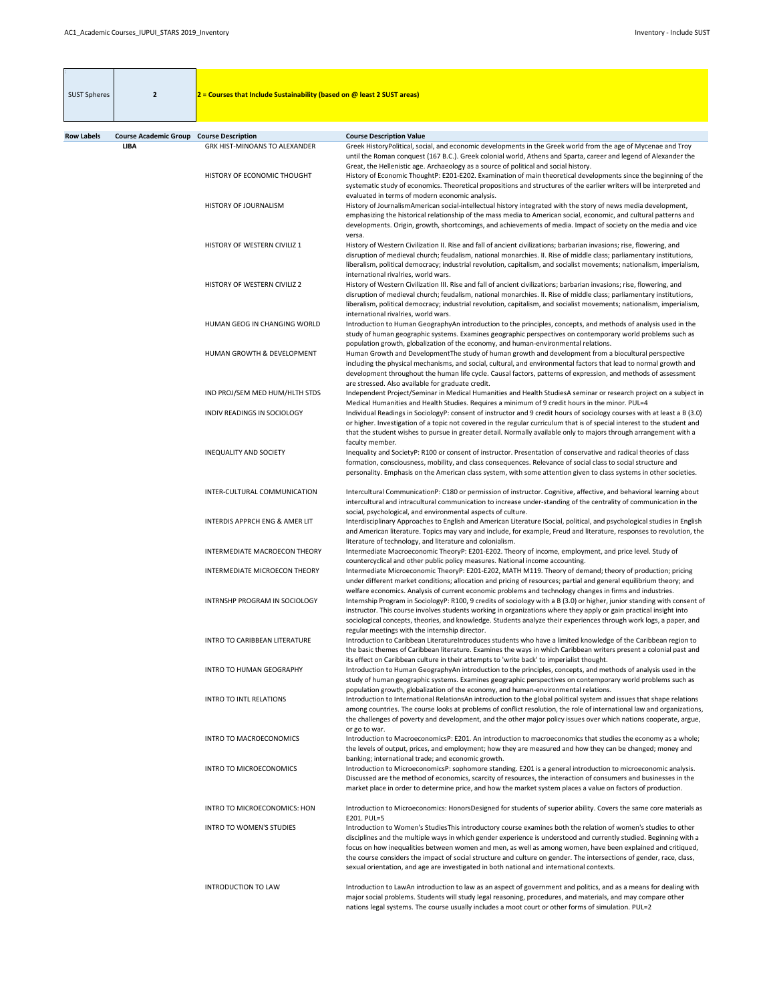| <b>SUST Spheres</b> | $\overline{2}$               | $2$ = Courses that Include Sustainability (based on @ least 2 SUST areas) |                                                                                                                                                                                                                                                                                                                                                                                                                                                                                                                                                                          |
|---------------------|------------------------------|---------------------------------------------------------------------------|--------------------------------------------------------------------------------------------------------------------------------------------------------------------------------------------------------------------------------------------------------------------------------------------------------------------------------------------------------------------------------------------------------------------------------------------------------------------------------------------------------------------------------------------------------------------------|
| <b>Row Labels</b>   | <b>Course Academic Group</b> | <b>Course Description</b>                                                 | <b>Course Description Value</b>                                                                                                                                                                                                                                                                                                                                                                                                                                                                                                                                          |
|                     | <b>LIBA</b>                  | <b>GRK HIST-MINOANS TO ALEXANDER</b><br>HISTORY OF ECONOMIC THOUGHT       | Greek HistoryPolitical, social, and economic developments in the Greek world from the age of Mycenae and Troy<br>until the Roman conquest (167 B.C.). Greek colonial world, Athens and Sparta, career and legend of Alexander the<br>Great, the Hellenistic age. Archaeology as a source of political and social history.<br>History of Economic ThoughtP: E201-E202. Examination of main theoretical developments since the beginning of the                                                                                                                            |
|                     |                              |                                                                           | systematic study of economics. Theoretical propositions and structures of the earlier writers will be interpreted and<br>evaluated in terms of modern economic analysis.                                                                                                                                                                                                                                                                                                                                                                                                 |
|                     |                              | HISTORY OF JOURNALISM                                                     | History of JournalismAmerican social-intellectual history integrated with the story of news media development,<br>emphasizing the historical relationship of the mass media to American social, economic, and cultural patterns and<br>developments. Origin, growth, shortcomings, and achievements of media. Impact of society on the media and vice<br>versa.                                                                                                                                                                                                          |
|                     |                              | HISTORY OF WESTERN CIVILIZ 1                                              | History of Western Civilization II. Rise and fall of ancient civilizations; barbarian invasions; rise, flowering, and<br>disruption of medieval church; feudalism, national monarchies. II. Rise of middle class; parliamentary institutions,<br>liberalism, political democracy; industrial revolution, capitalism, and socialist movements; nationalism, imperialism,<br>international rivalries, world wars.                                                                                                                                                          |
|                     |                              | HISTORY OF WESTERN CIVILIZ 2                                              | History of Western Civilization III. Rise and fall of ancient civilizations; barbarian invasions; rise, flowering, and<br>disruption of medieval church; feudalism, national monarchies. II. Rise of middle class; parliamentary institutions,<br>liberalism, political democracy; industrial revolution, capitalism, and socialist movements; nationalism, imperialism,<br>international rivalries, world wars.                                                                                                                                                         |
|                     |                              | HUMAN GEOG IN CHANGING WORLD                                              | Introduction to Human GeographyAn introduction to the principles, concepts, and methods of analysis used in the<br>study of human geographic systems. Examines geographic perspectives on contemporary world problems such as<br>population growth, globalization of the economy, and human-environmental relations.                                                                                                                                                                                                                                                     |
|                     |                              | <b>HUMAN GROWTH &amp; DEVELOPMENT</b>                                     | Human Growth and Development The study of human growth and development from a biocultural perspective<br>including the physical mechanisms, and social, cultural, and environmental factors that lead to normal growth and<br>development throughout the human life cycle. Causal factors, patterns of expression, and methods of assessment<br>are stressed. Also available for graduate credit.                                                                                                                                                                        |
|                     |                              | IND PROJ/SEM MED HUM/HLTH STDS                                            | Independent Project/Seminar in Medical Humanities and Health StudiesA seminar or research project on a subject in<br>Medical Humanities and Health Studies. Requires a minimum of 9 credit hours in the minor. PUL=4                                                                                                                                                                                                                                                                                                                                                     |
|                     |                              | INDIV READINGS IN SOCIOLOGY                                               | Individual Readings in SociologyP: consent of instructor and 9 credit hours of sociology courses with at least a B (3.0)<br>or higher. Investigation of a topic not covered in the regular curriculum that is of special interest to the student and<br>that the student wishes to pursue in greater detail. Normally available only to majors through arrangement with a<br>faculty member.                                                                                                                                                                             |
|                     |                              | <b>INEQUALITY AND SOCIETY</b>                                             | Inequality and SocietyP: R100 or consent of instructor. Presentation of conservative and radical theories of class<br>formation, consciousness, mobility, and class consequences. Relevance of social class to social structure and<br>personality. Emphasis on the American class system, with some attention given to class systems in other societies.                                                                                                                                                                                                                |
|                     |                              | INTER-CULTURAL COMMUNICATION                                              | Intercultural CommunicationP: C180 or permission of instructor. Cognitive, affective, and behavioral learning about<br>intercultural and intracultural communication to increase under-standing of the centrality of communication in the<br>social, psychological, and environmental aspects of culture.                                                                                                                                                                                                                                                                |
|                     |                              | <b>INTERDIS APPRCH ENG &amp; AMER LIT</b>                                 | Interdisciplinary Approaches to English and American Literature ISocial, political, and psychological studies in English<br>and American literature. Topics may vary and include, for example, Freud and literature, responses to revolution, the<br>literature of technology, and literature and colonialism.                                                                                                                                                                                                                                                           |
|                     |                              | INTERMEDIATE MACROECON THEORY<br>INTERMEDIATE MICROECON THEORY            | Intermediate Macroeconomic TheoryP: E201-E202. Theory of income, employment, and price level. Study of<br>countercyclical and other public policy measures. National income accounting.<br>Intermediate Microeconomic TheoryP: E201-E202, MATH M119. Theory of demand; theory of production; pricing                                                                                                                                                                                                                                                                     |
|                     |                              | INTRNSHP PROGRAM IN SOCIOLOGY                                             | under different market conditions; allocation and pricing of resources; partial and general equilibrium theory; and<br>welfare economics. Analysis of current economic problems and technology changes in firms and industries.<br>Internship Program in SociologyP: R100, 9 credits of sociology with a B (3.0) or higher, junior standing with consent of                                                                                                                                                                                                              |
|                     |                              |                                                                           | instructor. This course involves students working in organizations where they apply or gain practical insight into<br>sociological concepts, theories, and knowledge. Students analyze their experiences through work logs, a paper, and<br>regular meetings with the internship director.                                                                                                                                                                                                                                                                               |
|                     |                              | <b>INTRO TO CARIBBEAN LITERATURE</b>                                      | Introduction to Caribbean LiteratureIntroduces students who have a limited knowledge of the Caribbean region to<br>the basic themes of Caribbean literature. Examines the ways in which Caribbean writers present a colonial past and<br>its effect on Caribbean culture in their attempts to 'write back' to imperialist thought.                                                                                                                                                                                                                                       |
|                     |                              | <b>INTRO TO HUMAN GEOGRAPHY</b>                                           | Introduction to Human GeographyAn introduction to the principles, concepts, and methods of analysis used in the<br>study of human geographic systems. Examines geographic perspectives on contemporary world problems such as<br>population growth, globalization of the economy, and human-environmental relations.                                                                                                                                                                                                                                                     |
|                     |                              | <b>INTRO TO INTL RELATIONS</b>                                            | Introduction to International RelationsAn introduction to the global political system and issues that shape relations<br>among countries. The course looks at problems of conflict resolution, the role of international law and organizations,<br>the challenges of poverty and development, and the other major policy issues over which nations cooperate, argue,<br>or go to war.                                                                                                                                                                                    |
|                     |                              | <b>INTRO TO MACROECONOMICS</b>                                            | Introduction to MacroeconomicsP: E201. An introduction to macroeconomics that studies the economy as a whole;<br>the levels of output, prices, and employment; how they are measured and how they can be changed; money and<br>banking; international trade; and economic growth.                                                                                                                                                                                                                                                                                        |
|                     |                              | <b>INTRO TO MICROECONOMICS</b>                                            | Introduction to MicroeconomicsP: sophomore standing. E201 is a general introduction to microeconomic analysis.<br>Discussed are the method of economics, scarcity of resources, the interaction of consumers and businesses in the<br>market place in order to determine price, and how the market system places a value on factors of production.                                                                                                                                                                                                                       |
|                     |                              | INTRO TO MICROECONOMICS: HON                                              | Introduction to Microeconomics: HonorsDesigned for students of superior ability. Covers the same core materials as<br>E201. PUL=5                                                                                                                                                                                                                                                                                                                                                                                                                                        |
|                     |                              | <b>INTRO TO WOMEN'S STUDIES</b>                                           | Introduction to Women's StudiesThis introductory course examines both the relation of women's studies to other<br>disciplines and the multiple ways in which gender experience is understood and currently studied. Beginning with a<br>focus on how inequalities between women and men, as well as among women, have been explained and critiqued,<br>the course considers the impact of social structure and culture on gender. The intersections of gender, race, class,<br>sexual orientation, and age are investigated in both national and international contexts. |
|                     |                              | <b>INTRODUCTION TO LAW</b>                                                | Introduction to LawAn introduction to law as an aspect of government and politics, and as a means for dealing with<br>major social problems. Students will study legal reasoning, procedures, and materials, and may compare other<br>nations legal systems. The course usually includes a moot court or other forms of simulation. PUL=2                                                                                                                                                                                                                                |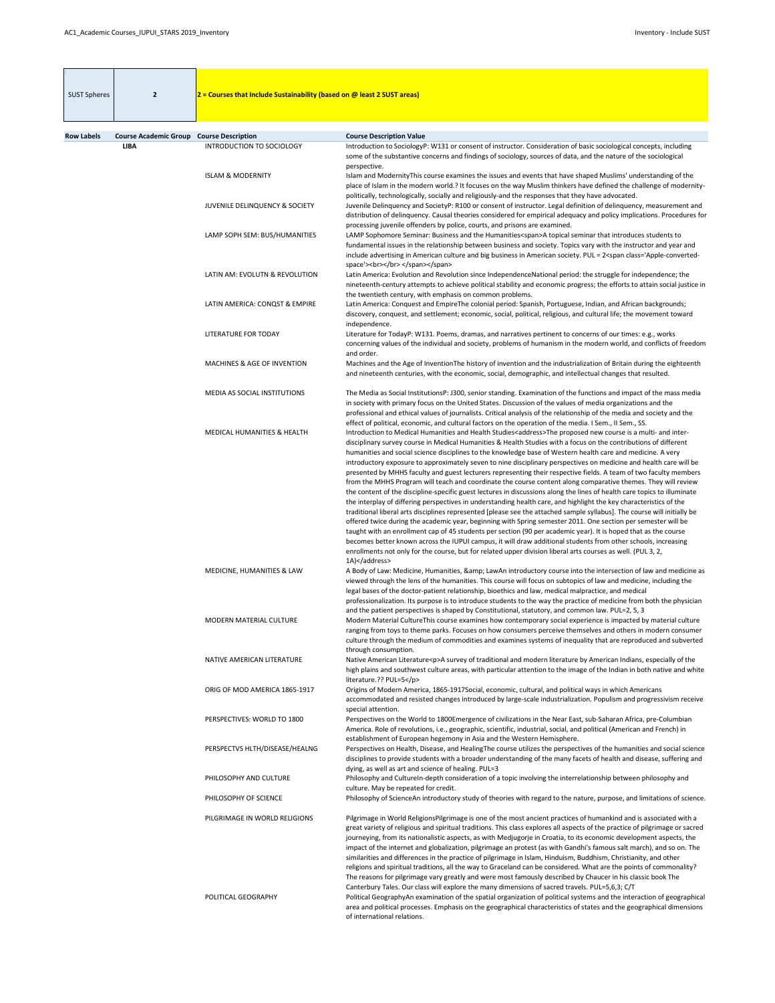| <b>SUST Spheres</b> | $\overline{2}$                                                 | $2$ = Courses that Include Sustainability (based on @ least 2 SUST areas) |                                                                                                                                                                                                                                                                                                                                                                                                                                                                                                                                                                                                                                                                                                                                                                                                                                                                                                                                                                                                                                                                                                                                                                                                                                                                                                                                                                                                                                                                                                                                                                                                   |
|---------------------|----------------------------------------------------------------|---------------------------------------------------------------------------|---------------------------------------------------------------------------------------------------------------------------------------------------------------------------------------------------------------------------------------------------------------------------------------------------------------------------------------------------------------------------------------------------------------------------------------------------------------------------------------------------------------------------------------------------------------------------------------------------------------------------------------------------------------------------------------------------------------------------------------------------------------------------------------------------------------------------------------------------------------------------------------------------------------------------------------------------------------------------------------------------------------------------------------------------------------------------------------------------------------------------------------------------------------------------------------------------------------------------------------------------------------------------------------------------------------------------------------------------------------------------------------------------------------------------------------------------------------------------------------------------------------------------------------------------------------------------------------------------|
|                     |                                                                |                                                                           |                                                                                                                                                                                                                                                                                                                                                                                                                                                                                                                                                                                                                                                                                                                                                                                                                                                                                                                                                                                                                                                                                                                                                                                                                                                                                                                                                                                                                                                                                                                                                                                                   |
| <b>Row Labels</b>   | <b>Course Academic Group Course Description</b><br><b>LIBA</b> | INTRODUCTION TO SOCIOLOGY                                                 | <b>Course Description Value</b><br>Introduction to SociologyP: W131 or consent of instructor. Consideration of basic sociological concepts, including                                                                                                                                                                                                                                                                                                                                                                                                                                                                                                                                                                                                                                                                                                                                                                                                                                                                                                                                                                                                                                                                                                                                                                                                                                                                                                                                                                                                                                             |
|                     |                                                                | <b>ISLAM &amp; MODERNITY</b>                                              | some of the substantive concerns and findings of sociology, sources of data, and the nature of the sociological<br>perspective.<br>Islam and ModernityThis course examines the issues and events that have shaped Muslims' understanding of the<br>place of Islam in the modern world.? It focuses on the way Muslim thinkers have defined the challenge of modernity-                                                                                                                                                                                                                                                                                                                                                                                                                                                                                                                                                                                                                                                                                                                                                                                                                                                                                                                                                                                                                                                                                                                                                                                                                            |
|                     |                                                                | JUVENILE DELINQUENCY & SOCIETY                                            | politically, technologically, socially and religiously-and the responses that they have advocated.<br>Juvenile Delinquency and SocietyP: R100 or consent of instructor. Legal definition of delinquency, measurement and<br>distribution of delinquency. Causal theories considered for empirical adequacy and policy implications. Procedures for<br>processing juvenile offenders by police, courts, and prisons are examined.                                                                                                                                                                                                                                                                                                                                                                                                                                                                                                                                                                                                                                                                                                                                                                                                                                                                                                                                                                                                                                                                                                                                                                  |
|                     |                                                                | LAMP SOPH SEM: BUS/HUMANITIES                                             | LAMP Sophomore Seminar: Business and the Humanities <span>A topical seminar that introduces students to<br/>fundamental issues in the relationship between business and society. Topics vary with the instructor and year and<br/>include advertising in American culture and big business in American society. PUL = 2<span class="Apple-converted-&lt;br&gt;space"><br/></span></span>                                                                                                                                                                                                                                                                                                                                                                                                                                                                                                                                                                                                                                                                                                                                                                                                                                                                                                                                                                                                                                                                                                                                                                                                          |
|                     |                                                                | LATIN AM: EVOLUTN & REVOLUTION                                            | Latin America: Evolution and Revolution since IndependenceNational period: the struggle for independence; the<br>nineteenth-century attempts to achieve political stability and economic progress; the efforts to attain social justice in<br>the twentieth century, with emphasis on common problems.                                                                                                                                                                                                                                                                                                                                                                                                                                                                                                                                                                                                                                                                                                                                                                                                                                                                                                                                                                                                                                                                                                                                                                                                                                                                                            |
|                     |                                                                | LATIN AMERICA: CONQST & EMPIRE                                            | Latin America: Conquest and EmpireThe colonial period: Spanish, Portuguese, Indian, and African backgrounds;<br>discovery, conquest, and settlement; economic, social, political, religious, and cultural life; the movement toward<br>independence.                                                                                                                                                                                                                                                                                                                                                                                                                                                                                                                                                                                                                                                                                                                                                                                                                                                                                                                                                                                                                                                                                                                                                                                                                                                                                                                                              |
|                     |                                                                | <b>LITERATURE FOR TODAY</b>                                               | Literature for TodayP: W131. Poems, dramas, and narratives pertinent to concerns of our times: e.g., works<br>concerning values of the individual and society, problems of humanism in the modern world, and conflicts of freedom<br>and order.                                                                                                                                                                                                                                                                                                                                                                                                                                                                                                                                                                                                                                                                                                                                                                                                                                                                                                                                                                                                                                                                                                                                                                                                                                                                                                                                                   |
|                     |                                                                | <b>MACHINES &amp; AGE OF INVENTION</b>                                    | Machines and the Age of InventionThe history of invention and the industrialization of Britain during the eighteenth<br>and nineteenth centuries, with the economic, social, demographic, and intellectual changes that resulted.                                                                                                                                                                                                                                                                                                                                                                                                                                                                                                                                                                                                                                                                                                                                                                                                                                                                                                                                                                                                                                                                                                                                                                                                                                                                                                                                                                 |
|                     |                                                                | MEDIA AS SOCIAL INSTITUTIONS                                              | The Media as Social InstitutionsP: J300, senior standing. Examination of the functions and impact of the mass media<br>in society with primary focus on the United States. Discussion of the values of media organizations and the<br>professional and ethical values of journalists. Critical analysis of the relationship of the media and society and the<br>effect of political, economic, and cultural factors on the operation of the media. I Sem., II Sem., SS.                                                                                                                                                                                                                                                                                                                                                                                                                                                                                                                                                                                                                                                                                                                                                                                                                                                                                                                                                                                                                                                                                                                           |
|                     |                                                                | MEDICAL HUMANITIES & HEALTH                                               | Introduction to Medical Humanities and Health Studies <address>The proposed new course is a multi- and inter-<br/>disciplinary survey course in Medical Humanities &amp; Health Studies with a focus on the contributions of different<br/>humanities and social science disciplines to the knowledge base of Western health care and medicine. A very<br/>introductory exposure to approximately seven to nine disciplinary perspectives on medicine and health care will be<br/>presented by MHHS faculty and guest lecturers representing their respective fields. A team of two faculty members<br/>from the MHHS Program will teach and coordinate the course content along comparative themes. They will review<br/>the content of the discipline-specific guest lectures in discussions along the lines of health care topics to illuminate<br/>the interplay of differing perspectives in understanding health care, and highlight the key characteristics of the<br/>traditional liberal arts disciplines represented [please see the attached sample syllabus]. The course will initially be<br/>offered twice during the academic year, beginning with Spring semester 2011. One section per semester will be<br/>taught with an enrollment cap of 45 students per section (90 per academic year). It is hoped that as the course<br/>becomes better known across the IUPUI campus, it will draw additional students from other schools, increasing<br/>enrollments not only for the course, but for related upper division liberal arts courses as well. (PUL 3, 2,<br/>1A)</address> |
|                     |                                                                | MEDICINE, HUMANITIES & LAW                                                | A Body of Law: Medicine, Humanities, & LawAn introductory course into the intersection of law and medicine as<br>viewed through the lens of the humanities. This course will focus on subtopics of law and medicine, including the<br>legal bases of the doctor-patient relationship, bioethics and law, medical malpractice, and medical<br>professionalization. Its purpose is to introduce students to the way the practice of medicine from both the physician                                                                                                                                                                                                                                                                                                                                                                                                                                                                                                                                                                                                                                                                                                                                                                                                                                                                                                                                                                                                                                                                                                                                |
|                     |                                                                | MODERN MATERIAL CULTURE                                                   | and the patient perspectives is shaped by Constitutional, statutory, and common law. PUL=2, 5, 3<br>Modern Material CultureThis course examines how contemporary social experience is impacted by material culture<br>ranging from toys to theme parks. Focuses on how consumers perceive themselves and others in modern consumer<br>culture through the medium of commodities and examines systems of inequality that are reproduced and subverted<br>through consumption.                                                                                                                                                                                                                                                                                                                                                                                                                                                                                                                                                                                                                                                                                                                                                                                                                                                                                                                                                                                                                                                                                                                      |
|                     |                                                                | NATIVE AMERICAN LITERATURE                                                | Native American Literature <p>A survey of traditional and modern literature by American Indians, especially of the<br/>high plains and southwest culture areas, with particular attention to the image of the Indian in both native and white<br/>literature.?? PUL=5</p>                                                                                                                                                                                                                                                                                                                                                                                                                                                                                                                                                                                                                                                                                                                                                                                                                                                                                                                                                                                                                                                                                                                                                                                                                                                                                                                         |
|                     |                                                                | ORIG OF MOD AMERICA 1865-1917                                             | Origins of Modern America, 1865-1917Social, economic, cultural, and political ways in which Americans<br>accommodated and resisted changes introduced by large-scale industrialization. Populism and progressivism receive<br>special attention.                                                                                                                                                                                                                                                                                                                                                                                                                                                                                                                                                                                                                                                                                                                                                                                                                                                                                                                                                                                                                                                                                                                                                                                                                                                                                                                                                  |
|                     |                                                                | PERSPECTIVES: WORLD TO 1800                                               | Perspectives on the World to 1800Emergence of civilizations in the Near East, sub-Saharan Africa, pre-Columbian<br>America. Role of revolutions, i.e., geographic, scientific, industrial, social, and political (American and French) in<br>establishment of European hegemony in Asia and the Western Hemisphere.                                                                                                                                                                                                                                                                                                                                                                                                                                                                                                                                                                                                                                                                                                                                                                                                                                                                                                                                                                                                                                                                                                                                                                                                                                                                               |
|                     |                                                                | PERSPECTVS HLTH/DISEASE/HEALNG                                            | Perspectives on Health, Disease, and HealingThe course utilizes the perspectives of the humanities and social science<br>disciplines to provide students with a broader understanding of the many facets of health and disease, suffering and<br>dying, as well as art and science of healing. PUL=3                                                                                                                                                                                                                                                                                                                                                                                                                                                                                                                                                                                                                                                                                                                                                                                                                                                                                                                                                                                                                                                                                                                                                                                                                                                                                              |
|                     |                                                                | PHILOSOPHY AND CULTURE                                                    | Philosophy and CultureIn-depth consideration of a topic involving the interrelationship between philosophy and<br>culture. May be repeated for credit.                                                                                                                                                                                                                                                                                                                                                                                                                                                                                                                                                                                                                                                                                                                                                                                                                                                                                                                                                                                                                                                                                                                                                                                                                                                                                                                                                                                                                                            |
|                     |                                                                | PHILOSOPHY OF SCIENCE                                                     | Philosophy of ScienceAn introductory study of theories with regard to the nature, purpose, and limitations of science.                                                                                                                                                                                                                                                                                                                                                                                                                                                                                                                                                                                                                                                                                                                                                                                                                                                                                                                                                                                                                                                                                                                                                                                                                                                                                                                                                                                                                                                                            |
|                     |                                                                | PILGRIMAGE IN WORLD RELIGIONS                                             | Pilgrimage in World ReligionsPilgrimage is one of the most ancient practices of humankind and is associated with a<br>great variety of religious and spiritual traditions. This class explores all aspects of the practice of pilgrimage or sacred<br>journeying, from its nationalistic aspects, as with Medjugorje in Croatia, to its economic development aspects, the<br>impact of the internet and globalization, pilgrimage an protest (as with Gandhi's famous salt march), and so on. The<br>similarities and differences in the practice of pilgrimage in Islam, Hinduism, Buddhism, Christianity, and other<br>religions and spiritual traditions, all the way to Graceland can be considered. What are the points of commonality?<br>The reasons for pilgrimage vary greatly and were most famously described by Chaucer in his classic book The<br>Canterbury Tales. Our class will explore the many dimensions of sacred travels. PUL=5,6,3; C/T                                                                                                                                                                                                                                                                                                                                                                                                                                                                                                                                                                                                                                     |
|                     |                                                                | POLITICAL GEOGRAPHY                                                       | Political GeographyAn examination of the spatial organization of political systems and the interaction of geographical<br>area and political processes. Emphasis on the geographical characteristics of states and the geographical dimensions<br>of international relations.                                                                                                                                                                                                                                                                                                                                                                                                                                                                                                                                                                                                                                                                                                                                                                                                                                                                                                                                                                                                                                                                                                                                                                                                                                                                                                                     |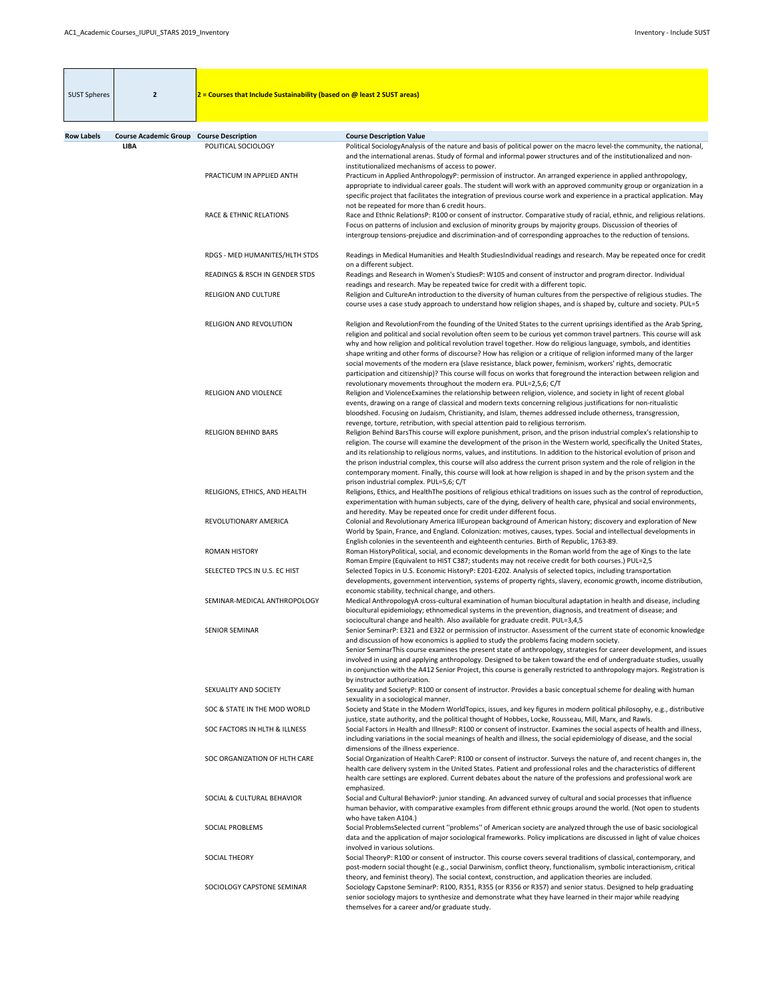| <b>SUST Spheres</b> | $\overline{2}$                                                 | $2$ = Courses that Include Sustainability (based on @ least 2 SUST areas) |                                                                                                                                                                                                                                                                                                                                                                                                                                                                                                                                                                                                                                                                                                                                |
|---------------------|----------------------------------------------------------------|---------------------------------------------------------------------------|--------------------------------------------------------------------------------------------------------------------------------------------------------------------------------------------------------------------------------------------------------------------------------------------------------------------------------------------------------------------------------------------------------------------------------------------------------------------------------------------------------------------------------------------------------------------------------------------------------------------------------------------------------------------------------------------------------------------------------|
|                     |                                                                |                                                                           |                                                                                                                                                                                                                                                                                                                                                                                                                                                                                                                                                                                                                                                                                                                                |
|                     |                                                                |                                                                           |                                                                                                                                                                                                                                                                                                                                                                                                                                                                                                                                                                                                                                                                                                                                |
| <b>Row Labels</b>   | <b>Course Academic Group Course Description</b><br><b>LIBA</b> | POLITICAL SOCIOLOGY                                                       | <b>Course Description Value</b><br>Political SociologyAnalysis of the nature and basis of political power on the macro level-the community, the national,                                                                                                                                                                                                                                                                                                                                                                                                                                                                                                                                                                      |
|                     |                                                                |                                                                           | and the international arenas. Study of formal and informal power structures and of the institutionalized and non-<br>institutionalized mechanisms of access to power.                                                                                                                                                                                                                                                                                                                                                                                                                                                                                                                                                          |
|                     |                                                                | PRACTICUM IN APPLIED ANTH                                                 | Practicum in Applied AnthropologyP: permission of instructor. An arranged experience in applied anthropology,<br>appropriate to individual career goals. The student will work with an approved community group or organization in a<br>specific project that facilitates the integration of previous course work and experience in a practical application. May<br>not be repeated for more than 6 credit hours.                                                                                                                                                                                                                                                                                                              |
|                     |                                                                | <b>RACE &amp; ETHNIC RELATIONS</b>                                        | Race and Ethnic RelationsP: R100 or consent of instructor. Comparative study of racial, ethnic, and religious relations.<br>Focus on patterns of inclusion and exclusion of minority groups by majority groups. Discussion of theories of<br>intergroup tensions-prejudice and discrimination-and of corresponding approaches to the reduction of tensions.                                                                                                                                                                                                                                                                                                                                                                    |
|                     |                                                                | RDGS - MED HUMANITES/HLTH STDS                                            | Readings in Medical Humanities and Health StudiesIndividual readings and research. May be repeated once for credit<br>on a different subject.                                                                                                                                                                                                                                                                                                                                                                                                                                                                                                                                                                                  |
|                     |                                                                | READINGS & RSCH IN GENDER STDS                                            | Readings and Research in Women's StudiesP: W105 and consent of instructor and program director. Individual<br>readings and research. May be repeated twice for credit with a different topic.                                                                                                                                                                                                                                                                                                                                                                                                                                                                                                                                  |
|                     |                                                                | <b>RELIGION AND CULTURE</b>                                               | Religion and CultureAn introduction to the diversity of human cultures from the perspective of religious studies. The<br>course uses a case study approach to understand how religion shapes, and is shaped by, culture and society. PUL=5                                                                                                                                                                                                                                                                                                                                                                                                                                                                                     |
|                     |                                                                | RELIGION AND REVOLUTION                                                   | Religion and RevolutionFrom the founding of the United States to the current uprisings identified as the Arab Spring,<br>religion and political and social revolution often seem to be curious yet common travel partners. This course will ask<br>why and how religion and political revolution travel together. How do religious language, symbols, and identities<br>shape writing and other forms of discourse? How has religion or a critique of religion informed many of the larger<br>social movements of the modern era (slave resistance, black power, feminism, workers' rights, democratic<br>participation and citizenship)? This course will focus on works that foreground the interaction between religion and |
|                     |                                                                | <b>RELIGION AND VIOLENCE</b>                                              | revolutionary movements throughout the modern era. PUL=2,5,6; C/T<br>Religion and ViolenceExamines the relationship between religion, violence, and society in light of recent global<br>events, drawing on a range of classical and modern texts concerning religious justifications for non-ritualistic<br>bloodshed. Focusing on Judaism, Christianity, and Islam, themes addressed include otherness, transgression,                                                                                                                                                                                                                                                                                                       |
|                     |                                                                | <b>RELIGION BEHIND BARS</b>                                               | revenge, torture, retribution, with special attention paid to religious terrorism.<br>Religion Behind BarsThis course will explore punishment, prison, and the prison industrial complex's relationship to<br>religion. The course will examine the development of the prison in the Western world, specifically the United States,<br>and its relationship to religious norms, values, and institutions. In addition to the historical evolution of prison and<br>the prison industrial complex, this course will also address the current prison system and the role of religion in the                                                                                                                                      |
|                     |                                                                | RELIGIONS, ETHICS, AND HEALTH                                             | contemporary moment. Finally, this course will look at how religion is shaped in and by the prison system and the<br>prison industrial complex. PUL=5,6; C/T<br>Religions, Ethics, and HealthThe positions of religious ethical traditions on issues such as the control of reproduction,<br>experimentation with human subjects, care of the dying, delivery of health care, physical and social environments,                                                                                                                                                                                                                                                                                                                |
|                     |                                                                | REVOLUTIONARY AMERICA                                                     | and heredity. May be repeated once for credit under different focus.<br>Colonial and Revolutionary America IIEuropean background of American history; discovery and exploration of New<br>World by Spain, France, and England. Colonization: motives, causes, types. Social and intellectual developments in                                                                                                                                                                                                                                                                                                                                                                                                                   |
|                     |                                                                | <b>ROMAN HISTORY</b>                                                      | English colonies in the seventeenth and eighteenth centuries. Birth of Republic, 1763-89.<br>Roman HistoryPolitical, social, and economic developments in the Roman world from the age of Kings to the late<br>Roman Empire (Equivalent to HIST C387; students may not receive credit for both courses.) PUL=2,5                                                                                                                                                                                                                                                                                                                                                                                                               |
|                     |                                                                | SELECTED TPCS IN U.S. EC HIST                                             | Selected Topics in U.S. Economic HistoryP: E201-E202. Analysis of selected topics, including transportation<br>developments, government intervention, systems of property rights, slavery, economic growth, income distribution,                                                                                                                                                                                                                                                                                                                                                                                                                                                                                               |
|                     |                                                                | SEMINAR-MEDICAL ANTHROPOLOGY                                              | economic stability, technical change, and others.<br>Medical AnthropologyA cross-cultural examination of human biocultural adaptation in health and disease, including<br>biocultural epidemiology; ethnomedical systems in the prevention, diagnosis, and treatment of disease; and                                                                                                                                                                                                                                                                                                                                                                                                                                           |
|                     |                                                                | <b>SENIOR SEMINAR</b>                                                     | sociocultural change and health. Also available for graduate credit. PUL=3,4,5<br>Senior SeminarP: E321 and E322 or permission of instructor. Assessment of the current state of economic knowledge<br>and discussion of how economics is applied to study the problems facing modern society.<br>Senior SeminarThis course examines the present state of anthropology, strategies for career development, and issues<br>involved in using and applying anthropology. Designed to be taken toward the end of undergraduate studies, usually<br>in conjunction with the A412 Senior Project, this course is generally restricted to anthropology majors. Registration is                                                        |
|                     |                                                                | SEXUALITY AND SOCIETY                                                     | by instructor authorization.<br>Sexuality and SocietyP: R100 or consent of instructor. Provides a basic conceptual scheme for dealing with human<br>sexuality in a sociological manner.                                                                                                                                                                                                                                                                                                                                                                                                                                                                                                                                        |
|                     |                                                                | SOC & STATE IN THE MOD WORLD                                              | Society and State in the Modern WorldTopics, issues, and key figures in modern political philosophy, e.g., distributive<br>justice, state authority, and the political thought of Hobbes, Locke, Rousseau, Mill, Marx, and Rawls.                                                                                                                                                                                                                                                                                                                                                                                                                                                                                              |
|                     |                                                                | SOC FACTORS IN HLTH & ILLNESS                                             | Social Factors in Health and IllnessP: R100 or consent of instructor. Examines the social aspects of health and illness,<br>including variations in the social meanings of health and illness, the social epidemiology of disease, and the social<br>dimensions of the illness experience.                                                                                                                                                                                                                                                                                                                                                                                                                                     |
|                     |                                                                | SOC ORGANIZATION OF HLTH CARE                                             | Social Organization of Health CareP: R100 or consent of instructor. Surveys the nature of, and recent changes in, the<br>health care delivery system in the United States. Patient and professional roles and the characteristics of different<br>health care settings are explored. Current debates about the nature of the professions and professional work are<br>emphasized.                                                                                                                                                                                                                                                                                                                                              |
|                     |                                                                | SOCIAL & CULTURAL BEHAVIOR                                                | Social and Cultural BehaviorP: junior standing. An advanced survey of cultural and social processes that influence<br>human behavior, with comparative examples from different ethnic groups around the world. (Not open to students<br>who have taken A104.)                                                                                                                                                                                                                                                                                                                                                                                                                                                                  |
|                     |                                                                | SOCIAL PROBLEMS                                                           | Social ProblemsSelected current "problems" of American society are analyzed through the use of basic sociological<br>data and the application of major sociological frameworks. Policy implications are discussed in light of value choices<br>involved in various solutions.                                                                                                                                                                                                                                                                                                                                                                                                                                                  |
|                     |                                                                | SOCIAL THEORY                                                             | Social TheoryP: R100 or consent of instructor. This course covers several traditions of classical, contemporary, and<br>post-modern social thought (e.g., social Darwinism, conflict theory, functionalism, symbolic interactionism, critical<br>theory, and feminist theory). The social context, construction, and application theories are included.                                                                                                                                                                                                                                                                                                                                                                        |
|                     |                                                                | SOCIOLOGY CAPSTONE SEMINAR                                                | Sociology Capstone SeminarP: R100, R351, R355 (or R356 or R357) and senior status. Designed to help graduating<br>senior sociology majors to synthesize and demonstrate what they have learned in their major while readying<br>themselves for a career and/or graduate study.                                                                                                                                                                                                                                                                                                                                                                                                                                                 |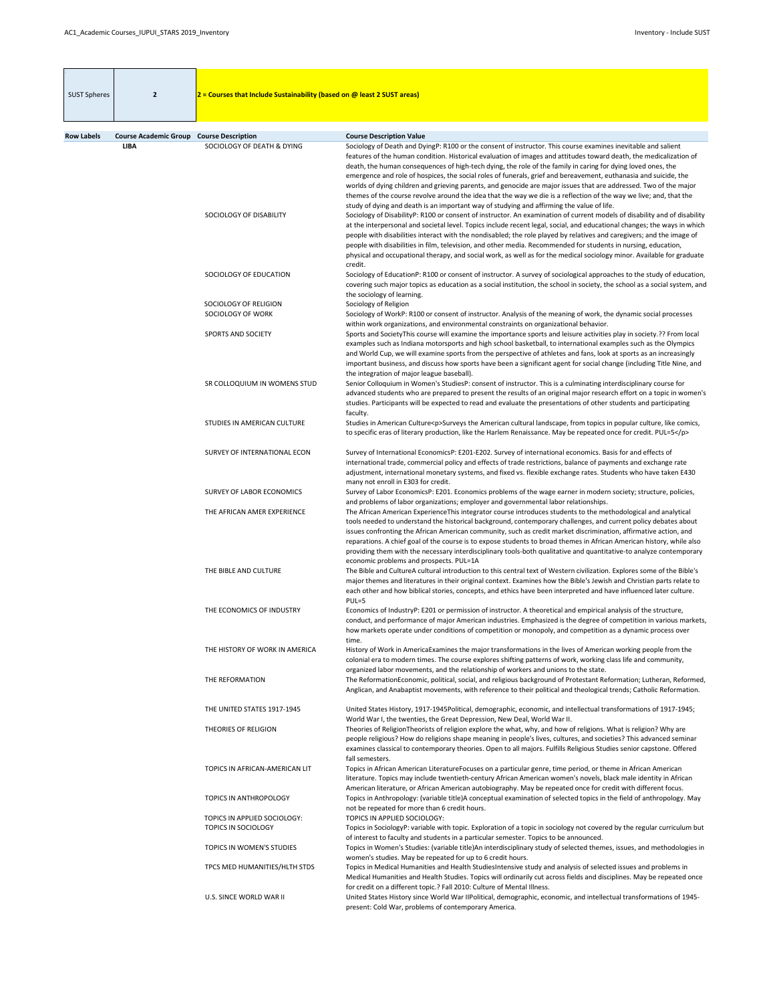| <b>SUST Spheres</b> | $\overline{2}$                                  | 2 = Courses that Include Sustainability (based on $\omega$ least 2 SUST areas) |                                                                                                                                                                                                                                                                                                                                                                                                                                                                                                                                                                                                                                                                                                                                                                                                                 |
|---------------------|-------------------------------------------------|--------------------------------------------------------------------------------|-----------------------------------------------------------------------------------------------------------------------------------------------------------------------------------------------------------------------------------------------------------------------------------------------------------------------------------------------------------------------------------------------------------------------------------------------------------------------------------------------------------------------------------------------------------------------------------------------------------------------------------------------------------------------------------------------------------------------------------------------------------------------------------------------------------------|
| <b>Row Labels</b>   | <b>Course Academic Group Course Description</b> |                                                                                | <b>Course Description Value</b>                                                                                                                                                                                                                                                                                                                                                                                                                                                                                                                                                                                                                                                                                                                                                                                 |
|                     | <b>LIBA</b>                                     | SOCIOLOGY OF DEATH & DYING                                                     | Sociology of Death and DyingP: R100 or the consent of instructor. This course examines inevitable and salient<br>features of the human condition. Historical evaluation of images and attitudes toward death, the medicalization of<br>death, the human consequences of high-tech dying, the role of the family in caring for dying loved ones, the<br>emergence and role of hospices, the social roles of funerals, grief and bereavement, euthanasia and suicide, the<br>worlds of dying children and grieving parents, and genocide are major issues that are addressed. Two of the major<br>themes of the course revolve around the idea that the way we die is a reflection of the way we live; and, that the<br>study of dying and death is an important way of studying and affirming the value of life. |
|                     |                                                 | SOCIOLOGY OF DISABILITY                                                        | Sociology of DisabilityP: R100 or consent of instructor. An examination of current models of disability and of disability<br>at the interpersonal and societal level. Topics include recent legal, social, and educational changes; the ways in which<br>people with disabilities interact with the nondisabled; the role played by relatives and caregivers; and the image of<br>people with disabilities in film, television, and other media. Recommended for students in nursing, education,<br>physical and occupational therapy, and social work, as well as for the medical sociology minor. Available for graduate<br>credit.                                                                                                                                                                           |
|                     |                                                 | SOCIOLOGY OF EDUCATION                                                         | Sociology of EducationP: R100 or consent of instructor. A survey of sociological approaches to the study of education,<br>covering such major topics as education as a social institution, the school in society, the school as a social system, and<br>the sociology of learning.                                                                                                                                                                                                                                                                                                                                                                                                                                                                                                                              |
|                     |                                                 | SOCIOLOGY OF RELIGION<br>SOCIOLOGY OF WORK                                     | Sociology of Religion<br>Sociology of WorkP: R100 or consent of instructor. Analysis of the meaning of work, the dynamic social processes                                                                                                                                                                                                                                                                                                                                                                                                                                                                                                                                                                                                                                                                       |
|                     |                                                 | SPORTS AND SOCIETY                                                             | within work organizations, and environmental constraints on organizational behavior.<br>Sports and SocietyThis course will examine the importance sports and leisure activities play in society.?? From local<br>examples such as Indiana motorsports and high school basketball, to international examples such as the Olympics<br>and World Cup, we will examine sports from the perspective of athletes and fans, look at sports as an increasingly<br>important business, and discuss how sports have been a significant agent for social change (including Title Nine, and<br>the integration of major league baseball).                                                                                                                                                                                   |
|                     |                                                 | SR COLLOQUIUM IN WOMENS STUD                                                   | Senior Colloquium in Women's StudiesP: consent of instructor. This is a culminating interdisciplinary course for<br>advanced students who are prepared to present the results of an original major research effort on a topic in women's<br>studies. Participants will be expected to read and evaluate the presentations of other students and participating<br>faculty.                                                                                                                                                                                                                                                                                                                                                                                                                                       |
|                     |                                                 | STUDIES IN AMERICAN CULTURE                                                    | Studies in American Culture <p>Surveys the American cultural landscape, from topics in popular culture, like comics,<br/>to specific eras of literary production, like the Harlem Renaissance. May be repeated once for credit. PUL=5</p>                                                                                                                                                                                                                                                                                                                                                                                                                                                                                                                                                                       |
|                     |                                                 | SURVEY OF INTERNATIONAL ECON                                                   | Survey of International EconomicsP: E201-E202. Survey of international economics. Basis for and effects of<br>international trade, commercial policy and effects of trade restrictions, balance of payments and exchange rate<br>adjustment, international monetary systems, and fixed vs. flexible exchange rates. Students who have taken E430<br>many not enroll in E303 for credit.                                                                                                                                                                                                                                                                                                                                                                                                                         |
|                     |                                                 | SURVEY OF LABOR ECONOMICS                                                      | Survey of Labor EconomicsP: E201. Economics problems of the wage earner in modern society; structure, policies,<br>and problems of labor organizations; employer and governmental labor relationships.                                                                                                                                                                                                                                                                                                                                                                                                                                                                                                                                                                                                          |
|                     |                                                 | THE AFRICAN AMER EXPERIENCE                                                    | The African American ExperienceThis integrator course introduces students to the methodological and analytical<br>tools needed to understand the historical background, contemporary challenges, and current policy debates about<br>issues confronting the African American community, such as credit market discrimination, affirmative action, and<br>reparations. A chief goal of the course is to expose students to broad themes in African American history, while also<br>providing them with the necessary interdisciplinary tools-both qualitative and quantitative-to analyze contemporary<br>economic problems and prospects. PUL=1A                                                                                                                                                                |
|                     |                                                 | THE BIBLE AND CULTURE                                                          | The Bible and CultureA cultural introduction to this central text of Western civilization. Explores some of the Bible's<br>major themes and literatures in their original context. Examines how the Bible's Jewish and Christian parts relate to<br>each other and how biblical stories, concepts, and ethics have been interpreted and have influenced later culture.<br>$PUL=5$                                                                                                                                                                                                                                                                                                                                                                                                                               |
|                     |                                                 | THE ECONOMICS OF INDUSTRY                                                      | Economics of IndustryP: E201 or permission of instructor. A theoretical and empirical analysis of the structure,<br>conduct, and performance of major American industries. Emphasized is the degree of competition in various markets,<br>how markets operate under conditions of competition or monopoly, and competition as a dynamic process over<br>time.                                                                                                                                                                                                                                                                                                                                                                                                                                                   |
|                     |                                                 | THE HISTORY OF WORK IN AMERICA                                                 | History of Work in AmericaExamines the major transformations in the lives of American working people from the<br>colonial era to modern times. The course explores shifting patterns of work, working class life and community,<br>organized labor movements, and the relationship of workers and unions to the state.                                                                                                                                                                                                                                                                                                                                                                                                                                                                                          |
|                     |                                                 | THE REFORMATION                                                                | The ReformationEconomic, political, social, and religious background of Protestant Reformation; Lutheran, Reformed,<br>Anglican, and Anabaptist movements, with reference to their political and theological trends; Catholic Reformation.                                                                                                                                                                                                                                                                                                                                                                                                                                                                                                                                                                      |
|                     |                                                 | THE UNITED STATES 1917-1945                                                    | United States History, 1917-1945Political, demographic, economic, and intellectual transformations of 1917-1945;<br>World War I, the twenties, the Great Depression, New Deal, World War II.                                                                                                                                                                                                                                                                                                                                                                                                                                                                                                                                                                                                                    |
|                     |                                                 | THEORIES OF RELIGION                                                           | Theories of ReligionTheorists of religion explore the what, why, and how of religions. What is religion? Why are<br>people religious? How do religions shape meaning in people's lives, cultures, and societies? This advanced seminar<br>examines classical to contemporary theories. Open to all majors. Fulfills Religious Studies senior capstone. Offered<br>fall semesters.                                                                                                                                                                                                                                                                                                                                                                                                                               |
|                     |                                                 | TOPICS IN AFRICAN-AMERICAN LIT                                                 | Topics in African American LiteratureFocuses on a particular genre, time period, or theme in African American<br>literature. Topics may include twentieth-century African American women's novels, black male identity in African<br>American literature, or African American autobiography. May be repeated once for credit with different focus.                                                                                                                                                                                                                                                                                                                                                                                                                                                              |
|                     |                                                 | <b>TOPICS IN ANTHROPOLOGY</b>                                                  | Topics in Anthropology: (variable title)A conceptual examination of selected topics in the field of anthropology. May<br>not be repeated for more than 6 credit hours.                                                                                                                                                                                                                                                                                                                                                                                                                                                                                                                                                                                                                                          |
|                     |                                                 | TOPICS IN APPLIED SOCIOLOGY:<br><b>TOPICS IN SOCIOLOGY</b>                     | TOPICS IN APPLIED SOCIOLOGY:<br>Topics in SociologyP: variable with topic. Exploration of a topic in sociology not covered by the regular curriculum but                                                                                                                                                                                                                                                                                                                                                                                                                                                                                                                                                                                                                                                        |
|                     |                                                 | TOPICS IN WOMEN'S STUDIES                                                      | of interest to faculty and students in a particular semester. Topics to be announced.<br>Topics in Women's Studies: (variable title)An interdisciplinary study of selected themes, issues, and methodologies in<br>women's studies. May be repeated for up to 6 credit hours.                                                                                                                                                                                                                                                                                                                                                                                                                                                                                                                                   |
|                     |                                                 | TPCS MED HUMANITIES/HLTH STDS                                                  | Topics in Medical Humanities and Health StudiesIntensive study and analysis of selected issues and problems in<br>Medical Humanities and Health Studies. Topics will ordinarily cut across fields and disciplines. May be repeated once                                                                                                                                                                                                                                                                                                                                                                                                                                                                                                                                                                         |
|                     |                                                 | U.S. SINCE WORLD WAR II                                                        | for credit on a different topic.? Fall 2010: Culture of Mental Illness.<br>United States History since World War IIPolitical, demographic, economic, and intellectual transformations of 1945-<br>present: Cold War, problems of contemporary America.                                                                                                                                                                                                                                                                                                                                                                                                                                                                                                                                                          |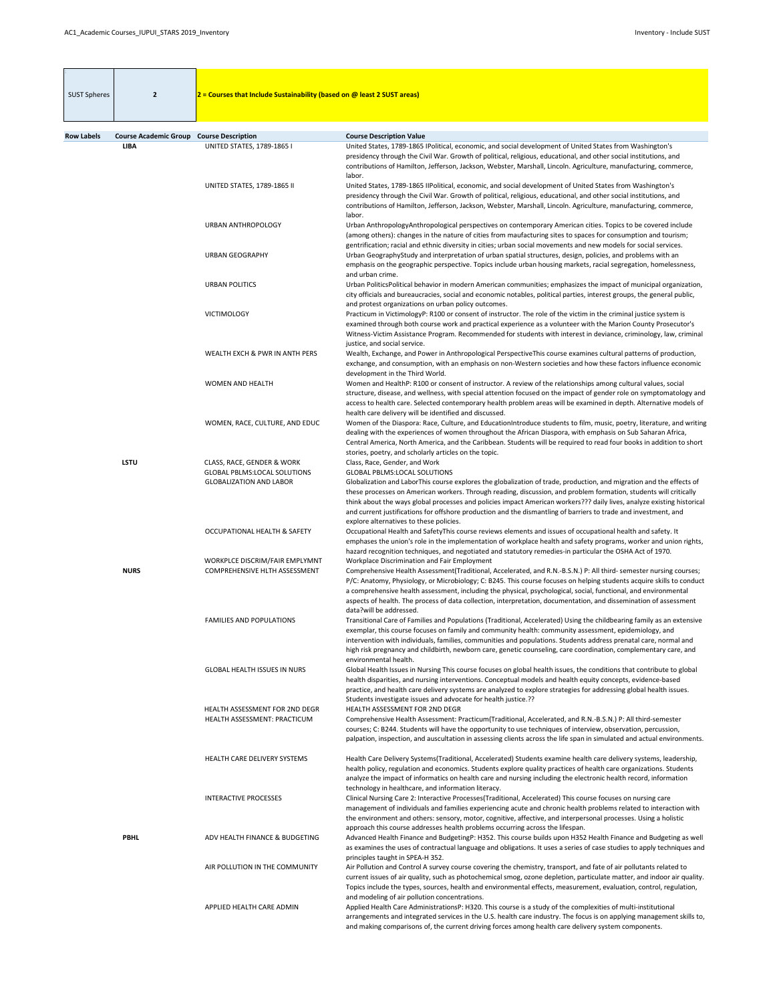| <b>SUST Spheres</b> | $\overline{2}$                                                 | $2$ = Courses that Include Sustainability (based on @ least 2 SUST areas)                           |                                                                                                                                                                                                                                                                                                                                                                                                                                                                                                                                                                |
|---------------------|----------------------------------------------------------------|-----------------------------------------------------------------------------------------------------|----------------------------------------------------------------------------------------------------------------------------------------------------------------------------------------------------------------------------------------------------------------------------------------------------------------------------------------------------------------------------------------------------------------------------------------------------------------------------------------------------------------------------------------------------------------|
|                     |                                                                |                                                                                                     |                                                                                                                                                                                                                                                                                                                                                                                                                                                                                                                                                                |
| <b>Row Labels</b>   | <b>Course Academic Group Course Description</b><br><b>LIBA</b> | <b>UNITED STATES, 1789-1865 I</b>                                                                   | <b>Course Description Value</b><br>United States, 1789-1865 IPolitical, economic, and social development of United States from Washington's<br>presidency through the Civil War. Growth of political, religious, educational, and other social institutions, and<br>contributions of Hamilton, Jefferson, Jackson, Webster, Marshall, Lincoln. Agriculture, manufacturing, commerce,                                                                                                                                                                           |
|                     |                                                                | UNITED STATES, 1789-1865 II                                                                         | labor.<br>United States, 1789-1865 IIPolitical, economic, and social development of United States from Washington's<br>presidency through the Civil War. Growth of political, religious, educational, and other social institutions, and<br>contributions of Hamilton, Jefferson, Jackson, Webster, Marshall, Lincoln. Agriculture, manufacturing, commerce,<br>labor.                                                                                                                                                                                         |
|                     |                                                                | <b>URBAN ANTHROPOLOGY</b>                                                                           | Urban AnthropologyAnthropological perspectives on contemporary American cities. Topics to be covered include<br>(among others): changes in the nature of cities from maufacturing sites to spaces for consumption and tourism;<br>gentrification; racial and ethnic diversity in cities; urban social movements and new models for social services.                                                                                                                                                                                                            |
|                     |                                                                | <b>URBAN GEOGRAPHY</b>                                                                              | Urban GeographyStudy and interpretation of urban spatial structures, design, policies, and problems with an<br>emphasis on the geographic perspective. Topics include urban housing markets, racial segregation, homelessness,<br>and urban crime.                                                                                                                                                                                                                                                                                                             |
|                     |                                                                | <b>URBAN POLITICS</b>                                                                               | Urban Politics Political behavior in modern American communities; emphasizes the impact of municipal organization,<br>city officials and bureaucracies, social and economic notables, political parties, interest groups, the general public,<br>and protest organizations on urban policy outcomes.                                                                                                                                                                                                                                                           |
|                     |                                                                | <b>VICTIMOLOGY</b>                                                                                  | Practicum in VictimologyP: R100 or consent of instructor. The role of the victim in the criminal justice system is<br>examined through both course work and practical experience as a volunteer with the Marion County Prosecutor's<br>Witness-Victim Assistance Program. Recommended for students with interest in deviance, criminology, law, criminal<br>justice, and social service.                                                                                                                                                                       |
|                     |                                                                | WEALTH EXCH & PWR IN ANTH PERS                                                                      | Wealth, Exchange, and Power in Anthropological PerspectiveThis course examines cultural patterns of production,<br>exchange, and consumption, with an emphasis on non-Western societies and how these factors influence economic<br>development in the Third World.                                                                                                                                                                                                                                                                                            |
|                     |                                                                | <b>WOMEN AND HEALTH</b>                                                                             | Women and HealthP: R100 or consent of instructor. A review of the relationships among cultural values, social<br>structure, disease, and wellness, with special attention focused on the impact of gender role on symptomatology and<br>access to health care. Selected contemporary health problem areas will be examined in depth. Alternative models of<br>health care delivery will be identified and discussed.                                                                                                                                           |
|                     |                                                                | WOMEN, RACE, CULTURE, AND EDUC                                                                      | Women of the Diaspora: Race, Culture, and EducationIntroduce students to film, music, poetry, literature, and writing<br>dealing with the experiences of women throughout the African Diaspora, with emphasis on Sub Saharan Africa,<br>Central America, North America, and the Caribbean. Students will be required to read four books in addition to short<br>stories, poetry, and scholarly articles on the topic.                                                                                                                                          |
|                     | <b>LSTU</b>                                                    | CLASS, RACE, GENDER & WORK<br><b>GLOBAL PBLMS:LOCAL SOLUTIONS</b><br><b>GLOBALIZATION AND LABOR</b> | Class, Race, Gender, and Work<br><b>GLOBAL PBLMS:LOCAL SOLUTIONS</b><br>Globalization and LaborThis course explores the globalization of trade, production, and migration and the effects of<br>these processes on American workers. Through reading, discussion, and problem formation, students will critically<br>think about the ways global processes and policies impact American workers??? daily lives, analyze existing historical<br>and current justifications for offshore production and the dismantling of barriers to trade and investment, and |
|                     |                                                                | <b>OCCUPATIONAL HEALTH &amp; SAFETY</b>                                                             | explore alternatives to these policies.<br>Occupational Health and SafetyThis course reviews elements and issues of occupational health and safety. It<br>emphases the union's role in the implementation of workplace health and safety programs, worker and union rights,<br>hazard recognition techniques, and negotiated and statutory remedies-in particular the OSHA Act of 1970.                                                                                                                                                                        |
|                     | <b>NURS</b>                                                    | WORKPLCE DISCRIM/FAIR EMPLYMNT<br>COMPREHENSIVE HLTH ASSESSMENT                                     | Workplace Discrimination and Fair Employment<br>Comprehensive Health Assessment(Traditional, Accelerated, and R.N.-B.S.N.) P: All third- semester nursing courses;<br>P/C: Anatomy, Physiology, or Microbiology; C: B245. This course focuses on helping students acquire skills to conduct<br>a comprehensive health assessment, including the physical, psychological, social, functional, and environmental<br>aspects of health. The process of data collection, interpretation, documentation, and dissemination of assessment<br>data?will be addressed. |
|                     |                                                                | <b>FAMILIES AND POPULATIONS</b>                                                                     | Transitional Care of Families and Populations (Traditional, Accelerated) Using the childbearing family as an extensive<br>exemplar, this course focuses on family and community health: community assessment, epidemiology, and<br>intervention with individuals, families, communities and populations. Students address prenatal care, normal and<br>high risk pregnancy and childbirth, newborn care, genetic counseling, care coordination, complementary care, and<br>environmental health.                                                               |
|                     |                                                                | <b>GLOBAL HEALTH ISSUES IN NURS</b>                                                                 | Global Health Issues in Nursing This course focuses on global health issues, the conditions that contribute to global<br>health disparities, and nursing interventions. Conceptual models and health equity concepts, evidence-based<br>practice, and health care delivery systems are analyzed to explore strategies for addressing global health issues.<br>Students investigate issues and advocate for health justice.??                                                                                                                                   |
|                     |                                                                | <b>HEALTH ASSESSMENT FOR 2ND DEGR</b><br>HEALTH ASSESSMENT: PRACTICUM                               | <b>HEALTH ASSESSMENT FOR 2ND DEGR</b><br>Comprehensive Health Assessment: Practicum(Traditional, Accelerated, and R.N.-B.S.N.) P: All third-semester<br>courses; C: B244. Students will have the opportunity to use techniques of interview, observation, percussion,<br>palpation, inspection, and auscultation in assessing clients across the life span in simulated and actual environments.                                                                                                                                                               |
|                     |                                                                | HEALTH CARE DELIVERY SYSTEMS                                                                        | Health Care Delivery Systems (Traditional, Accelerated) Students examine health care delivery systems, leadership,<br>health policy, regulation and economics. Students explore quality practices of health care organizations. Students<br>analyze the impact of informatics on health care and nursing including the electronic health record, information                                                                                                                                                                                                   |
|                     |                                                                | <b>INTERACTIVE PROCESSES</b>                                                                        | technology in healthcare, and information literacy.<br>Clinical Nursing Care 2: Interactive Processes(Traditional, Accelerated) This course focuses on nursing care<br>management of individuals and families experiencing acute and chronic health problems related to interaction with<br>the environment and others: sensory, motor, cognitive, affective, and interpersonal processes. Using a holistic<br>approach this course addresses health problems occurring across the lifespan.                                                                   |
|                     | <b>PBHL</b>                                                    | ADV HEALTH FINANCE & BUDGETING                                                                      | Advanced Health Finance and BudgetingP: H352. This course builds upon H352 Health Finance and Budgeting as well<br>as examines the uses of contractual language and obligations. It uses a series of case studies to apply techniques and<br>principles taught in SPEA-H 352.                                                                                                                                                                                                                                                                                  |
|                     |                                                                | AIR POLLUTION IN THE COMMUNITY                                                                      | Air Pollution and Control A survey course covering the chemistry, transport, and fate of air pollutants related to<br>current issues of air quality, such as photochemical smog, ozone depletion, particulate matter, and indoor air quality.<br>Topics include the types, sources, health and environmental effects, measurement, evaluation, control, regulation,<br>and modeling of air pollution concentrations.                                                                                                                                           |
|                     |                                                                | APPLIED HEALTH CARE ADMIN                                                                           | Applied Health Care AdministrationsP: H320. This course is a study of the complexities of multi-institutional<br>arrangements and integrated services in the U.S. health care industry. The focus is on applying management skills to,<br>and making comparisons of, the current driving forces among health care delivery system components.                                                                                                                                                                                                                  |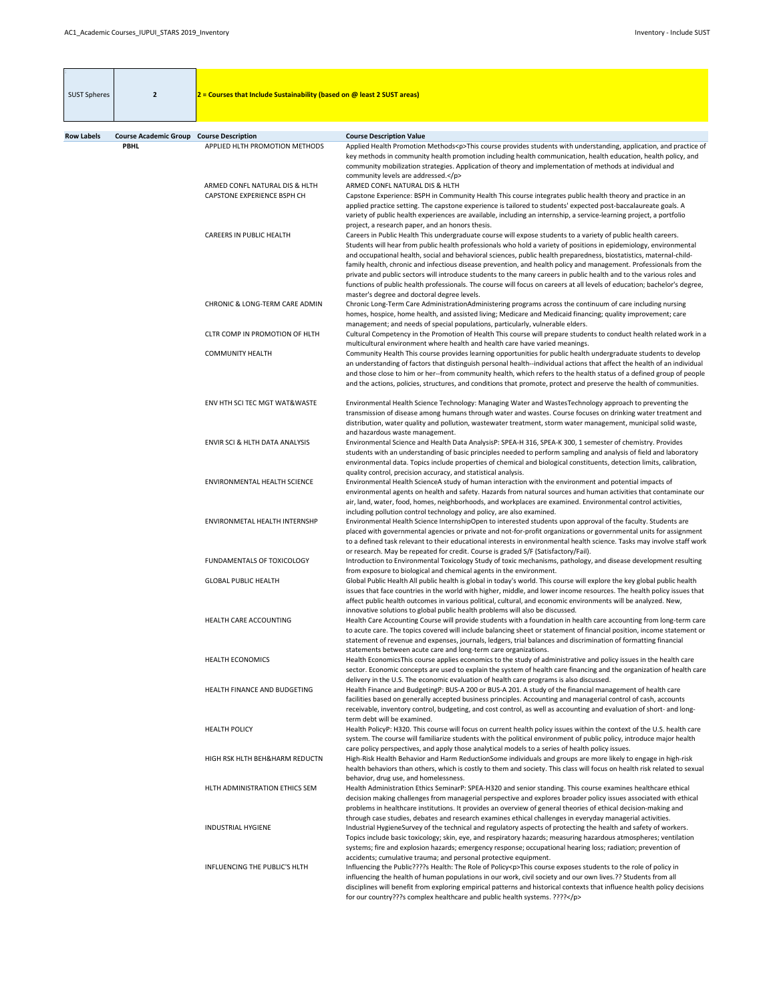| <b>SUST Spheres</b> | $\overline{2}$                                  | $2$ = Courses that Include Sustainability (based on @ least 2 SUST areas) |                                                                                                                                                                                                                                                                                                                                                                                                                                                                                                                                                                                                                                                                                                                                                                                            |
|---------------------|-------------------------------------------------|---------------------------------------------------------------------------|--------------------------------------------------------------------------------------------------------------------------------------------------------------------------------------------------------------------------------------------------------------------------------------------------------------------------------------------------------------------------------------------------------------------------------------------------------------------------------------------------------------------------------------------------------------------------------------------------------------------------------------------------------------------------------------------------------------------------------------------------------------------------------------------|
|                     |                                                 |                                                                           |                                                                                                                                                                                                                                                                                                                                                                                                                                                                                                                                                                                                                                                                                                                                                                                            |
| <b>Row Labels</b>   | <b>Course Academic Group Course Description</b> |                                                                           | <b>Course Description Value</b>                                                                                                                                                                                                                                                                                                                                                                                                                                                                                                                                                                                                                                                                                                                                                            |
|                     | <b>PBHL</b>                                     | APPLIED HLTH PROMOTION METHODS                                            | Applied Health Promotion Methods <p>This course provides students with understanding, application, and practice of<br/>key methods in community health promotion including health communication, health education, health policy, and<br/>community mobilization strategies. Application of theory and implementation of methods at individual and<br/>community levels are addressed.</p>                                                                                                                                                                                                                                                                                                                                                                                                 |
|                     |                                                 | ARMED CONFL NATURAL DIS & HLTH<br><b>CAPSTONE EXPERIENCE BSPH CH</b>      | ARMED CONFL NATURAL DIS & HLTH<br>Capstone Experience: BSPH in Community Health This course integrates public health theory and practice in an<br>applied practice setting. The capstone experience is tailored to students' expected post-baccalaureate goals. A<br>variety of public health experiences are available, including an internship, a service-learning project, a portfolio                                                                                                                                                                                                                                                                                                                                                                                                  |
|                     |                                                 | <b>CAREERS IN PUBLIC HEALTH</b>                                           | project, a research paper, and an honors thesis.<br>Careers in Public Health This undergraduate course will expose students to a variety of public health careers.<br>Students will hear from public health professionals who hold a variety of positions in epidemiology, environmental<br>and occupational health, social and behavioral sciences, public health preparedness, biostatistics, maternal-child-<br>family health, chronic and infectious disease prevention, and health policy and management. Professionals from the<br>private and public sectors will introduce students to the many careers in public health and to the various roles and<br>functions of public health professionals. The course will focus on careers at all levels of education; bachelor's degree, |
|                     |                                                 | CHRONIC & LONG-TERM CARE ADMIN                                            | master's degree and doctoral degree levels.<br>Chronic Long-Term Care AdministrationAdministering programs across the continuum of care including nursing<br>homes, hospice, home health, and assisted living; Medicare and Medicaid financing; quality improvement; care                                                                                                                                                                                                                                                                                                                                                                                                                                                                                                                  |
|                     |                                                 | CLTR COMP IN PROMOTION OF HLTH                                            | management; and needs of special populations, particularly, vulnerable elders.<br>Cultural Competency in the Promotion of Health This course will prepare students to conduct health related work in a<br>multicultural environment where health and health care have varied meanings.                                                                                                                                                                                                                                                                                                                                                                                                                                                                                                     |
|                     |                                                 | <b>COMMUNITY HEALTH</b>                                                   | Community Health This course provides learning opportunities for public health undergraduate students to develop<br>an understanding of factors that distinguish personal health--individual actions that affect the health of an individual<br>and those close to him or her--from community health, which refers to the health status of a defined group of people<br>and the actions, policies, structures, and conditions that promote, protect and preserve the health of communities.                                                                                                                                                                                                                                                                                                |
|                     |                                                 | ENV HTH SCI TEC MGT WAT&WASTE                                             | Environmental Health Science Technology: Managing Water and WastesTechnology approach to preventing the<br>transmission of disease among humans through water and wastes. Course focuses on drinking water treatment and<br>distribution, water quality and pollution, wastewater treatment, storm water management, municipal solid waste,<br>and hazardous waste management.                                                                                                                                                                                                                                                                                                                                                                                                             |
|                     |                                                 | ENVIR SCI & HLTH DATA ANALYSIS                                            | Environmental Science and Health Data AnalysisP: SPEA-H 316, SPEA-K 300, 1 semester of chemistry. Provides<br>students with an understanding of basic principles needed to perform sampling and analysis of field and laboratory<br>environmental data. Topics include properties of chemical and biological constituents, detection limits, calibration,<br>quality control, precision accuracy, and statistical analysis.                                                                                                                                                                                                                                                                                                                                                                |
|                     |                                                 | <b>ENVIRONMENTAL HEALTH SCIENCE</b>                                       | Environmental Health ScienceA study of human interaction with the environment and potential impacts of<br>environmental agents on health and safety. Hazards from natural sources and human activities that contaminate our<br>air, land, water, food, homes, neighborhoods, and workplaces are examined. Environmental control activities,<br>including pollution control technology and policy, are also examined.                                                                                                                                                                                                                                                                                                                                                                       |
|                     |                                                 | ENVIRONMETAL HEALTH INTERNSHP                                             | Environmental Health Science InternshipOpen to interested students upon approval of the faculty. Students are<br>placed with governmental agencies or private and not-for-profit organizations or governmental units for assignment<br>to a defined task relevant to their educational interests in environmental health science. Tasks may involve staff work<br>or research. May be repeated for credit. Course is graded S/F (Satisfactory/Fail).                                                                                                                                                                                                                                                                                                                                       |
|                     |                                                 | FUNDAMENTALS OF TOXICOLOGY                                                | Introduction to Environmental Toxicology Study of toxic mechanisms, pathology, and disease development resulting<br>from exposure to biological and chemical agents in the environment.                                                                                                                                                                                                                                                                                                                                                                                                                                                                                                                                                                                                    |
|                     |                                                 | <b>GLOBAL PUBLIC HEALTH</b>                                               | Global Public Health All public health is global in today's world. This course will explore the key global public health<br>issues that face countries in the world with higher, middle, and lower income resources. The health policy issues that<br>affect public health outcomes in various political, cultural, and economic environments will be analyzed. New,<br>innovative solutions to global public health problems will also be discussed.                                                                                                                                                                                                                                                                                                                                      |
|                     |                                                 | HEALTH CARE ACCOUNTING                                                    | Health Care Accounting Course will provide students with a foundation in health care accounting from long-term care<br>to acute care. The topics covered will include balancing sheet or statement of financial position, income statement or<br>statement of revenue and expenses, journals, ledgers, trial balances and discrimination of formatting financial<br>statements between acute care and long-term care organizations.                                                                                                                                                                                                                                                                                                                                                        |
|                     |                                                 | <b>HEALTH ECONOMICS</b>                                                   | Health Economics This course applies economics to the study of administrative and policy issues in the health care<br>sector. Economic concepts are used to explain the system of health care financing and the organization of health care<br>delivery in the U.S. The economic evaluation of health care programs is also discussed.                                                                                                                                                                                                                                                                                                                                                                                                                                                     |
|                     |                                                 | HEALTH FINANCE AND BUDGETING                                              | Health Finance and BudgetingP: BUS-A 200 or BUS-A 201. A study of the financial management of health care<br>facilities based on generally accepted business principles. Accounting and managerial control of cash, accounts<br>receivable, inventory control, budgeting, and cost control, as well as accounting and evaluation of short- and long-<br>term debt will be examined.                                                                                                                                                                                                                                                                                                                                                                                                        |
|                     |                                                 | <b>HEALTH POLICY</b>                                                      | Health PolicyP: H320. This course will focus on current health policy issues within the context of the U.S. health care<br>system. The course will familiarize students with the political environment of public policy, introduce major health<br>care policy perspectives, and apply those analytical models to a series of health policy issues.                                                                                                                                                                                                                                                                                                                                                                                                                                        |
|                     |                                                 | HIGH RSK HLTH BEH&HARM REDUCTN                                            | High-Risk Health Behavior and Harm ReductionSome individuals and groups are more likely to engage in high-risk<br>health behaviors than others, which is costly to them and society. This class will focus on health risk related to sexual<br>behavior, drug use, and homelessness.                                                                                                                                                                                                                                                                                                                                                                                                                                                                                                       |
|                     |                                                 | HLTH ADMINISTRATION ETHICS SEM                                            | Health Administration Ethics SeminarP: SPEA-H320 and senior standing. This course examines healthcare ethical<br>decision making challenges from managerial perspective and explores broader policy issues associated with ethical<br>problems in healthcare institutions. It provides an overview of general theories of ethical decision-making and<br>through case studies, debates and research examines ethical challenges in everyday managerial activities.                                                                                                                                                                                                                                                                                                                         |
|                     |                                                 | <b>INDUSTRIAL HYGIENE</b>                                                 | Industrial HygieneSurvey of the technical and regulatory aspects of protecting the health and safety of workers.<br>Topics include basic toxicology; skin, eye, and respiratory hazards; measuring hazardous atmospheres; ventilation<br>systems; fire and explosion hazards; emergency response; occupational hearing loss; radiation; prevention of<br>accidents; cumulative trauma; and personal protective equipment.                                                                                                                                                                                                                                                                                                                                                                  |
|                     |                                                 | <b>INFLUENCING THE PUBLIC'S HLTH</b>                                      | Influencing the Public????s Health: The Role of Policy <p>This course exposes students to the role of policy in<br/>influencing the health of human populations in our work, civil society and our own lives.?? Students from all<br/>disciplines will benefit from exploring empirical patterns and historical contexts that influence health policy decisions<br/>for our country???s complex healthcare and public health systems. ????</p>                                                                                                                                                                                                                                                                                                                                             |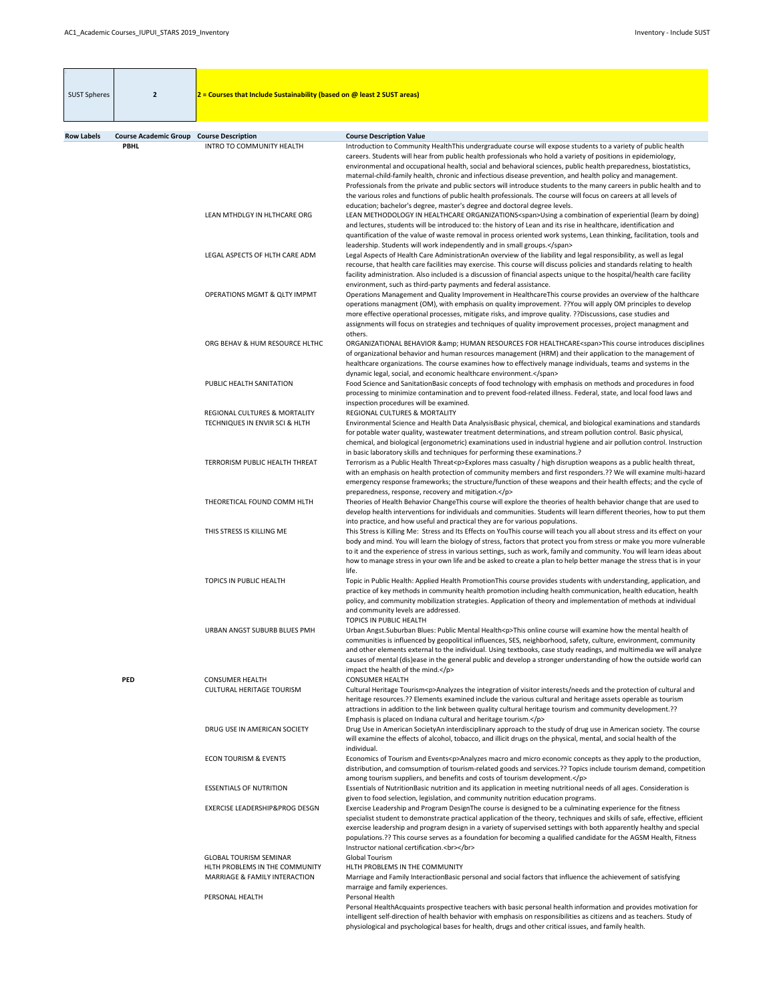| <b>SUST Spheres</b> | $\overline{2}$                                                 | $2$ = Courses that Include Sustainability (based on @ least 2 SUST areas)  |                                                                                                                                                                                                                                                                                                                                                                                                                                                                                                                                                                                                                                                                                                                                                                                                                                |
|---------------------|----------------------------------------------------------------|----------------------------------------------------------------------------|--------------------------------------------------------------------------------------------------------------------------------------------------------------------------------------------------------------------------------------------------------------------------------------------------------------------------------------------------------------------------------------------------------------------------------------------------------------------------------------------------------------------------------------------------------------------------------------------------------------------------------------------------------------------------------------------------------------------------------------------------------------------------------------------------------------------------------|
|                     |                                                                |                                                                            |                                                                                                                                                                                                                                                                                                                                                                                                                                                                                                                                                                                                                                                                                                                                                                                                                                |
| <b>Row Labels</b>   | <b>Course Academic Group Course Description</b><br><b>PBHL</b> | <b>INTRO TO COMMUNITY HEALTH</b>                                           | <b>Course Description Value</b><br>Introduction to Community HealthThis undergraduate course will expose students to a variety of public health<br>careers. Students will hear from public health professionals who hold a variety of positions in epidemiology,<br>environmental and occupational health, social and behavioral sciences, public health preparedness, biostatistics,<br>maternal-child-family health, chronic and infectious disease prevention, and health policy and management.<br>Professionals from the private and public sectors will introduce students to the many careers in public health and to<br>the various roles and functions of public health professionals. The course will focus on careers at all levels of<br>education; bachelor's degree, master's degree and doctoral degree levels. |
|                     |                                                                | LEAN MTHDLGY IN HLTHCARE ORG                                               | LEAN METHODOLOGY IN HEALTHCARE ORGANIZATIONS <span>Using a combination of experiential (learn by doing)<br/>and lectures, students will be introduced to: the history of Lean and its rise in healthcare, identification and<br/>quantification of the value of waste removal in process oriented work systems, Lean thinking, facilitation, tools and<br/>leadership. Students will work independently and in small groups.</span>                                                                                                                                                                                                                                                                                                                                                                                            |
|                     |                                                                | LEGAL ASPECTS OF HLTH CARE ADM                                             | Legal Aspects of Health Care AdministrationAn overview of the liability and legal responsibility, as well as legal<br>recourse, that health care facilities may exercise. This course will discuss policies and standards relating to health<br>facility administration. Also included is a discussion of financial aspects unique to the hospital/health care facility<br>environment, such as third-party payments and federal assistance.                                                                                                                                                                                                                                                                                                                                                                                   |
|                     |                                                                | <b>OPERATIONS MGMT &amp; QLTY IMPMT</b>                                    | Operations Management and Quality Improvement in HealthcareThis course provides an overview of the halthcare<br>operations managment (OM), with emphasis on quality improvement. ?? You will apply OM principles to develop<br>more effective operational processes, mitigate risks, and improve quality. ??Discussions, case studies and<br>assignments will focus on strategies and techniques of quality improvement processes, project managment and<br>others.                                                                                                                                                                                                                                                                                                                                                            |
|                     |                                                                | ORG BEHAV & HUM RESOURCE HLTHC                                             | ORGANIZATIONAL BEHAVIOR & HUMAN RESOURCES FOR HEALTHCARE <span>This course introduces disciplines<br/>of organizational behavior and human resources management (HRM) and their application to the management of<br/>healthcare organizations. The course examines how to effectively manage individuals, teams and systems in the<br/>dynamic legal, social, and economic healthcare environment.</span>                                                                                                                                                                                                                                                                                                                                                                                                                      |
|                     |                                                                | PUBLIC HEALTH SANITATION                                                   | Food Science and SanitationBasic concepts of food technology with emphasis on methods and procedures in food<br>processing to minimize contamination and to prevent food-related illness. Federal, state, and local food laws and<br>inspection procedures will be examined.                                                                                                                                                                                                                                                                                                                                                                                                                                                                                                                                                   |
|                     |                                                                | <b>REGIONAL CULTURES &amp; MORTALITY</b><br>TECHNIQUES IN ENVIR SCI & HLTH | REGIONAL CULTURES & MORTALITY<br>Environmental Science and Health Data AnalysisBasic physical, chemical, and biological examinations and standards<br>for potable water quality, wastewater treatment determinations, and stream pollution control. Basic physical,<br>chemical, and biological (ergonometric) examinations used in industrial hygiene and air pollution control. Instruction<br>in basic laboratory skills and techniques for performing these examinations.?                                                                                                                                                                                                                                                                                                                                                 |
|                     |                                                                | TERRORISM PUBLIC HEALTH THREAT                                             | Terrorism as a Public Health Threat <p>Explores mass casualty / high disruption weapons as a public health threat,<br/>with an emphasis on health protection of community members and first responders.?? We will examine multi-hazard<br/>emergency response frameworks; the structure/function of these weapons and their health effects; and the cycle of<br/>preparedness, response, recovery and mitigation.</p>                                                                                                                                                                                                                                                                                                                                                                                                          |
|                     |                                                                | THEORETICAL FOUND COMM HLTH                                                | Theories of Health Behavior ChangeThis course will explore the theories of health behavior change that are used to<br>develop health interventions for individuals and communities. Students will learn different theories, how to put them<br>into practice, and how useful and practical they are for various populations.                                                                                                                                                                                                                                                                                                                                                                                                                                                                                                   |
|                     |                                                                | THIS STRESS IS KILLING ME                                                  | This Stress is Killing Me: Stress and Its Effects on YouThis course will teach you all about stress and its effect on your<br>body and mind. You will learn the biology of stress, factors that protect you from stress or make you more vulnerable<br>to it and the experience of stress in various settings, such as work, family and community. You will learn ideas about<br>how to manage stress in your own life and be asked to create a plan to help better manage the stress that is in your<br>life.                                                                                                                                                                                                                                                                                                                 |
|                     |                                                                | TOPICS IN PUBLIC HEALTH                                                    | Topic in Public Health: Applied Health PromotionThis course provides students with understanding, application, and<br>practice of key methods in community health promotion including health communication, health education, health<br>policy, and community mobilization strategies. Application of theory and implementation of methods at individual<br>and community levels are addressed.<br><b>TOPICS IN PUBLIC HEALTH</b>                                                                                                                                                                                                                                                                                                                                                                                              |
|                     |                                                                | URBAN ANGST SUBURB BLUES PMH                                               | Urban Angst. Suburban Blues: Public Mental Health <p>This online course will examine how the mental health of<br/>communities is influenced by geopolitical influences, SES, neighborhood, safety, culture, environment, community<br/>and other elements external to the individual. Using textbooks, case study readings, and multimedia we will analyze<br/>causes of mental (dis)ease in the general public and develop a stronger understanding of how the outside world can<br/>impact the health of the mind.</p>                                                                                                                                                                                                                                                                                                       |
|                     | <b>PED</b>                                                     | <b>CONSUMER HEALTH</b><br><b>CULTURAL HERITAGE TOURISM</b>                 | <b>CONSUMER HEALTH</b><br>Cultural Heritage Tourism <p>Analyzes the integration of visitor interests/needs and the protection of cultural and<br/>heritage resources.?? Elements examined include the various cultural and heritage assets operable as tourism<br/>attractions in addition to the link between quality cultural heritage tourism and community development.??<br/>Emphasis is placed on Indiana cultural and heritage tourism.</p>                                                                                                                                                                                                                                                                                                                                                                             |
|                     |                                                                | DRUG USE IN AMERICAN SOCIETY                                               | Drug Use in American SocietyAn interdisciplinary approach to the study of drug use in American society. The course<br>will examine the effects of alcohol, tobacco, and illicit drugs on the physical, mental, and social health of the<br>individual.                                                                                                                                                                                                                                                                                                                                                                                                                                                                                                                                                                         |
|                     |                                                                | <b>ECON TOURISM &amp; EVENTS</b>                                           | Economics of Tourism and Events <p>Analyzes macro and micro economic concepts as they apply to the production,<br/>distribution, and comsumption of tourism-related goods and services.?? Topics include tourism demand, competition<br/>among tourism suppliers, and benefits and costs of tourism development.</p>                                                                                                                                                                                                                                                                                                                                                                                                                                                                                                           |
|                     |                                                                | <b>ESSENTIALS OF NUTRITION</b>                                             | Essentials of NutritionBasic nutrition and its application in meeting nutritional needs of all ages. Consideration is<br>given to food selection, legislation, and community nutrition education programs.                                                                                                                                                                                                                                                                                                                                                                                                                                                                                                                                                                                                                     |
|                     |                                                                | <b>EXERCISE LEADERSHIP&amp;PROG DESGN</b>                                  | Exercise Leadership and Program DesignThe course is designed to be a culminating experience for the fitness<br>specialist student to demonstrate practical application of the theory, techniques and skills of safe, effective, efficient<br>exercise leadership and program design in a variety of supervised settings with both apparently healthy and special<br>populations.?? This course serves as a foundation for becoming a qualified candidate for the AGSM Health, Fitness<br>Instructor national certification.<br>                                                                                                                                                                                                                                                                                                |
|                     |                                                                | <b>GLOBAL TOURISM SEMINAR</b>                                              | <b>Global Tourism</b>                                                                                                                                                                                                                                                                                                                                                                                                                                                                                                                                                                                                                                                                                                                                                                                                          |
|                     |                                                                | HLTH PROBLEMS IN THE COMMUNITY<br><b>MARRIAGE &amp; FAMILY INTERACTION</b> | HLTH PROBLEMS IN THE COMMUNITY<br>Marriage and Family InteractionBasic personal and social factors that influence the achievement of satisfying<br>marraige and family experiences.                                                                                                                                                                                                                                                                                                                                                                                                                                                                                                                                                                                                                                            |
|                     |                                                                | PERSONAL HEALTH                                                            | Personal Health<br>Personal HealthAcquaints prospective teachers with basic personal health information and provides motivation for<br>intelligent self-direction of health behavior with emphasis on responsibilities as citizens and as teachers. Study of<br>physiological and psychological bases for health, drugs and other critical issues, and family health.                                                                                                                                                                                                                                                                                                                                                                                                                                                          |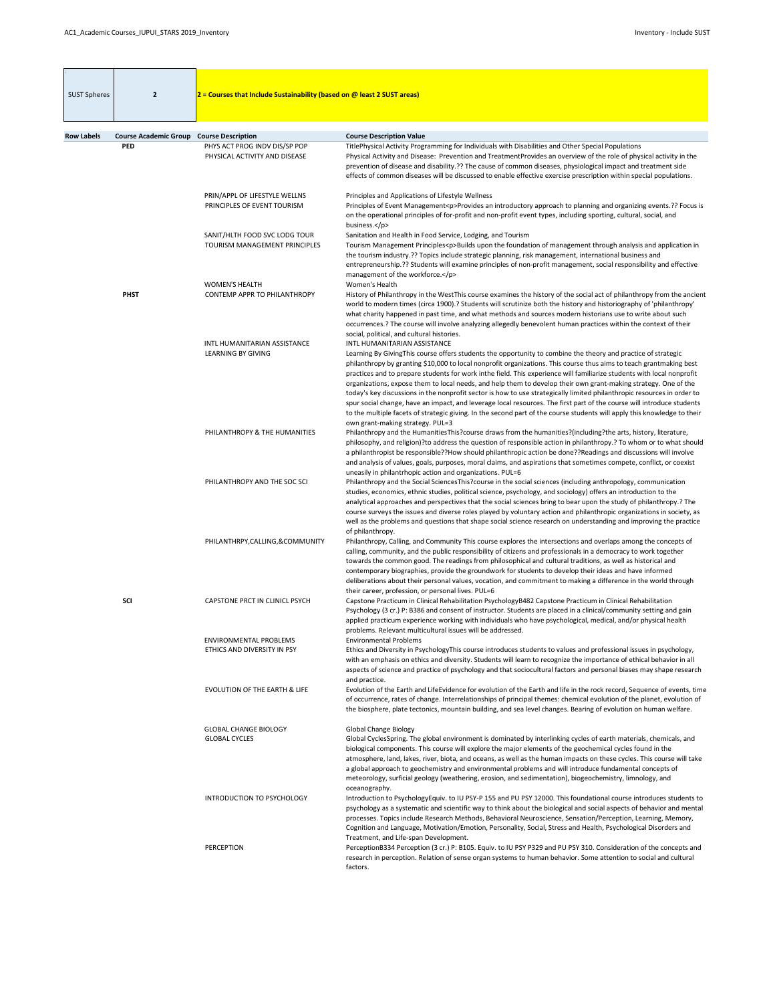| <b>SUST Spheres</b> | $\overline{2}$                                  | $2$ = Courses that Include Sustainability (based on @ least 2 SUST areas) |                                                                                                                                                                                                                                                                                                                                                                                                                                                                                                                                                                                                                                                                                                                                                                                                                                                                                                           |
|---------------------|-------------------------------------------------|---------------------------------------------------------------------------|-----------------------------------------------------------------------------------------------------------------------------------------------------------------------------------------------------------------------------------------------------------------------------------------------------------------------------------------------------------------------------------------------------------------------------------------------------------------------------------------------------------------------------------------------------------------------------------------------------------------------------------------------------------------------------------------------------------------------------------------------------------------------------------------------------------------------------------------------------------------------------------------------------------|
|                     |                                                 |                                                                           |                                                                                                                                                                                                                                                                                                                                                                                                                                                                                                                                                                                                                                                                                                                                                                                                                                                                                                           |
| <b>Row Labels</b>   | <b>Course Academic Group Course Description</b> |                                                                           | <b>Course Description Value</b>                                                                                                                                                                                                                                                                                                                                                                                                                                                                                                                                                                                                                                                                                                                                                                                                                                                                           |
|                     | <b>PED</b>                                      | PHYS ACT PROG INDV DIS/SP POP<br>PHYSICAL ACTIVITY AND DISEASE            | TitlePhysical Activity Programming for Individuals with Disabilities and Other Special Populations<br>Physical Activity and Disease: Prevention and TreatmentProvides an overview of the role of physical activity in the<br>prevention of disease and disability.?? The cause of common diseases, physiological impact and treatment side<br>effects of common diseases will be discussed to enable effective exercise prescription within special populations.                                                                                                                                                                                                                                                                                                                                                                                                                                          |
|                     |                                                 | PRIN/APPL OF LIFESTYLE WELLNS<br>PRINCIPLES OF EVENT TOURISM              | Principles and Applications of Lifestyle Wellness<br>Principles of Event Management <p>Provides an introductory approach to planning and organizing events.?? Focus is<br/>on the operational principles of for-profit and non-profit event types, including sporting, cultural, social, and<br/>business.</p>                                                                                                                                                                                                                                                                                                                                                                                                                                                                                                                                                                                            |
|                     |                                                 | SANIT/HLTH FOOD SVC LODG TOUR<br>TOURISM MANAGEMENT PRINCIPLES            | Sanitation and Health in Food Service, Lodging, and Tourism<br>Tourism Management Principles <p>Builds upon the foundation of management through analysis and application in<br/>the tourism industry.?? Topics include strategic planning, risk management, international business and<br/>entrepreneurship.?? Students will examine principles of non-profit management, social responsibility and effective<br/>management of the workforce.</p>                                                                                                                                                                                                                                                                                                                                                                                                                                                       |
|                     | <b>PHST</b>                                     | <b>WOMEN'S HEALTH</b><br><b>CONTEMP APPR TO PHILANTHROPY</b>              | Women's Health<br>History of Philanthropy in the WestThis course examines the history of the social act of philanthropy from the ancient<br>world to modern times (circa 1900).? Students will scrutinize both the history and historiography of 'philanthropy'<br>what charity happened in past time, and what methods and sources modern historians use to write about such<br>occurrences.? The course will involve analyzing allegedly benevolent human practices within the context of their<br>social, political, and cultural histories.                                                                                                                                                                                                                                                                                                                                                           |
|                     |                                                 | INTL HUMANITARIAN ASSISTANCE<br><b>LEARNING BY GIVING</b>                 | <b>INTL HUMANITARIAN ASSISTANCE</b><br>Learning By GivingThis course offers students the opportunity to combine the theory and practice of strategic<br>philanthropy by granting \$10,000 to local nonprofit organizations. This course thus aims to teach grantmaking best<br>practices and to prepare students for work inthe field. This experience will familiarize students with local nonprofit<br>organizations, expose them to local needs, and help them to develop their own grant-making strategy. One of the<br>today's key discussions in the nonprofit sector is how to use strategically limited philanthropic resources in order to<br>spur social change, have an impact, and leverage local resources. The first part of the course will introduce students<br>to the multiple facets of strategic giving. In the second part of the course students will apply this knowledge to their |
|                     |                                                 | PHILANTHROPY & THE HUMANITIES                                             | own grant-making strategy. PUL=3<br>Philanthropy and the HumanitiesThis?course draws from the humanities?(including?the arts, history, literature,<br>philosophy, and religion)?to address the question of responsible action in philanthropy.? To whom or to what should<br>a philanthropist be responsible??How should philanthropic action be done??Readings and discussions will involve<br>and analysis of values, goals, purposes, moral claims, and aspirations that sometimes compete, conflict, or coexist<br>uneasily in philantrhopic action and organizations. PUL=6                                                                                                                                                                                                                                                                                                                          |
|                     |                                                 | PHILANTHROPY AND THE SOC SCI                                              | Philanthropy and the Social SciencesThis?course in the social sciences (including anthropology, communication<br>studies, economics, ethnic studies, political science, psychology, and sociology) offers an introduction to the<br>analytical approaches and perspectives that the social sciences bring to bear upon the study of philanthropy.? The<br>course surveys the issues and diverse roles played by voluntary action and philanthropic organizations in society, as<br>well as the problems and questions that shape social science research on understanding and improving the practice<br>of philanthropy.                                                                                                                                                                                                                                                                                  |
|                     |                                                 | PHILANTHRPY, CALLING, & COMMUNITY                                         | Philanthropy, Calling, and Community This course explores the intersections and overlaps among the concepts of<br>calling, community, and the public responsibility of citizens and professionals in a democracy to work together<br>towards the common good. The readings from philosophical and cultural traditions, as well as historical and<br>contemporary biographies, provide the groundwork for students to develop their ideas and have informed<br>deliberations about their personal values, vocation, and commitment to making a difference in the world through<br>their career, profession, or personal lives. PUL=6                                                                                                                                                                                                                                                                       |
|                     | <b>SCI</b>                                      | CAPSTONE PRCT IN CLINICL PSYCH                                            | Capstone Practicum in Clinical Rehabilitation PsychologyB482 Capstone Practicum in Clinical Rehabilitation<br>Psychology (3 cr.) P: B386 and consent of instructor. Students are placed in a clinical/community setting and gain<br>applied practicum experience working with individuals who have psychological, medical, and/or physical health<br>problems. Relevant multicultural issues will be addressed.                                                                                                                                                                                                                                                                                                                                                                                                                                                                                           |
|                     |                                                 | <b>ENVIRONMENTAL PROBLEMS</b><br>ETHICS AND DIVERSITY IN PSY              | <b>Environmental Problems</b><br>Ethics and Diversity in PsychologyThis course introduces students to values and professional issues in psychology,<br>with an emphasis on ethics and diversity. Students will learn to recognize the importance of ethical behavior in all<br>aspects of science and practice of psychology and that sociocultural factors and personal biases may shape research<br>and practice.                                                                                                                                                                                                                                                                                                                                                                                                                                                                                       |
|                     |                                                 | <b>EVOLUTION OF THE EARTH &amp; LIFE</b>                                  | Evolution of the Earth and LifeEvidence for evolution of the Earth and life in the rock record, Sequence of events, time<br>of occurrence, rates of change. Interrelationships of principal themes: chemical evolution of the planet, evolution of<br>the biosphere, plate tectonics, mountain building, and sea level changes. Bearing of evolution on human welfare.                                                                                                                                                                                                                                                                                                                                                                                                                                                                                                                                    |
|                     |                                                 | <b>GLOBAL CHANGE BIOLOGY</b><br><b>GLOBAL CYCLES</b>                      | <b>Global Change Biology</b><br>Global CyclesSpring. The global environment is dominated by interlinking cycles of earth materials, chemicals, and<br>biological components. This course will explore the major elements of the geochemical cycles found in the<br>atmosphere, land, lakes, river, biota, and oceans, as well as the human impacts on these cycles. This course will take<br>a global approach to geochemistry and environmental problems and will introduce fundamental concepts of<br>meteorology, surficial geology (weathering, erosion, and sedimentation), biogeochemistry, limnology, and<br>oceanography.                                                                                                                                                                                                                                                                         |
|                     |                                                 | <b>INTRODUCTION TO PSYCHOLOGY</b>                                         | Introduction to PsychologyEquiv. to IU PSY-P 155 and PU PSY 12000. This foundational course introduces students to<br>psychology as a systematic and scientific way to think about the biological and social aspects of behavior and mental<br>processes. Topics include Research Methods, Behavioral Neuroscience, Sensation/Perception, Learning, Memory,<br>Cognition and Language, Motivation/Emotion, Personality, Social, Stress and Health, Psychological Disorders and<br>Treatment, and Life-span Development.                                                                                                                                                                                                                                                                                                                                                                                   |
|                     |                                                 | <b>PERCEPTION</b>                                                         | PerceptionB334 Perception (3 cr.) P: B105. Equiv. to IU PSY P329 and PU PSY 310. Consideration of the concepts and<br>research in perception. Relation of sense organ systems to human behavior. Some attention to social and cultural<br>factors.                                                                                                                                                                                                                                                                                                                                                                                                                                                                                                                                                                                                                                                        |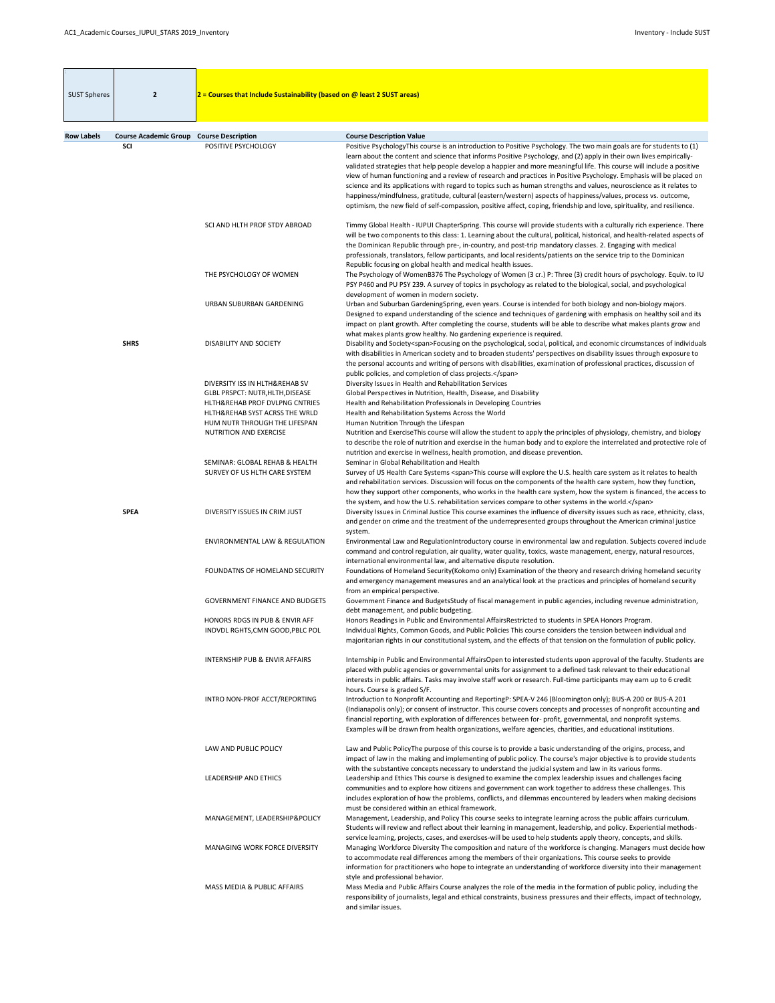| <b>SUST Spheres</b> | $\overline{2}$                                  | $2$ = Courses that Include Sustainability (based on @ least 2 SUST areas)                                                                                                                                |                                                                                                                                                                                                                                                                                                                                                                                                                                                                                                                                                                                                                                                                                                                                                                                                                                                                  |
|---------------------|-------------------------------------------------|----------------------------------------------------------------------------------------------------------------------------------------------------------------------------------------------------------|------------------------------------------------------------------------------------------------------------------------------------------------------------------------------------------------------------------------------------------------------------------------------------------------------------------------------------------------------------------------------------------------------------------------------------------------------------------------------------------------------------------------------------------------------------------------------------------------------------------------------------------------------------------------------------------------------------------------------------------------------------------------------------------------------------------------------------------------------------------|
| <b>Row Labels</b>   | <b>Course Academic Group Course Description</b> |                                                                                                                                                                                                          | <b>Course Description Value</b>                                                                                                                                                                                                                                                                                                                                                                                                                                                                                                                                                                                                                                                                                                                                                                                                                                  |
|                     | <b>SCI</b>                                      | POSITIVE PSYCHOLOGY                                                                                                                                                                                      | Positive PsychologyThis course is an introduction to Positive Psychology. The two main goals are for students to (1)<br>learn about the content and science that informs Positive Psychology, and (2) apply in their own lives empirically-<br>validated strategies that help people develop a happier and more meaningful life. This course will include a positive<br>view of human functioning and a review of research and practices in Positive Psychology. Emphasis will be placed on<br>science and its applications with regard to topics such as human strengths and values, neuroscience as it relates to<br>happiness/mindfulness, gratitude, cultural (eastern/western) aspects of happiness/values, process vs. outcome,<br>optimism, the new field of self-compassion, positive affect, coping, friendship and love, spirituality, and resilience. |
|                     |                                                 | SCI AND HLTH PROF STDY ABROAD                                                                                                                                                                            | Timmy Global Health - IUPUI ChapterSpring. This course will provide students with a culturally rich experience. There<br>will be two components to this class: 1. Learning about the cultural, political, historical, and health-related aspects of<br>the Dominican Republic through pre-, in-country, and post-trip mandatory classes. 2. Engaging with medical<br>professionals, translators, fellow participants, and local residents/patients on the service trip to the Dominican<br>Republic focusing on global health and medical health issues.                                                                                                                                                                                                                                                                                                         |
|                     |                                                 | THE PSYCHOLOGY OF WOMEN                                                                                                                                                                                  | The Psychology of WomenB376 The Psychology of Women (3 cr.) P: Three (3) credit hours of psychology. Equiv. to IU<br>PSY P460 and PU PSY 239. A survey of topics in psychology as related to the biological, social, and psychological<br>development of women in modern society.                                                                                                                                                                                                                                                                                                                                                                                                                                                                                                                                                                                |
|                     |                                                 | URBAN SUBURBAN GARDENING                                                                                                                                                                                 | Urban and Suburban GardeningSpring, even years. Course is intended for both biology and non-biology majors.<br>Designed to expand understanding of the science and techniques of gardening with emphasis on healthy soil and its<br>impact on plant growth. After completing the course, students will be able to describe what makes plants grow and<br>what makes plants grow healthy. No gardening experience is required.                                                                                                                                                                                                                                                                                                                                                                                                                                    |
|                     | <b>SHRS</b>                                     | DISABILITY AND SOCIETY                                                                                                                                                                                   | Disability and Society <span>Focusing on the psychological, social, political, and economic circumstances of individuals<br/>with disabilities in American society and to broaden students' perspectives on disability issues through exposure to<br/>the personal accounts and writing of persons with disabilities, examination of professional practices, discussion of<br/>public policies, and completion of class projects.</span>                                                                                                                                                                                                                                                                                                                                                                                                                         |
|                     |                                                 | DIVERSITY ISS IN HLTH&REHAB SV<br>GLBL PRSPCT: NUTR, HLTH, DISEASE<br>HLTH&REHAB PROF DVLPNG CNTRIES<br>HLTH&REHAB SYST ACRSS THE WRLD<br>HUM NUTR THROUGH THE LIFESPAN<br><b>NUTRITION AND EXERCISE</b> | Diversity Issues in Health and Rehabilitation Services<br>Global Perspectives in Nutrition, Health, Disease, and Disability<br>Health and Rehabilitation Professionals in Developing Countries<br>Health and Rehabilitation Systems Across the World<br>Human Nutrition Through the Lifespan<br>Nutrition and ExerciseThis course will allow the student to apply the principles of physiology, chemistry, and biology<br>to describe the role of nutrition and exercise in the human body and to explore the interrelated and protective role of                                                                                                                                                                                                                                                                                                                |
|                     |                                                 | SEMINAR: GLOBAL REHAB & HEALTH<br>SURVEY OF US HLTH CARE SYSTEM                                                                                                                                          | nutrition and exercise in wellness, health promotion, and disease prevention.<br>Seminar in Global Rehabilitation and Health<br>Survey of US Health Care Systems <span>This course will explore the U.S. health care system as it relates to health<br/>and rehabilitation services. Discussion will focus on the components of the health care system, how they function,<br/>how they support other components, who works in the health care system, how the system is financed, the access to<br/>the system, and how the U.S. rehabilitation services compare to other systems in the world.</span>                                                                                                                                                                                                                                                          |
|                     | <b>SPEA</b>                                     | DIVERSITY ISSUES IN CRIM JUST                                                                                                                                                                            | Diversity Issues in Criminal Justice This course examines the influence of diversity issues such as race, ethnicity, class,<br>and gender on crime and the treatment of the underrepresented groups throughout the American criminal justice<br>system.                                                                                                                                                                                                                                                                                                                                                                                                                                                                                                                                                                                                          |
|                     |                                                 | <b>ENVIRONMENTAL LAW &amp; REGULATION</b>                                                                                                                                                                | Environmental Law and RegulationIntroductory course in environmental law and regulation. Subjects covered include<br>command and control regulation, air quality, water quality, toxics, waste management, energy, natural resources,<br>international environmental law, and alternative dispute resolution.                                                                                                                                                                                                                                                                                                                                                                                                                                                                                                                                                    |
|                     |                                                 | FOUNDATNS OF HOMELAND SECURITY                                                                                                                                                                           | Foundations of Homeland Security(Kokomo only) Examination of the theory and research driving homeland security<br>and emergency management measures and an analytical look at the practices and principles of homeland security<br>from an empirical perspective.                                                                                                                                                                                                                                                                                                                                                                                                                                                                                                                                                                                                |
|                     |                                                 | <b>GOVERNMENT FINANCE AND BUDGETS</b><br>HONORS RDGS IN PUB & ENVIR AFF                                                                                                                                  | Government Finance and BudgetsStudy of fiscal management in public agencies, including revenue administration,<br>debt management, and public budgeting.<br>Honors Readings in Public and Environmental AffairsRestricted to students in SPEA Honors Program.                                                                                                                                                                                                                                                                                                                                                                                                                                                                                                                                                                                                    |
|                     |                                                 | INDVDL RGHTS, CMN GOOD, PBLC POL                                                                                                                                                                         | Individual Rights, Common Goods, and Public Policies This course considers the tension between individual and<br>majoritarian rights in our constitutional system, and the effects of that tension on the formulation of public policy.                                                                                                                                                                                                                                                                                                                                                                                                                                                                                                                                                                                                                          |
|                     |                                                 | <b>INTERNSHIP PUB &amp; ENVIR AFFAIRS</b>                                                                                                                                                                | Internship in Public and Environmental AffairsOpen to interested students upon approval of the faculty. Students are<br>placed with public agencies or governmental units for assignment to a defined task relevant to their educational<br>interests in public affairs. Tasks may involve staff work or research. Full-time participants may earn up to 6 credit<br>hours. Course is graded S/F.                                                                                                                                                                                                                                                                                                                                                                                                                                                                |
|                     |                                                 | INTRO NON-PROF ACCT/REPORTING                                                                                                                                                                            | Introduction to Nonprofit Accounting and ReportingP: SPEA-V 246 (Bloomington only); BUS-A 200 or BUS-A 201<br>(Indianapolis only); or consent of instructor. This course covers concepts and processes of nonprofit accounting and<br>financial reporting, with exploration of differences between for-profit, governmental, and nonprofit systems.<br>Examples will be drawn from health organizations, welfare agencies, charities, and educational institutions.                                                                                                                                                                                                                                                                                                                                                                                              |
|                     |                                                 | LAW AND PUBLIC POLICY                                                                                                                                                                                    | Law and Public PolicyThe purpose of this course is to provide a basic understanding of the origins, process, and<br>impact of law in the making and implementing of public policy. The course's major objective is to provide students<br>with the substantive concepts necessary to understand the judicial system and law in its various forms.                                                                                                                                                                                                                                                                                                                                                                                                                                                                                                                |
|                     |                                                 | <b>LEADERSHIP AND ETHICS</b>                                                                                                                                                                             | Leadership and Ethics This course is designed to examine the complex leadership issues and challenges facing<br>communities and to explore how citizens and government can work together to address these challenges. This<br>includes exploration of how the problems, conflicts, and dilemmas encountered by leaders when making decisions<br>must be considered within an ethical framework.                                                                                                                                                                                                                                                                                                                                                                                                                                                                  |
|                     |                                                 | MANAGEMENT, LEADERSHIP&POLICY                                                                                                                                                                            | Management, Leadership, and Policy This course seeks to integrate learning across the public affairs curriculum.<br>Students will review and reflect about their learning in management, leadership, and policy. Experiential methods-<br>service learning, projects, cases, and exercises-will be used to help students apply theory, concepts, and skills.                                                                                                                                                                                                                                                                                                                                                                                                                                                                                                     |
|                     |                                                 | <b>MANAGING WORK FORCE DIVERSITY</b>                                                                                                                                                                     | Managing Workforce Diversity The composition and nature of the workforce is changing. Managers must decide how<br>to accommodate real differences among the members of their organizations. This course seeks to provide<br>information for practitioners who hope to integrate an understanding of workforce diversity into their management<br>style and professional behavior.                                                                                                                                                                                                                                                                                                                                                                                                                                                                                |
|                     |                                                 | MASS MEDIA & PUBLIC AFFAIRS                                                                                                                                                                              | Mass Media and Public Affairs Course analyzes the role of the media in the formation of public policy, including the<br>responsibility of journalists, legal and ethical constraints, business pressures and their effects, impact of technology,<br>and similar issues.                                                                                                                                                                                                                                                                                                                                                                                                                                                                                                                                                                                         |